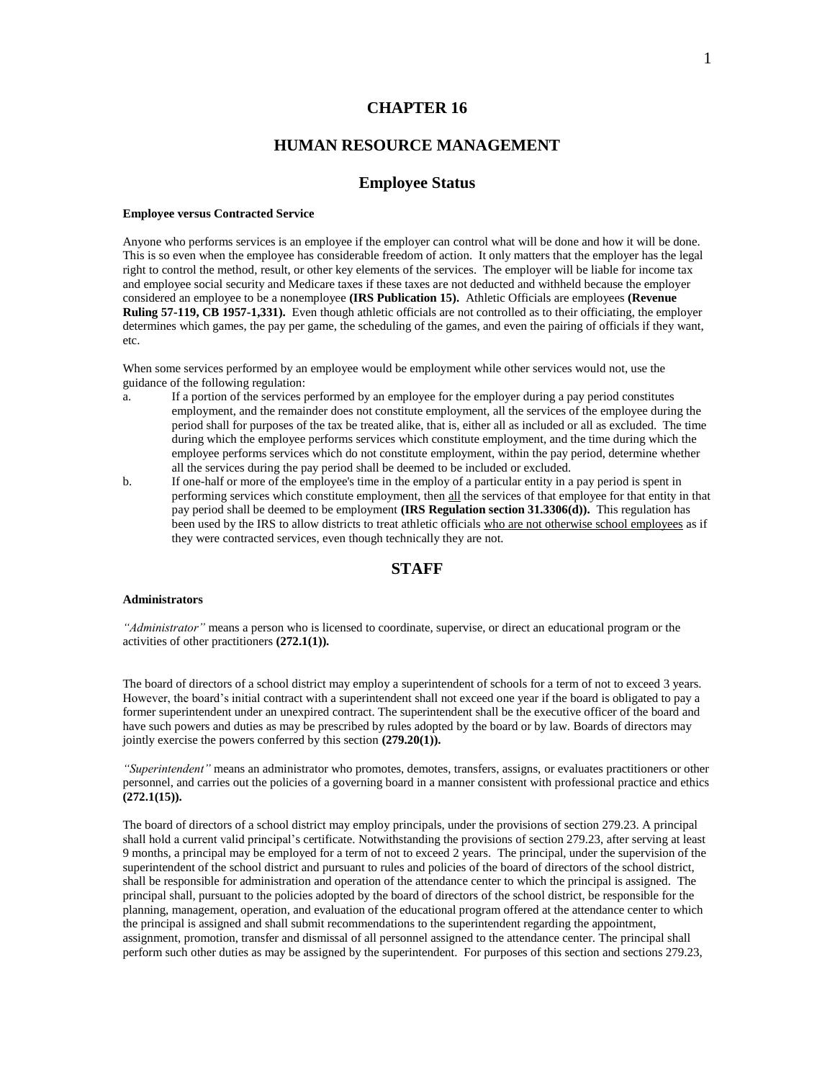## **CHAPTER 16**

# **HUMAN RESOURCE MANAGEMENT**

## **Employee Status**

### **Employee versus Contracted Service**

Anyone who performs services is an employee if the employer can control what will be done and how it will be done. This is so even when the employee has considerable freedom of action. It only matters that the employer has the legal right to control the method, result, or other key elements of the services. The employer will be liable for income tax and employee social security and Medicare taxes if these taxes are not deducted and withheld because the employer considered an employee to be a nonemployee **(IRS Publication 15).** Athletic Officials are employees **(Revenue Ruling 57-119, CB 1957-1,331).** Even though athletic officials are not controlled as to their officiating, the employer determines which games, the pay per game, the scheduling of the games, and even the pairing of officials if they want, etc.

When some services performed by an employee would be employment while other services would not, use the guidance of the following regulation:

- a. If a portion of the services performed by an employee for the employer during a pay period constitutes employment, and the remainder does not constitute employment, all the services of the employee during the period shall for purposes of the tax be treated alike, that is, either all as included or all as excluded. The time during which the employee performs services which constitute employment, and the time during which the employee performs services which do not constitute employment, within the pay period, determine whether all the services during the pay period shall be deemed to be included or excluded.
- b. If one-half or more of the employee's time in the employ of a particular entity in a pay period is spent in performing services which constitute employment, then all the services of that employee for that entity in that pay period shall be deemed to be employment **(IRS Regulation section 31.3306(d)).** This regulation has been used by the IRS to allow districts to treat athletic officials who are not otherwise school employees as if they were contracted services, even though technically they are not.

# **STAFF**

### **Administrators**

*"Administrator"* means a person who is licensed to coordinate, supervise, or direct an educational program or the activities of other practitioners **(272.1(1)).**

The board of directors of a school district may employ a superintendent of schools for a term of not to exceed 3 years. However, the board's initial contract with a superintendent shall not exceed one year if the board is obligated to pay a former superintendent under an unexpired contract. The superintendent shall be the executive officer of the board and have such powers and duties as may be prescribed by rules adopted by the board or by law. Boards of directors may jointly exercise the powers conferred by this section **(279.20(1)).**

*"Superintendent"* means an administrator who promotes, demotes, transfers, assigns, or evaluates practitioners or other personnel, and carries out the policies of a governing board in a manner consistent with professional practice and ethics **(272.1(15)).**

The board of directors of a school district may employ principals, under the provisions of section 279.23. A principal shall hold a current valid principal's certificate. Notwithstanding the provisions of section 279.23, after serving at least 9 months, a principal may be employed for a term of not to exceed 2 years. The principal, under the supervision of the superintendent of the school district and pursuant to rules and policies of the board of directors of the school district, shall be responsible for administration and operation of the attendance center to which the principal is assigned. The principal shall, pursuant to the policies adopted by the board of directors of the school district, be responsible for the planning, management, operation, and evaluation of the educational program offered at the attendance center to which the principal is assigned and shall submit recommendations to the superintendent regarding the appointment, assignment, promotion, transfer and dismissal of all personnel assigned to the attendance center. The principal shall perform such other duties as may be assigned by the superintendent. For purposes of this section and sections 279.23,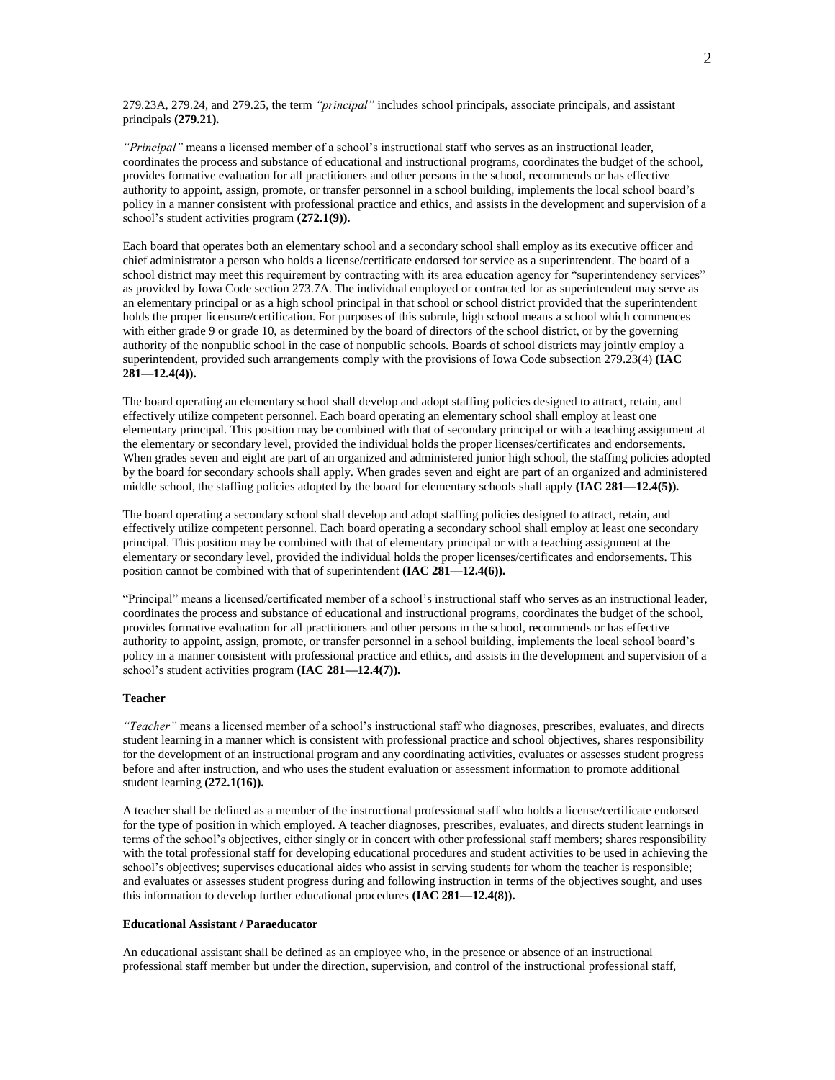279.23A, 279.24, and 279.25, the term *"principal"* includes school principals, associate principals, and assistant principals **(279.21).**

*"Principal"* means a licensed member of a school's instructional staff who serves as an instructional leader, coordinates the process and substance of educational and instructional programs, coordinates the budget of the school, provides formative evaluation for all practitioners and other persons in the school, recommends or has effective authority to appoint, assign, promote, or transfer personnel in a school building, implements the local school board's policy in a manner consistent with professional practice and ethics, and assists in the development and supervision of a school's student activities program **(272.1(9)).**

Each board that operates both an elementary school and a secondary school shall employ as its executive officer and chief administrator a person who holds a license/certificate endorsed for service as a superintendent. The board of a school district may meet this requirement by contracting with its area education agency for "superintendency services" as provided by Iowa Code section 273.7A. The individual employed or contracted for as superintendent may serve as an elementary principal or as a high school principal in that school or school district provided that the superintendent holds the proper licensure/certification. For purposes of this subrule, high school means a school which commences with either grade 9 or grade 10, as determined by the board of directors of the school district, or by the governing authority of the nonpublic school in the case of nonpublic schools. Boards of school districts may jointly employ a superintendent, provided such arrangements comply with the provisions of Iowa Code subsection 279.23(4) **(IAC 281—12.4(4)).**

The board operating an elementary school shall develop and adopt staffing policies designed to attract, retain, and effectively utilize competent personnel. Each board operating an elementary school shall employ at least one elementary principal. This position may be combined with that of secondary principal or with a teaching assignment at the elementary or secondary level, provided the individual holds the proper licenses/certificates and endorsements. When grades seven and eight are part of an organized and administered junior high school, the staffing policies adopted by the board for secondary schools shall apply. When grades seven and eight are part of an organized and administered middle school, the staffing policies adopted by the board for elementary schools shall apply **(IAC 281—12.4(5)).**

The board operating a secondary school shall develop and adopt staffing policies designed to attract, retain, and effectively utilize competent personnel. Each board operating a secondary school shall employ at least one secondary principal. This position may be combined with that of elementary principal or with a teaching assignment at the elementary or secondary level, provided the individual holds the proper licenses/certificates and endorsements. This position cannot be combined with that of superintendent **(IAC 281—12.4(6)).**

"Principal" means a licensed/certificated member of a school's instructional staff who serves as an instructional leader, coordinates the process and substance of educational and instructional programs, coordinates the budget of the school, provides formative evaluation for all practitioners and other persons in the school, recommends or has effective authority to appoint, assign, promote, or transfer personnel in a school building, implements the local school board's policy in a manner consistent with professional practice and ethics, and assists in the development and supervision of a school's student activities program **(IAC 281—12.4(7)).**

## **Teacher**

*"Teacher"* means a licensed member of a school's instructional staff who diagnoses, prescribes, evaluates, and directs student learning in a manner which is consistent with professional practice and school objectives, shares responsibility for the development of an instructional program and any coordinating activities, evaluates or assesses student progress before and after instruction, and who uses the student evaluation or assessment information to promote additional student learning **(272.1(16)).**

A teacher shall be defined as a member of the instructional professional staff who holds a license/certificate endorsed for the type of position in which employed. A teacher diagnoses, prescribes, evaluates, and directs student learnings in terms of the school's objectives, either singly or in concert with other professional staff members; shares responsibility with the total professional staff for developing educational procedures and student activities to be used in achieving the school's objectives; supervises educational aides who assist in serving students for whom the teacher is responsible; and evaluates or assesses student progress during and following instruction in terms of the objectives sought, and uses this information to develop further educational procedures **(IAC 281—12.4(8)).**

#### **Educational Assistant / Paraeducator**

An educational assistant shall be defined as an employee who, in the presence or absence of an instructional professional staff member but under the direction, supervision, and control of the instructional professional staff,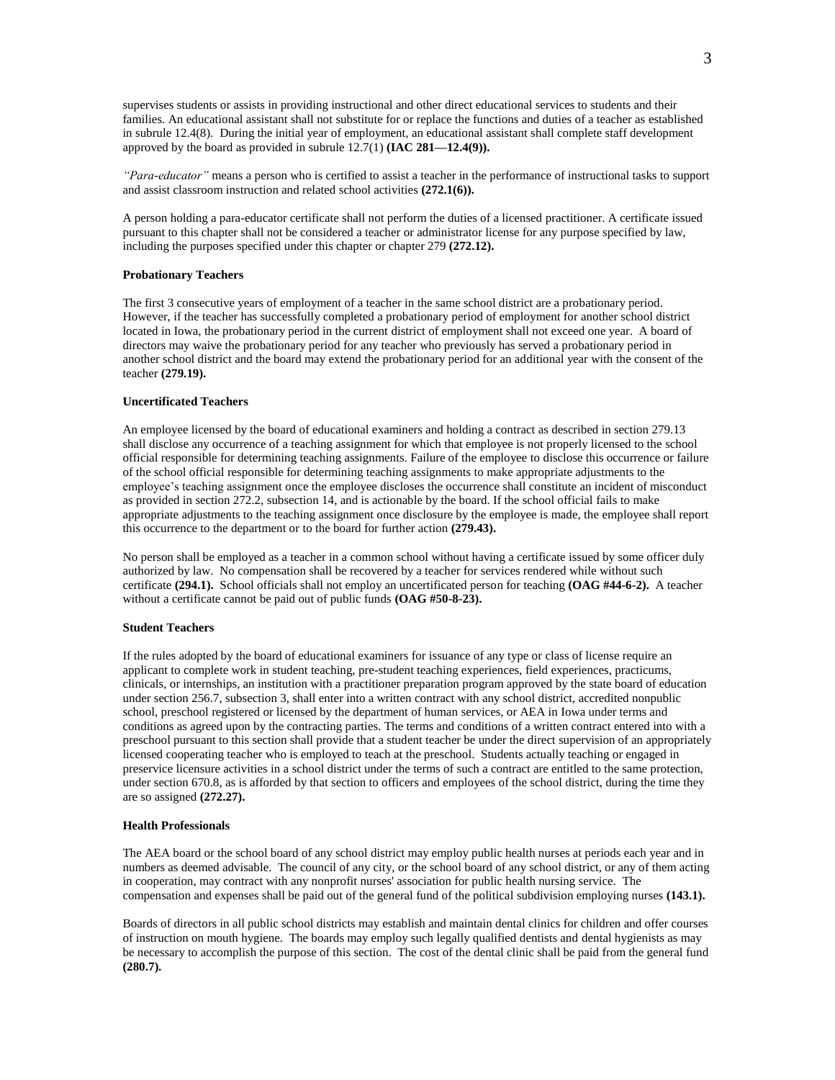supervises students or assists in providing instructional and other direct educational services to students and their families. An educational assistant shall not substitute for or replace the functions and duties of a teacher as established in subrule 12.4(8). During the initial year of employment, an educational assistant shall complete staff development approved by the board as provided in subrule 12.7(1) **(IAC 281—12.4(9)).**

*"Para-educator"* means a person who is certified to assist a teacher in the performance of instructional tasks to support and assist classroom instruction and related school activities **(272.1(6)).**

A person holding a para-educator certificate shall not perform the duties of a licensed practitioner. A certificate issued pursuant to this chapter shall not be considered a teacher or administrator license for any purpose specified by law, including the purposes specified under this chapter or chapter 279 **(272.12).**

#### **Probationary Teachers**

The first 3 consecutive years of employment of a teacher in the same school district are a probationary period. However, if the teacher has successfully completed a probationary period of employment for another school district located in Iowa, the probationary period in the current district of employment shall not exceed one year. A board of directors may waive the probationary period for any teacher who previously has served a probationary period in another school district and the board may extend the probationary period for an additional year with the consent of the teacher **(279.19).**

#### **Uncertificated Teachers**

An employee licensed by the board of educational examiners and holding a contract as described in section 279.13 shall disclose any occurrence of a teaching assignment for which that employee is not properly licensed to the school official responsible for determining teaching assignments. Failure of the employee to disclose this occurrence or failure of the school official responsible for determining teaching assignments to make appropriate adjustments to the employee's teaching assignment once the employee discloses the occurrence shall constitute an incident of misconduct as provided in section 272.2, subsection 14, and is actionable by the board. If the school official fails to make appropriate adjustments to the teaching assignment once disclosure by the employee is made, the employee shall report this occurrence to the department or to the board for further action **(279.43).**

No person shall be employed as a teacher in a common school without having a certificate issued by some officer duly authorized by law. No compensation shall be recovered by a teacher for services rendered while without such certificate **(294.1).** School officials shall not employ an uncertificated person for teaching **(OAG #44-6-2).** A teacher without a certificate cannot be paid out of public funds **(OAG #50-8-23).**

## **Student Teachers**

If the rules adopted by the board of educational examiners for issuance of any type or class of license require an applicant to complete work in student teaching, pre-student teaching experiences, field experiences, practicums, clinicals, or internships, an institution with a practitioner preparation program approved by the state board of education under section 256.7, subsection 3, shall enter into a written contract with any school district, accredited nonpublic school, preschool registered or licensed by the department of human services, or AEA in Iowa under terms and conditions as agreed upon by the contracting parties. The terms and conditions of a written contract entered into with a preschool pursuant to this section shall provide that a student teacher be under the direct supervision of an appropriately licensed cooperating teacher who is employed to teach at the preschool. Students actually teaching or engaged in preservice licensure activities in a school district under the terms of such a contract are entitled to the same protection, under section 670.8, as is afforded by that section to officers and employees of the school district, during the time they are so assigned **(272.27).**

#### **Health Professionals**

The AEA board or the school board of any school district may employ public health nurses at periods each year and in numbers as deemed advisable. The council of any city, or the school board of any school district, or any of them acting in cooperation, may contract with any nonprofit nurses' association for public health nursing service. The compensation and expenses shall be paid out of the general fund of the political subdivision employing nurses **(143.1).**

Boards of directors in all public school districts may establish and maintain dental clinics for children and offer courses of instruction on mouth hygiene. The boards may employ such legally qualified dentists and dental hygienists as may be necessary to accomplish the purpose of this section. The cost of the dental clinic shall be paid from the general fund **(280.7).**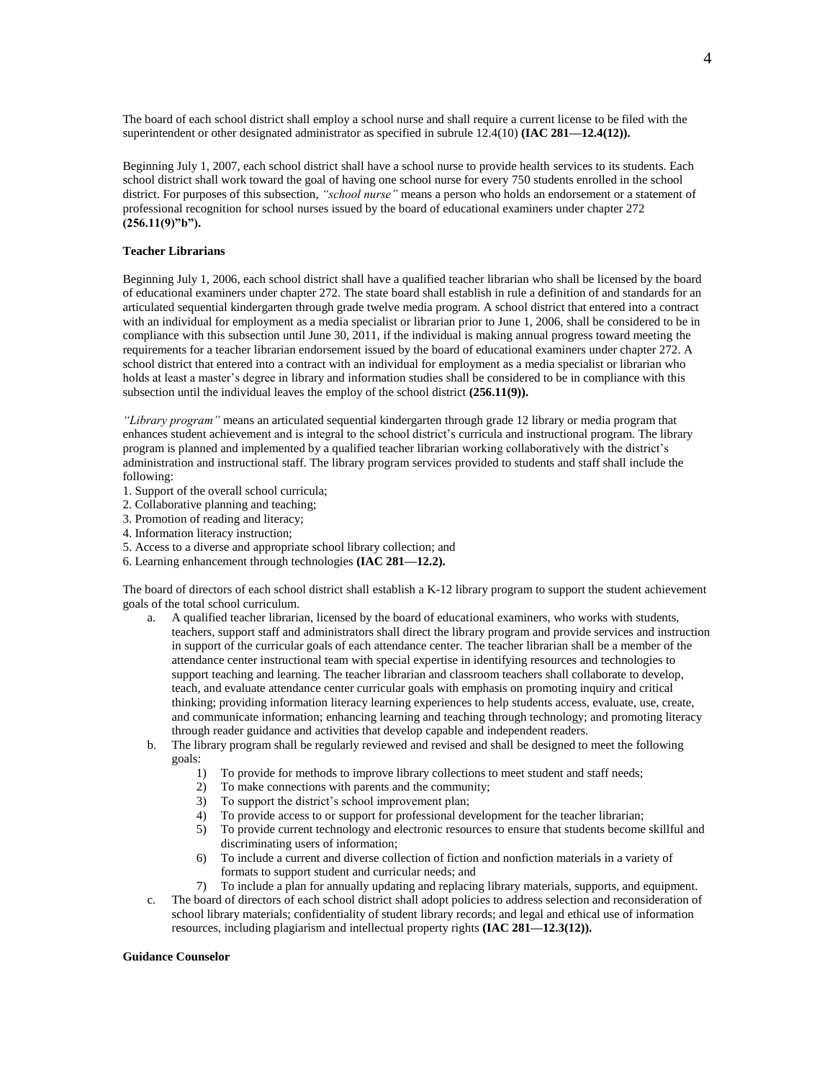The board of each school district shall employ a school nurse and shall require a current license to be filed with the superintendent or other designated administrator as specified in subrule 12.4(10) **(IAC 281—12.4(12)).**

Beginning July 1, 2007, each school district shall have a school nurse to provide health services to its students. Each school district shall work toward the goal of having one school nurse for every 750 students enrolled in the school district. For purposes of this subsection, *"school nurse"* means a person who holds an endorsement or a statement of professional recognition for school nurses issued by the board of educational examiners under chapter 272 **(256.11(9)"b").**

#### **Teacher Librarians**

Beginning July 1, 2006, each school district shall have a qualified teacher librarian who shall be licensed by the board of educational examiners under chapter 272. The state board shall establish in rule a definition of and standards for an articulated sequential kindergarten through grade twelve media program. A school district that entered into a contract with an individual for employment as a media specialist or librarian prior to June 1, 2006, shall be considered to be in compliance with this subsection until June 30, 2011, if the individual is making annual progress toward meeting the requirements for a teacher librarian endorsement issued by the board of educational examiners under chapter 272. A school district that entered into a contract with an individual for employment as a media specialist or librarian who holds at least a master's degree in library and information studies shall be considered to be in compliance with this subsection until the individual leaves the employ of the school district **(256.11(9)).**

*"Library program"* means an articulated sequential kindergarten through grade 12 library or media program that enhances student achievement and is integral to the school district's curricula and instructional program. The library program is planned and implemented by a qualified teacher librarian working collaboratively with the district's administration and instructional staff. The library program services provided to students and staff shall include the following:

- 1. Support of the overall school curricula;
- 2. Collaborative planning and teaching;
- 3. Promotion of reading and literacy;
- 4. Information literacy instruction;
- 5. Access to a diverse and appropriate school library collection; and
- 6. Learning enhancement through technologies **(IAC 281—12.2).**

The board of directors of each school district shall establish a K-12 library program to support the student achievement goals of the total school curriculum.

- a. A qualified teacher librarian, licensed by the board of educational examiners, who works with students, teachers, support staff and administrators shall direct the library program and provide services and instruction in support of the curricular goals of each attendance center. The teacher librarian shall be a member of the attendance center instructional team with special expertise in identifying resources and technologies to support teaching and learning. The teacher librarian and classroom teachers shall collaborate to develop, teach, and evaluate attendance center curricular goals with emphasis on promoting inquiry and critical thinking; providing information literacy learning experiences to help students access, evaluate, use, create, and communicate information; enhancing learning and teaching through technology; and promoting literacy through reader guidance and activities that develop capable and independent readers.
- b. The library program shall be regularly reviewed and revised and shall be designed to meet the following goals:
	- 1) To provide for methods to improve library collections to meet student and staff needs;
	- 2) To make connections with parents and the community;
	- 3) To support the district's school improvement plan;<br>4) To provide access to or support for professional de
	- 4) To provide access to or support for professional development for the teacher librarian;
	- 5) To provide current technology and electronic resources to ensure that students become skillful and discriminating users of information;
	- 6) To include a current and diverse collection of fiction and nonfiction materials in a variety of formats to support student and curricular needs; and
	- 7) To include a plan for annually updating and replacing library materials, supports, and equipment.
- c. The board of directors of each school district shall adopt policies to address selection and reconsideration of school library materials; confidentiality of student library records; and legal and ethical use of information resources, including plagiarism and intellectual property rights **(IAC 281—12.3(12)).**

#### **Guidance Counselor**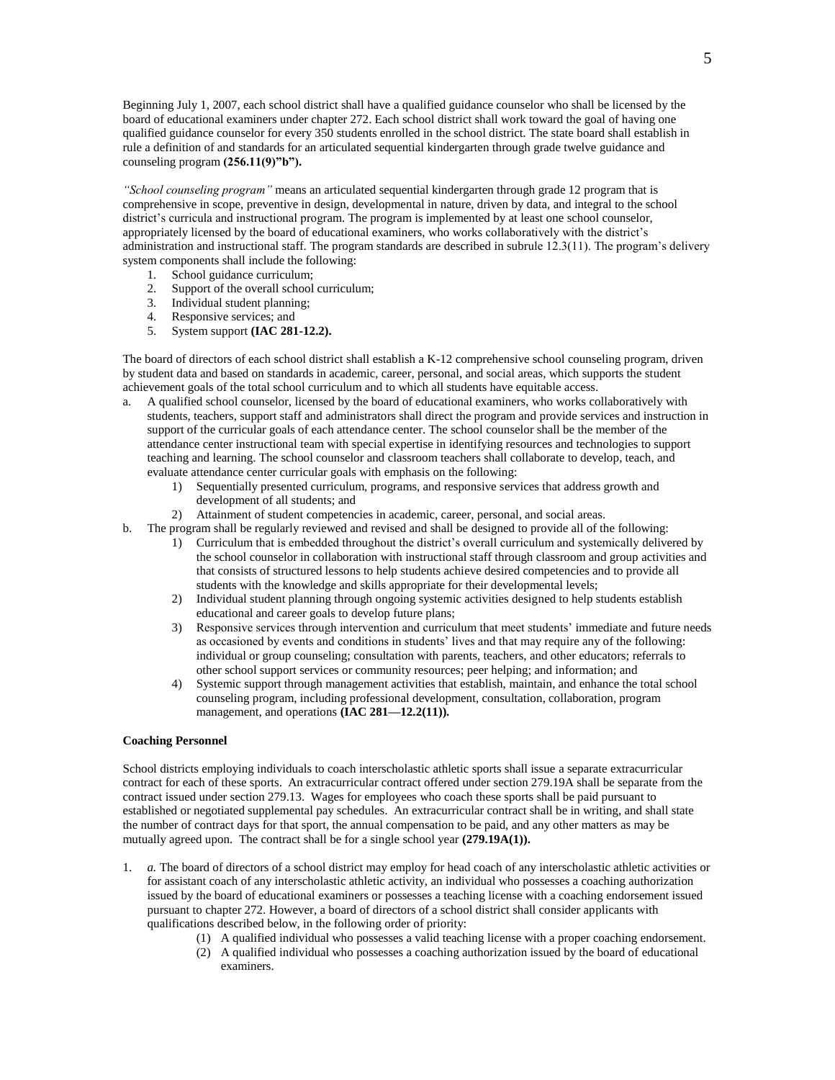Beginning July 1, 2007, each school district shall have a qualified guidance counselor who shall be licensed by the board of educational examiners under chapter 272. Each school district shall work toward the goal of having one qualified guidance counselor for every 350 students enrolled in the school district. The state board shall establish in rule a definition of and standards for an articulated sequential kindergarten through grade twelve guidance and counseling program **(256.11(9)"b").**

*"School counseling program"* means an articulated sequential kindergarten through grade 12 program that is comprehensive in scope, preventive in design, developmental in nature, driven by data, and integral to the school district's curricula and instructional program. The program is implemented by at least one school counselor, appropriately licensed by the board of educational examiners, who works collaboratively with the district's administration and instructional staff. The program standards are described in subrule 12.3(11). The program's delivery system components shall include the following:

- 1. School guidance curriculum;
- Support of the overall school curriculum;
- 3. Individual student planning;
- 4. Responsive services; and
- 5. System support **(IAC 281-12.2).**

The board of directors of each school district shall establish a K-12 comprehensive school counseling program, driven by student data and based on standards in academic, career, personal, and social areas, which supports the student achievement goals of the total school curriculum and to which all students have equitable access.

- a. A qualified school counselor, licensed by the board of educational examiners, who works collaboratively with students, teachers, support staff and administrators shall direct the program and provide services and instruction in support of the curricular goals of each attendance center. The school counselor shall be the member of the attendance center instructional team with special expertise in identifying resources and technologies to support teaching and learning. The school counselor and classroom teachers shall collaborate to develop, teach, and evaluate attendance center curricular goals with emphasis on the following:
	- 1) Sequentially presented curriculum, programs, and responsive services that address growth and development of all students; and
	- 2) Attainment of student competencies in academic, career, personal, and social areas.
- b. The program shall be regularly reviewed and revised and shall be designed to provide all of the following:
	- 1) Curriculum that is embedded throughout the district's overall curriculum and systemically delivered by the school counselor in collaboration with instructional staff through classroom and group activities and that consists of structured lessons to help students achieve desired competencies and to provide all students with the knowledge and skills appropriate for their developmental levels;
	- 2) Individual student planning through ongoing systemic activities designed to help students establish educational and career goals to develop future plans;
	- 3) Responsive services through intervention and curriculum that meet students' immediate and future needs as occasioned by events and conditions in students' lives and that may require any of the following: individual or group counseling; consultation with parents, teachers, and other educators; referrals to other school support services or community resources; peer helping; and information; and
	- 4) Systemic support through management activities that establish, maintain, and enhance the total school counseling program, including professional development, consultation, collaboration, program management, and operations **(IAC 281—12.2(11)).**

### **Coaching Personnel**

School districts employing individuals to coach interscholastic athletic sports shall issue a separate extracurricular contract for each of these sports. An extracurricular contract offered under section 279.19A shall be separate from the contract issued under section 279.13. Wages for employees who coach these sports shall be paid pursuant to established or negotiated supplemental pay schedules. An extracurricular contract shall be in writing, and shall state the number of contract days for that sport, the annual compensation to be paid, and any other matters as may be mutually agreed upon. The contract shall be for a single school year **(279.19A(1)).**

- 1. *a.* The board of directors of a school district may employ for head coach of any interscholastic athletic activities or for assistant coach of any interscholastic athletic activity, an individual who possesses a coaching authorization issued by the board of educational examiners or possesses a teaching license with a coaching endorsement issued pursuant to chapter 272. However, a board of directors of a school district shall consider applicants with qualifications described below, in the following order of priority:
	- (1) A qualified individual who possesses a valid teaching license with a proper coaching endorsement.
	- (2) A qualified individual who possesses a coaching authorization issued by the board of educational examiners.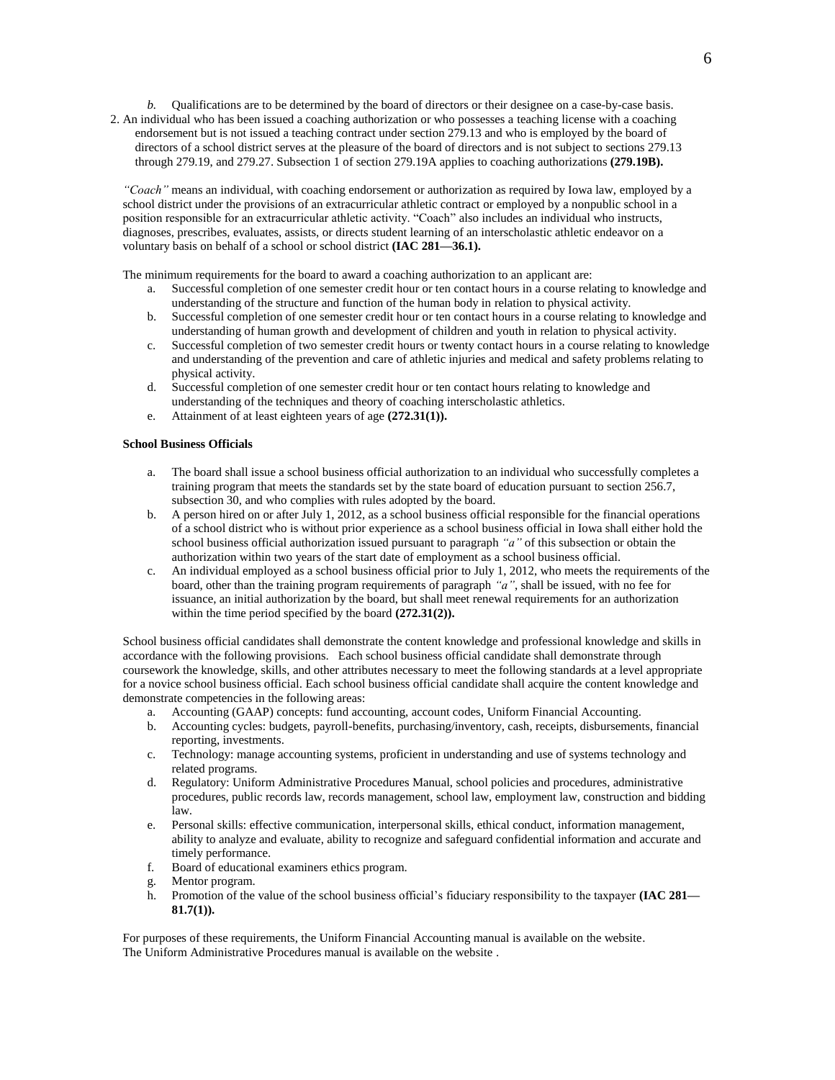*b.* Qualifications are to be determined by the board of directors or their designee on a case-by-case basis. 2. An individual who has been issued a coaching authorization or who possesses a teaching license with a coaching endorsement but is not issued a teaching contract under section 279.13 and who is employed by the board of directors of a school district serves at the pleasure of the board of directors and is not subject to sections 279.13 through 279.19, and 279.27. Subsection 1 of section 279.19A applies to coaching authorizations **(279.19B).**

*"Coach"* means an individual, with coaching endorsement or authorization as required by Iowa law, employed by a school district under the provisions of an extracurricular athletic contract or employed by a nonpublic school in a position responsible for an extracurricular athletic activity. "Coach" also includes an individual who instructs, diagnoses, prescribes, evaluates, assists, or directs student learning of an interscholastic athletic endeavor on a voluntary basis on behalf of a school or school district **(IAC 281—36.1).**

The minimum requirements for the board to award a coaching authorization to an applicant are:

- a. Successful completion of one semester credit hour or ten contact hours in a course relating to knowledge and understanding of the structure and function of the human body in relation to physical activity.
- b. Successful completion of one semester credit hour or ten contact hours in a course relating to knowledge and understanding of human growth and development of children and youth in relation to physical activity.
- c. Successful completion of two semester credit hours or twenty contact hours in a course relating to knowledge and understanding of the prevention and care of athletic injuries and medical and safety problems relating to physical activity.
- d. Successful completion of one semester credit hour or ten contact hours relating to knowledge and understanding of the techniques and theory of coaching interscholastic athletics.
- e. Attainment of at least eighteen years of age **(272.31(1)).**

## **School Business Officials**

- a. The board shall issue a school business official authorization to an individual who successfully completes a training program that meets the standards set by the state board of education pursuant to section 256.7, subsection 30, and who complies with rules adopted by the board.
- b. A person hired on or after July 1, 2012, as a school business official responsible for the financial operations of a school district who is without prior experience as a school business official in Iowa shall either hold the school business official authorization issued pursuant to paragraph *"a"* of this subsection or obtain the authorization within two years of the start date of employment as a school business official.
- c. An individual employed as a school business official prior to July 1, 2012, who meets the requirements of the board, other than the training program requirements of paragraph *"a"*, shall be issued, with no fee for issuance, an initial authorization by the board, but shall meet renewal requirements for an authorization within the time period specified by the board **(272.31(2)).**

School business official candidates shall demonstrate the content knowledge and professional knowledge and skills in accordance with the following provisions. Each school business official candidate shall demonstrate through coursework the knowledge, skills, and other attributes necessary to meet the following standards at a level appropriate for a novice school business official. Each school business official candidate shall acquire the content knowledge and demonstrate competencies in the following areas:

- a. Accounting (GAAP) concepts: fund accounting, account codes, Uniform Financial Accounting.
- b. Accounting cycles: budgets, payroll-benefits, purchasing/inventory, cash, receipts, disbursements, financial reporting, investments.
- c. Technology: manage accounting systems, proficient in understanding and use of systems technology and related programs.
- d. Regulatory: Uniform Administrative Procedures Manual, school policies and procedures, administrative procedures, public records law, records management, school law, employment law, construction and bidding law.
- e. Personal skills: effective communication, interpersonal skills, ethical conduct, information management, ability to analyze and evaluate, ability to recognize and safeguard confidential information and accurate and timely performance.
- f. Board of educational examiners ethics program.
- g. Mentor program.
- h. Promotion of the value of the school business official's fiduciary responsibility to the taxpayer **(IAC 281— 81.7(1)).**

For purposes of these requirements, the Uniform Financial Accounting manual is available on the website. The Uniform Administrative Procedures manual is available on the website .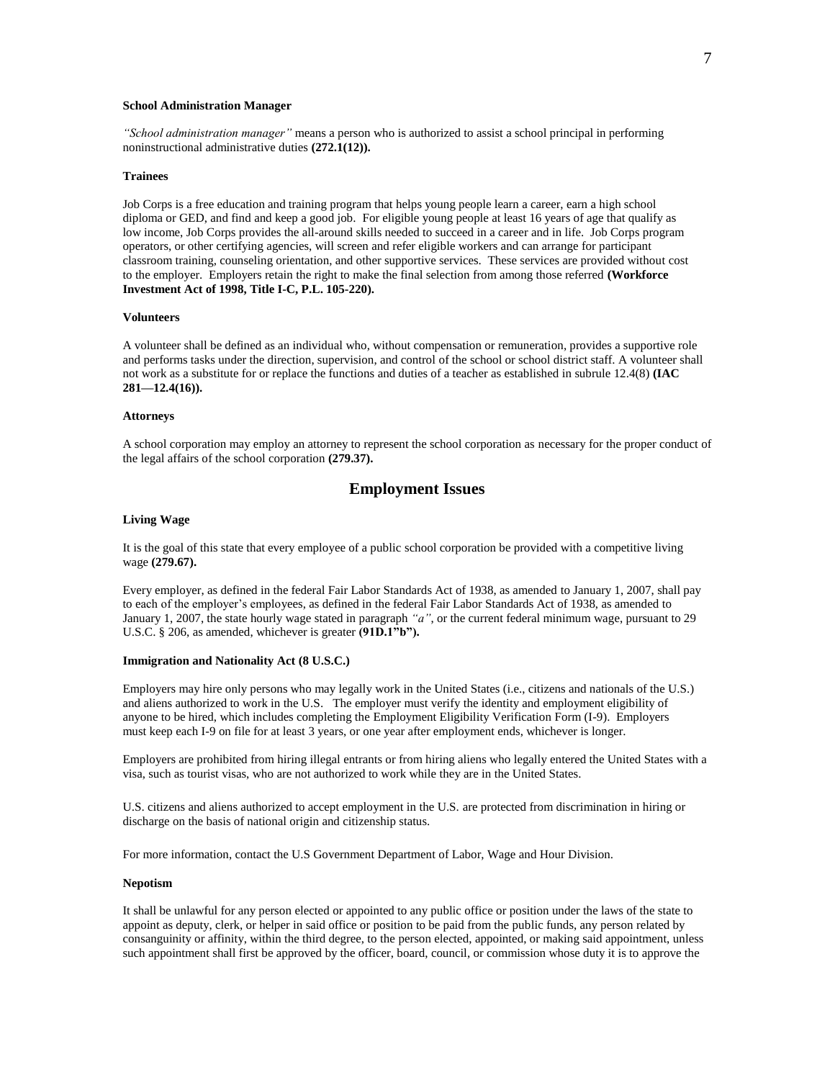## **School Administration Manager**

*"School administration manager"* means a person who is authorized to assist a school principal in performing noninstructional administrative duties **(272.1(12)).**

#### **Trainees**

Job Corps is a free education and training program that helps young people learn a career, earn a high school diploma or GED, and find and keep a good job. For eligible young people at least 16 years of age that qualify as low income, Job Corps provides the all-around skills needed to succeed in a career and in life. Job Corps program operators, or other certifying agencies, will screen and refer eligible workers and can arrange for participant classroom training, counseling orientation, and other supportive services. These services are provided without cost to the employer. Employers retain the right to make the final selection from among those referred **(Workforce Investment Act of 1998, Title I-C, P.L. 105-220).**

### **Volunteers**

A volunteer shall be defined as an individual who, without compensation or remuneration, provides a supportive role and performs tasks under the direction, supervision, and control of the school or school district staff. A volunteer shall not work as a substitute for or replace the functions and duties of a teacher as established in subrule 12.4(8) **(IAC 281—12.4(16)).**

#### **Attorneys**

A school corporation may employ an attorney to represent the school corporation as necessary for the proper conduct of the legal affairs of the school corporation **(279.37).**

## **Employment Issues**

## **Living Wage**

It is the goal of this state that every employee of a public school corporation be provided with a competitive living wage **(279.67).**

Every employer, as defined in the federal Fair Labor Standards Act of 1938, as amended to January 1, 2007, shall pay to each of the employer's employees, as defined in the federal Fair Labor Standards Act of 1938, as amended to January 1, 2007, the state hourly wage stated in paragraph *"a"*, or the current federal minimum wage, pursuant to 29 U.S.C. § 206, as amended, whichever is greater **(91D.1"b").**

### **Immigration and Nationality Act (8 U.S.C.)**

Employers may hire only persons who may legally work in the United States (i.e., citizens and nationals of the U.S.) and aliens authorized to work in the U.S. The employer must verify the identity and employment eligibility of anyone to be hired, which includes completing th[e Employment Eligibility Verification Form \(I-9\).](http://www.dol.gov/cgi-bin/leave-dol.asp?exiturl=http://www.uscis.gov/files/form/i-9.pdf&exitTitle=Employment%20Eligibility%20Verification%20Form%20&fedpage=yes) Employers must keep each I-9 on file for at least 3 years, or one year after employment ends, whichever is longer.

Employers are prohibited from hiring illegal entrants or from hiring aliens who legally entered the United States with a visa, such as tourist visas, who are not authorized to work while they are in the United States.

U.S. citizens and aliens authorized to accept employment in the U.S. are protected from discrimination in hiring or discharge on the basis of national origin and citizenship status.

For more information, contact the U.S Government Department of Labor, Wage and Hour Division.

### **Nepotism**

It shall be unlawful for any person elected or appointed to any public office or position under the laws of the state to appoint as deputy, clerk, or helper in said office or position to be paid from the public funds, any person related by consanguinity or affinity, within the third degree, to the person elected, appointed, or making said appointment, unless such appointment shall first be approved by the officer, board, council, or commission whose duty it is to approve the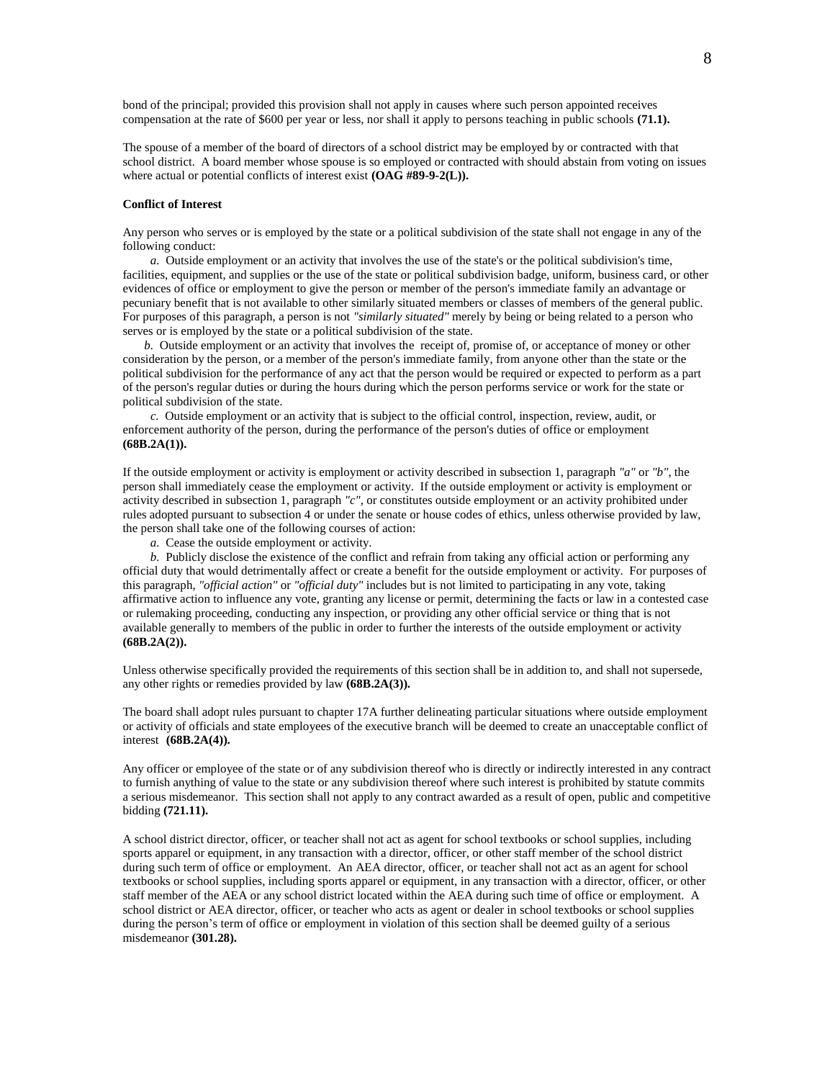bond of the principal; provided this provision shall not apply in causes where such person appointed receives compensation at the rate of \$600 per year or less, nor shall it apply to persons teaching in public schools **(71.1).**

The spouse of a member of the board of directors of a school district may be employed by or contracted with that school district. A board member whose spouse is so employed or contracted with should abstain from voting on issues where actual or potential conflicts of interest exist **(OAG #89-9-2(L)).**

#### **Conflict of Interest**

Any person who serves or is employed by the state or a political subdivision of the state shall not engage in any of the following conduct:

 *a.* Outside employment or an activity that involves the use of the state's or the political subdivision's time, facilities, equipment, and supplies or the use of the state or political subdivision badge, uniform, business card, or other evidences of office or employment to give the person or member of the person's immediate family an advantage or pecuniary benefit that is not available to other similarly situated members or classes of members of the general public. For purposes of this paragraph, a person is not *"similarly situated"* merely by being or being related to a person who serves or is employed by the state or a political subdivision of the state.

 *b.* Outside employment or an activity that involves the receipt of, promise of, or acceptance of money or other consideration by the person, or a member of the person's immediate family, from anyone other than the state or the political subdivision for the performance of any act that the person would be required or expected to perform as a part of the person's regular duties or during the hours during which the person performs service or work for the state or political subdivision of the state.

 *c.* Outside employment or an activity that is subject to the official control, inspection, review, audit, or enforcement authority of the person, during the performance of the person's duties of office or employment **(68B.2A(1)).**

If the outside employment or activity is employment or activity described in subsection 1, paragraph *"a"* or *"b"*, the person shall immediately cease the employment or activity. If the outside employment or activity is employment or activity described in subsection 1, paragraph *"c"*, or constitutes outside employment or an activity prohibited under rules adopted pursuant to subsection 4 or under the senate or house codes of ethics, unless otherwise provided by law, the person shall take one of the following courses of action:

*a.* Cease the outside employment or activity.

 *b.* Publicly disclose the existence of the conflict and refrain from taking any official action or performing any official duty that would detrimentally affect or create a benefit for the outside employment or activity. For purposes of this paragraph, *"official action"* or *"official duty"* includes but is not limited to participating in any vote, taking affirmative action to influence any vote, granting any license or permit, determining the facts or law in a contested case or rulemaking proceeding, conducting any inspection, or providing any other official service or thing that is not available generally to members of the public in order to further the interests of the outside employment or activity **(68B.2A(2)).**

Unless otherwise specifically provided the requirements of this section shall be in addition to, and shall not supersede, any other rights or remedies provided by law **(68B.2A(3)).**

The board shall adopt rules pursuant to chapter 17A further delineating particular situations where outside employment or activity of officials and state employees of the executive branch will be deemed to create an unacceptable conflict of interest **(68B.2A(4)).**

Any officer or employee of the state or of any subdivision thereof who is directly or indirectly interested in any contract to furnish anything of value to the state or any subdivision thereof where such interest is prohibited by statute commits a serious misdemeanor. This section shall not apply to any contract awarded as a result of open, public and competitive bidding **(721.11).**

A school district director, officer, or teacher shall not act as agent for school textbooks or school supplies, including sports apparel or equipment, in any transaction with a director, officer, or other staff member of the school district during such term of office or employment. An AEA director, officer, or teacher shall not act as an agent for school textbooks or school supplies, including sports apparel or equipment, in any transaction with a director, officer, or other staff member of the AEA or any school district located within the AEA during such time of office or employment. A school district or AEA director, officer, or teacher who acts as agent or dealer in school textbooks or school supplies during the person's term of office or employment in violation of this section shall be deemed guilty of a serious misdemeanor **(301.28).**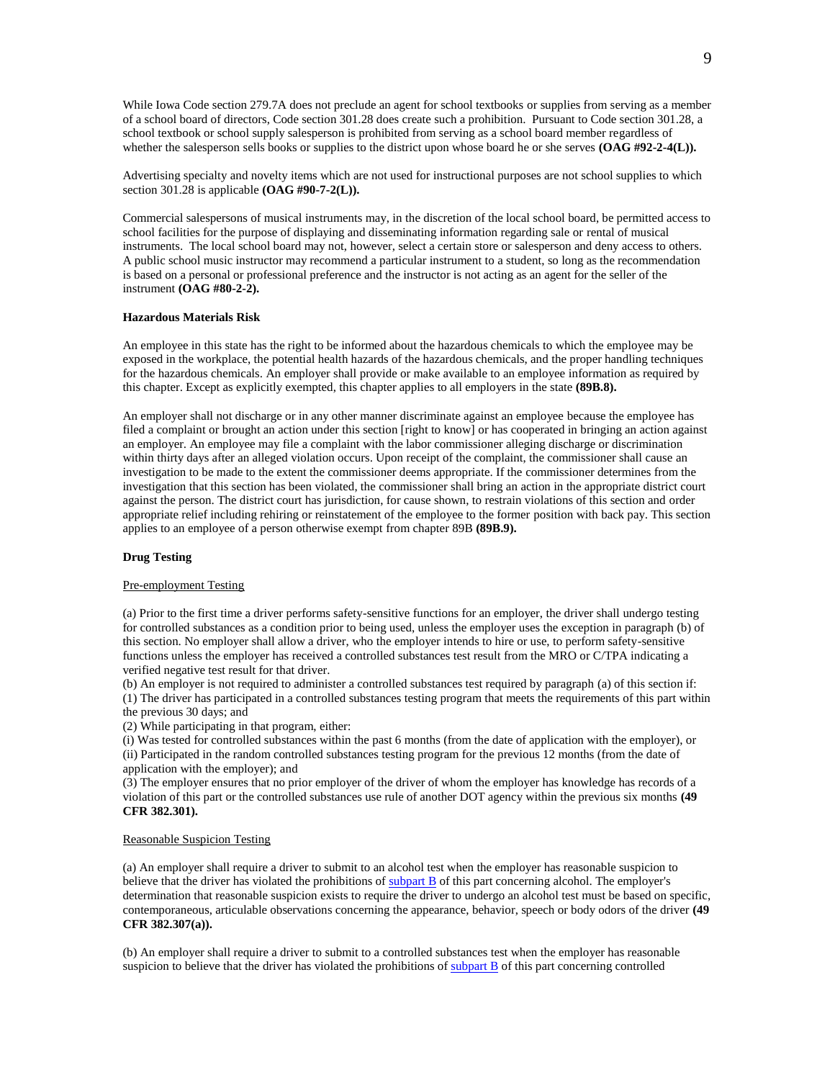While Iowa Code section 279.7A does not preclude an agent for school textbooks or supplies from serving as a member of a school board of directors, Code section 301.28 does create such a prohibition. Pursuant to Code section 301.28, a school textbook or school supply salesperson is prohibited from serving as a school board member regardless of whether the salesperson sells books or supplies to the district upon whose board he or she serves **(OAG #92-2-4(L)).** 

Advertising specialty and novelty items which are not used for instructional purposes are not school supplies to which section 301.28 is applicable **(OAG #90-7-2(L)).**

Commercial salespersons of musical instruments may, in the discretion of the local school board, be permitted access to school facilities for the purpose of displaying and disseminating information regarding sale or rental of musical instruments. The local school board may not, however, select a certain store or salesperson and deny access to others. A public school music instructor may recommend a particular instrument to a student, so long as the recommendation is based on a personal or professional preference and the instructor is not acting as an agent for the seller of the instrument **(OAG #80-2-2).**

### **Hazardous Materials Risk**

An employee in this state has the right to be informed about the hazardous chemicals to which the employee may be exposed in the workplace, the potential health hazards of the hazardous chemicals, and the proper handling techniques for the hazardous chemicals. An employer shall provide or make available to an employee information as required by this chapter. Except as explicitly exempted, this chapter applies to all employers in the state **(89B.8).**

An employer shall not discharge or in any other manner discriminate against an employee because the employee has filed a complaint or brought an action under this section [right to know] or has cooperated in bringing an action against an employer. An employee may file a complaint with the labor commissioner alleging discharge or discrimination within thirty days after an alleged violation occurs. Upon receipt of the complaint, the commissioner shall cause an investigation to be made to the extent the commissioner deems appropriate. If the commissioner determines from the investigation that this section has been violated, the commissioner shall bring an action in the appropriate district court against the person. The district court has jurisdiction, for cause shown, to restrain violations of this section and order appropriate relief including rehiring or reinstatement of the employee to the former position with back pay. This section applies to an employee of a person otherwise exempt from chapter 89B **(89B.9).**

#### **Drug Testing**

## Pre-employment Testing

(a) Prior to the first time a driver performs safety-sensitive functions for an employer, the driver shall undergo testing for controlled substances as a condition prior to being used, unless the employer uses the exception in paragraph (b) of this section. No employer shall allow a driver, who the employer intends to hire or use, to perform safety-sensitive functions unless the employer has received a controlled substances test result from the MRO or C/TPA indicating a verified negative test result for that driver.

(b) An employer is not required to administer a controlled substances test required by paragraph (a) of this section if: (1) The driver has participated in a controlled substances testing program that meets the requirements of this part within the previous 30 days; and

(2) While participating in that program, either:

(i) Was tested for controlled substances within the past 6 months (from the date of application with the employer), or (ii) Participated in the random controlled substances testing program for the previous 12 months (from the date of application with the employer); and

(3) The employer ensures that no prior employer of the driver of whom the employer has knowledge has records of a violation of this part or the controlled substances use rule of another DOT agency within the previous six months **(49 CFR 382.301).**

### Reasonable Suspicion Testing

(a) An employer shall require a driver to submit to an alcohol test when the employer has reasonable suspicion to believe that the driver has violated the prohibitions of [subpart B](http://www.fmcsa.dot.gov/rules-regulations/administration/fmcsr/fmcsrredirectpage.aspx?contentid=1524) of this part concerning alcohol. The employer's determination that reasonable suspicion exists to require the driver to undergo an alcohol test must be based on specific, contemporaneous, articulable observations concerning the appearance, behavior, speech or body odors of the driver **(49 CFR 382.307(a)).**

(b) An employer shall require a driver to submit to a controlled substances test when the employer has reasonable suspicion to believe that the driver has violated the prohibitions of  $\frac{\text{subpart}}{\text{B}}$  of this part concerning controlled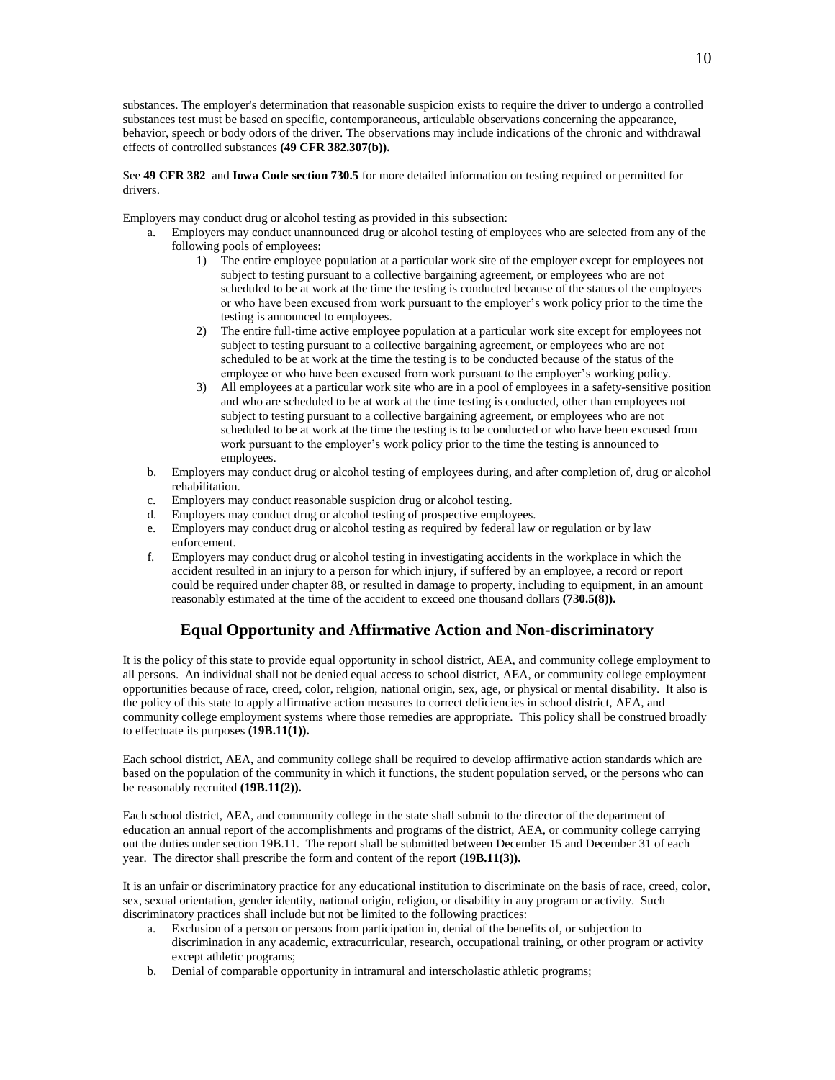substances. The employer's determination that reasonable suspicion exists to require the driver to undergo a controlled substances test must be based on specific, contemporaneous, articulable observations concerning the appearance, behavior, speech or body odors of the driver. The observations may include indications of the chronic and withdrawal effects of controlled substances **(49 CFR 382.307(b)).**

See **49 CFR 382** and **Iowa Code section 730.5** for more detailed information on testing required or permitted for drivers.

Employers may conduct drug or alcohol testing as provided in this subsection:

- a. Employers may conduct unannounced drug or alcohol testing of employees who are selected from any of the following pools of employees:
	- 1) The entire employee population at a particular work site of the employer except for employees not subject to testing pursuant to a collective bargaining agreement, or employees who are not scheduled to be at work at the time the testing is conducted because of the status of the employees or who have been excused from work pursuant to the employer's work policy prior to the time the testing is announced to employees.
	- 2) The entire full-time active employee population at a particular work site except for employees not subject to testing pursuant to a collective bargaining agreement, or employees who are not scheduled to be at work at the time the testing is to be conducted because of the status of the employee or who have been excused from work pursuant to the employer's working policy.
	- 3) All employees at a particular work site who are in a pool of employees in a safety-sensitive position and who are scheduled to be at work at the time testing is conducted, other than employees not subject to testing pursuant to a collective bargaining agreement, or employees who are not scheduled to be at work at the time the testing is to be conducted or who have been excused from work pursuant to the employer's work policy prior to the time the testing is announced to employees.
- b. Employers may conduct drug or alcohol testing of employees during, and after completion of, drug or alcohol rehabilitation.
- c. Employers may conduct reasonable suspicion drug or alcohol testing.
- d. Employers may conduct drug or alcohol testing of prospective employees.
- e. Employers may conduct drug or alcohol testing as required by federal law or regulation or by law enforcement.
- f. Employers may conduct drug or alcohol testing in investigating accidents in the workplace in which the accident resulted in an injury to a person for which injury, if suffered by an employee, a record or report could be required under chapter 88, or resulted in damage to property, including to equipment, in an amount reasonably estimated at the time of the accident to exceed one thousand dollars **(730.5(8)).**

# **Equal Opportunity and Affirmative Action and Non-discriminatory**

It is the policy of this state to provide equal opportunity in school district, AEA, and community college employment to all persons. An individual shall not be denied equal access to school district, AEA, or community college employment opportunities because of race, creed, color, religion, national origin, sex, age, or physical or mental disability. It also is the policy of this state to apply affirmative action measures to correct deficiencies in school district, AEA, and community college employment systems where those remedies are appropriate. This policy shall be construed broadly to effectuate its purposes **(19B.11(1)).**

Each school district, AEA, and community college shall be required to develop affirmative action standards which are based on the population of the community in which it functions, the student population served, or the persons who can be reasonably recruited **(19B.11(2)).**

Each school district, AEA, and community college in the state shall submit to the director of the department of education an annual report of the accomplishments and programs of the district, AEA, or community college carrying out the duties under section 19B.11. The report shall be submitted between December 15 and December 31 of each year. The director shall prescribe the form and content of the report **(19B.11(3)).**

It is an unfair or discriminatory practice for any educational institution to discriminate on the basis of race, creed, color, sex, sexual orientation, gender identity, national origin, religion, or disability in any program or activity. Such discriminatory practices shall include but not be limited to the following practices:

- a. Exclusion of a person or persons from participation in, denial of the benefits of, or subjection to discrimination in any academic, extracurricular, research, occupational training, or other program or activity except athletic programs;
- b. Denial of comparable opportunity in intramural and interscholastic athletic programs;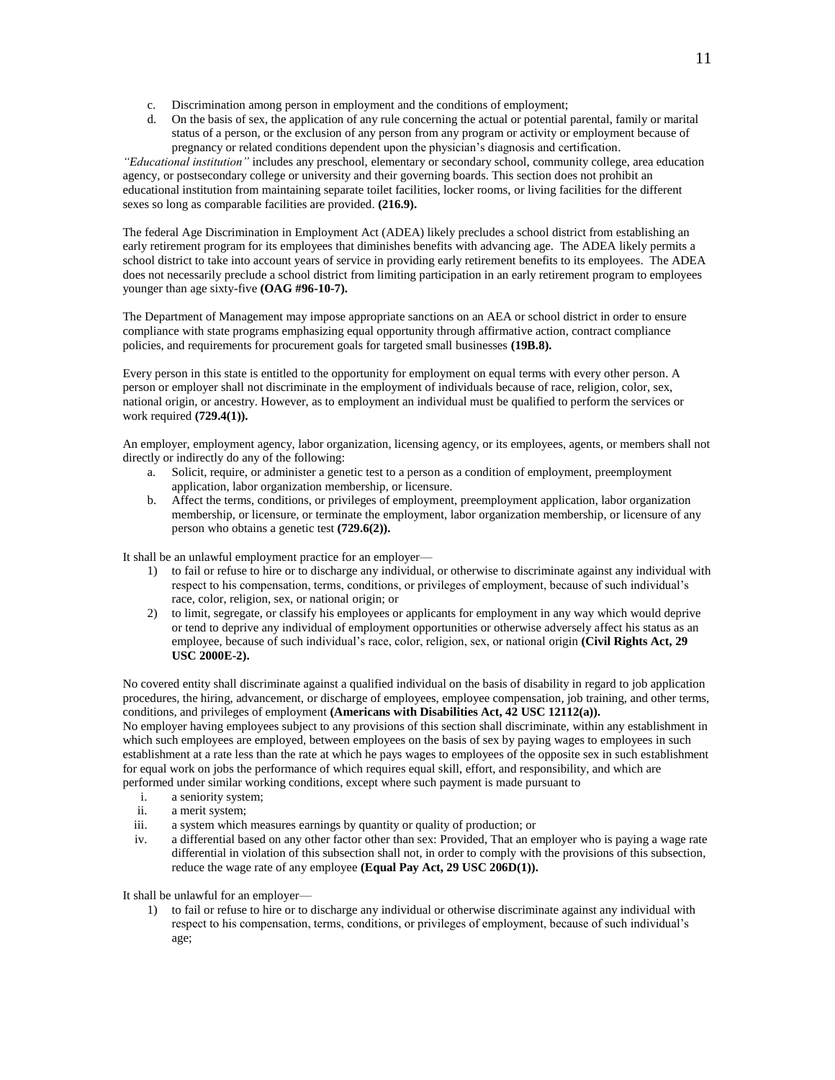- c. Discrimination among person in employment and the conditions of employment;
- d. On the basis of sex, the application of any rule concerning the actual or potential parental, family or marital status of a person, or the exclusion of any person from any program or activity or employment because of pregnancy or related conditions dependent upon the physician's diagnosis and certification.

*"Educational institution"* includes any preschool, elementary or secondary school, community college, area education agency, or postsecondary college or university and their governing boards. This section does not prohibit an educational institution from maintaining separate toilet facilities, locker rooms, or living facilities for the different sexes so long as comparable facilities are provided. **(216.9).**

The federal Age Discrimination in Employment Act (ADEA) likely precludes a school district from establishing an early retirement program for its employees that diminishes benefits with advancing age. The ADEA likely permits a school district to take into account years of service in providing early retirement benefits to its employees. The ADEA does not necessarily preclude a school district from limiting participation in an early retirement program to employees younger than age sixty-five **(OAG #96-10-7).**

The Department of Management may impose appropriate sanctions on an AEA or school district in order to ensure compliance with state programs emphasizing equal opportunity through affirmative action, contract compliance policies, and requirements for procurement goals for targeted small businesses **(19B.8).**

Every person in this state is entitled to the opportunity for employment on equal terms with every other person. A person or employer shall not discriminate in the employment of individuals because of race, religion, color, sex, national origin, or ancestry. However, as to employment an individual must be qualified to perform the services or work required **(729.4(1)).**

An employer, employment agency, labor organization, licensing agency, or its employees, agents, or members shall not directly or indirectly do any of the following:

- a. Solicit, require, or administer a genetic test to a person as a condition of employment, preemployment application, labor organization membership, or licensure.
- b. Affect the terms, conditions, or privileges of employment, preemployment application, labor organization membership, or licensure, or terminate the employment, labor organization membership, or licensure of any person who obtains a genetic test **(729.6(2)).**

It shall be an unlawful employment practice for an employer—

- 1) to fail or refuse to hire or to discharge any individual, or otherwise to discriminate against any individual with respect to his compensation, terms, conditions, or privileges of employment, because of such individual's race, color, religion, sex, or national origin; or
- 2) to limit, segregate, or classify his employees or applicants for employment in any way which would deprive or tend to deprive any individual of employment opportunities or otherwise adversely affect his status as an employee, because of such individual's race, color, religion, sex, or national origin **(Civil Rights Act, 29 USC 2000E-2).**

No covered entity shall discriminate against a qualified individual on the basis of disability in regard to job application procedures, the hiring, advancement, or discharge of employees, employee compensation, job training, and other terms, conditions, and privileges of employment **(Americans with Disabilities Act, 42 USC 12112(a)).**

No employer having employees subject to any provisions of this section shall discriminate, within any establishment in which such employees are employed, between employees on the basis of sex by paying wages to employees in such establishment at a rate less than the rate at which he pays wages to employees of the opposite sex in such establishment for equal work on jobs the performance of which requires equal skill, effort, and responsibility, and which are performed under similar working conditions, except where such payment is made pursuant to

- i. a seniority system;
- ii. a merit system;
- iii. a system which measures earnings by quantity or quality of production; or
- iv. a differential based on any other factor other than sex: Provided, That an employer who is paying a wage rate differential in violation of this subsection shall not, in order to comply with the provisions of this subsection, reduce the wage rate of any employee **(Equal Pay Act, 29 USC 206D(1)).**

It shall be unlawful for an employer—

1) to fail or refuse to hire or to discharge any individual or otherwise discriminate against any individual with respect to his compensation, terms, conditions, or privileges of employment, because of such individual's age;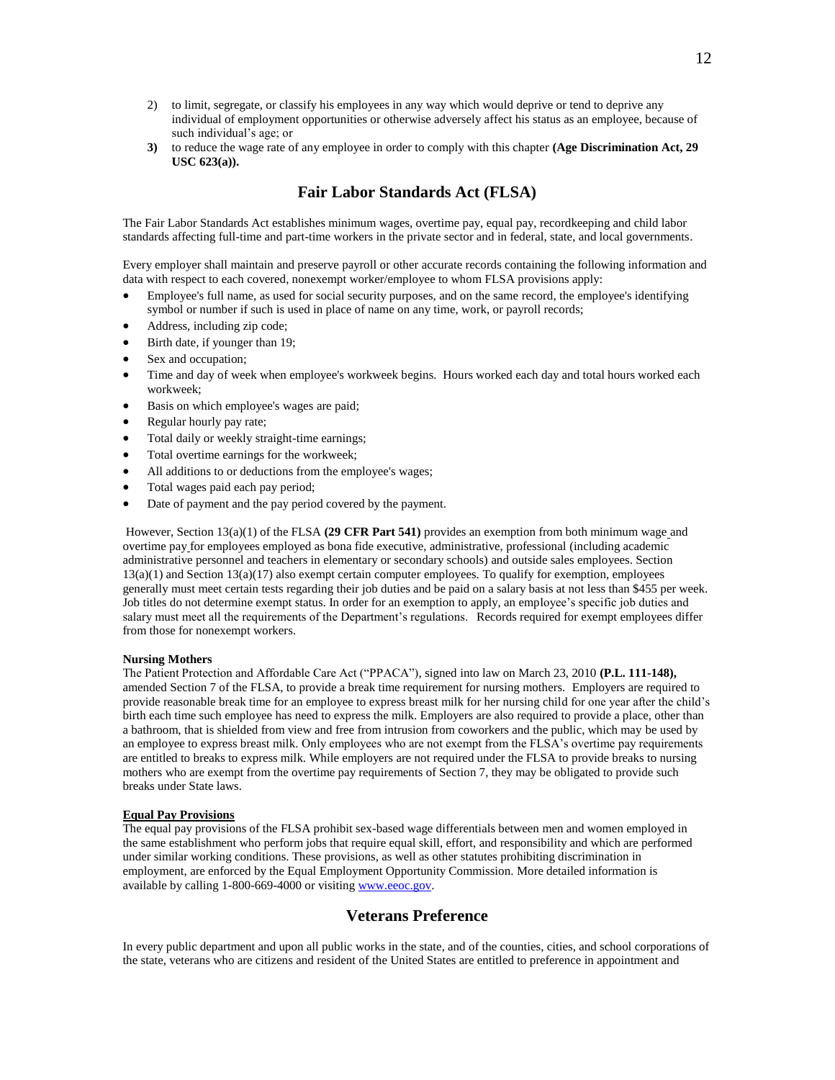- 2) to limit, segregate, or classify his employees in any way which would deprive or tend to deprive any individual of employment opportunities or otherwise adversely affect his status as an employee, because of such individual's age; or
- **3)** to reduce the wage rate of any employee in order to comply with this chapter **(Age Discrimination Act, 29 USC 623(a)).**

# **Fair Labor Standards Act (FLSA)**

The Fair Labor Standards Act establishes minimum wages, overtime pay, equal pay, recordkeeping and child labor standards affecting full-time and part-time workers in the private sector and in federal, state, and local governments.

Every employer shall maintain and preserve payroll or other accurate records containing the following information and data with respect to each covered, nonexempt worker/employee to whom FLSA provisions apply:

- Employee's full name, as used for social security purposes, and on the same record, the employee's identifying symbol or number if such is used in place of name on any time, work, or payroll records;
- Address, including zip code;
- Birth date, if younger than 19;
- Sex and occupation;
- Time and day of week when employee's workweek begins. Hours worked each day and total hours worked each workweek;
- Basis on which employee's wages are paid;
- Regular hourly pay rate;
- Total daily or weekly straight-time earnings;
- Total overtime earnings for the workweek;
- All additions to or deductions from the employee's wages;
- Total wages paid each pay period;
- Date of payment and the pay period covered by the payment.

However, Section 13(a)(1) of the FLSA **(29 CFR Part 541)** provides an exemption from both minimum wage and overtime pay for employees employed as bona fide executive, administrative, professional (including academic administrative personnel and teachers in elementary or secondary schools) and outside sales employees. Section 13(a)(1) and Section 13(a)(17) also exempt certain computer employees. To qualify for exemption, employees generally must meet certain tests regarding their job duties and be paid on a salary basis at not less than \$455 per week. Job titles do not determine exempt status. In order for an exemption to apply, an employee's specific job duties and salary must meet all the requirements of the Department's regulations. Records required for exempt employees differ from those for nonexempt workers.

#### **Nursing Mothers**

The Patient Protection and Affordable Care Act ("PPACA"), signed into law on March 23, 2010 **(P.L. 111-148),** amended Section 7 of the FLSA, to provide a break time requirement for nursing mothers. Employers are required to provide reasonable break time for an employee to express breast milk for her nursing child for one year after the child's birth each time such employee has need to express the milk. Employers are also required to provide a place, other than a bathroom, that is shielded from view and free from intrusion from coworkers and the public, which may be used by an employee to express breast milk. Only employees who are not exempt from the FLSA's overtime pay requirements are entitled to breaks to express milk. While employers are not required under the FLSA to provide breaks to nursing mothers who are exempt from the overtime pay requirements of Section 7, they may be obligated to provide such breaks under State laws.

## **Equal Pay Provisions**

The equal pay provisions of the FLSA prohibit sex-based wage differentials between men and women employed in the same establishment who perform jobs that require equal skill, effort, and responsibility and which are performed under similar working conditions. These provisions, as well as other statutes prohibiting discrimination in employment, are enforced by the Equal Employment Opportunity Commission. More detailed information is available by calling 1-800-669-4000 or visitin[g www.eeoc.gov.](http://www.dol.gov/cgi-bin/leave-dol.asp?exiturl=http://www.eeoc.gov/&exitTitle=EEOC.gov&fedpage=yes)

## **Veterans Preference**

In every public department and upon all public works in the state, and of the counties, cities, and school corporations of the state, veterans who are citizens and resident of the United States are entitled to preference in appointment and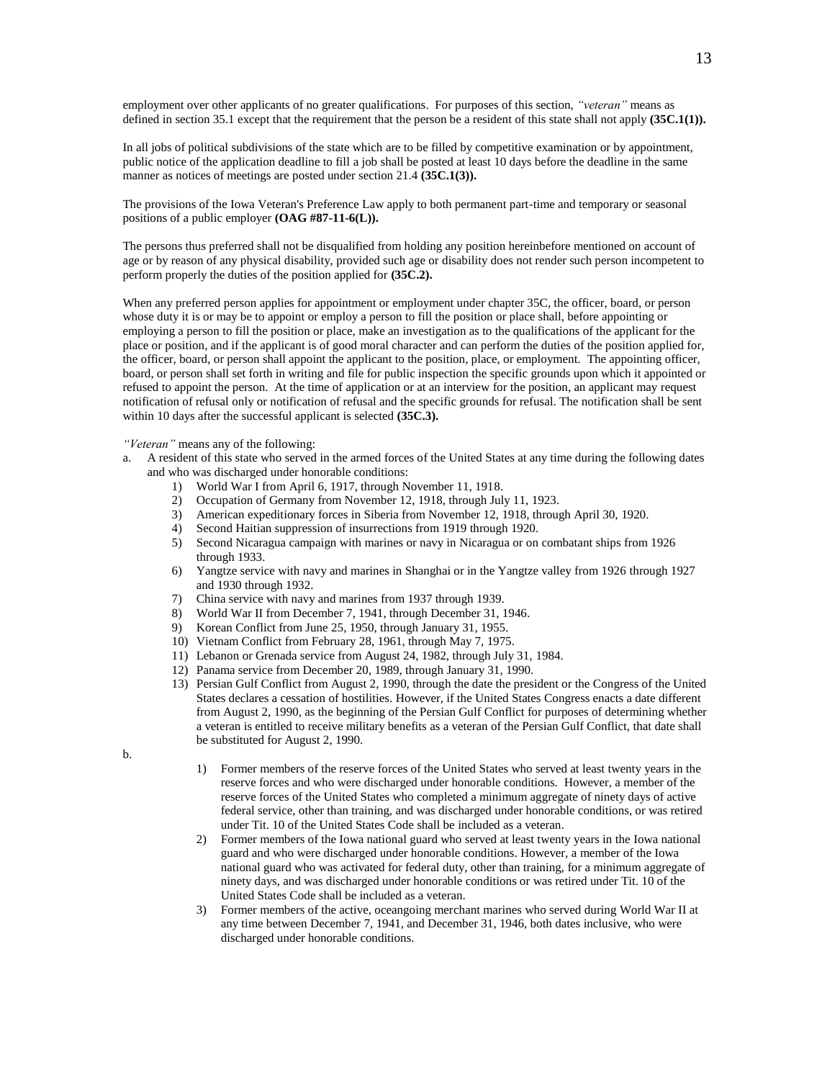employment over other applicants of no greater qualifications. For purposes of this section, *"veteran"* means as defined in section 35.1 except that the requirement that the person be a resident of this state shall not apply **(35C.1(1)).**

In all jobs of political subdivisions of the state which are to be filled by competitive examination or by appointment, public notice of the application deadline to fill a job shall be posted at least 10 days before the deadline in the same manner as notices of meetings are posted under section 21.4 **(35C.1(3)).**

The provisions of the Iowa Veteran's Preference Law apply to both permanent part-time and temporary or seasonal positions of a public employer **(OAG #87-11-6(L)).**

The persons thus preferred shall not be disqualified from holding any position hereinbefore mentioned on account of age or by reason of any physical disability, provided such age or disability does not render such person incompetent to perform properly the duties of the position applied for **(35C.2).**

When any preferred person applies for appointment or employment under chapter 35C, the officer, board, or person whose duty it is or may be to appoint or employ a person to fill the position or place shall, before appointing or employing a person to fill the position or place, make an investigation as to the qualifications of the applicant for the place or position, and if the applicant is of good moral character and can perform the duties of the position applied for, the officer, board, or person shall appoint the applicant to the position, place, or employment. The appointing officer, board, or person shall set forth in writing and file for public inspection the specific grounds upon which it appointed or refused to appoint the person. At the time of application or at an interview for the position, an applicant may request notification of refusal only or notification of refusal and the specific grounds for refusal. The notification shall be sent within 10 days after the successful applicant is selected **(35C.3).**

*"Veteran"* means any of the following:

b.

- a. A resident of this state who served in the armed forces of the United States at any time during the following dates and who was discharged under honorable conditions:
	- 1) World War I from April 6, 1917, through November 11, 1918.
	- 2) Occupation of Germany from November 12, 1918, through July 11, 1923.
	- 3) American expeditionary forces in Siberia from November 12, 1918, through April 30, 1920.
	- 4) Second Haitian suppression of insurrections from 1919 through 1920.
	- 5) Second Nicaragua campaign with marines or navy in Nicaragua or on combatant ships from 1926 through 1933.
	- 6) Yangtze service with navy and marines in Shanghai or in the Yangtze valley from 1926 through 1927 and 1930 through 1932.
	- 7) China service with navy and marines from 1937 through 1939.
	- 8) World War II from December 7, 1941, through December 31, 1946.<br>9) Korean Conflict from June 25, 1950, through January 31, 1955.
	- Korean Conflict from June 25, 1950, through January 31, 1955.
	- 10) Vietnam Conflict from February 28, 1961, through May 7, 1975.
	- 11) Lebanon or Grenada service from August 24, 1982, through July 31, 1984.
	- 12) Panama service from December 20, 1989, through January 31, 1990.
	- 13) Persian Gulf Conflict from August 2, 1990, through the date the president or the Congress of the United States declares a cessation of hostilities. However, if the United States Congress enacts a date different from August 2, 1990, as the beginning of the Persian Gulf Conflict for purposes of determining whether a veteran is entitled to receive military benefits as a veteran of the Persian Gulf Conflict, that date shall be substituted for August 2, 1990.
		- 1) Former members of the reserve forces of the United States who served at least twenty years in the reserve forces and who were discharged under honorable conditions. However, a member of the reserve forces of the United States who completed a minimum aggregate of ninety days of active federal service, other than training, and was discharged under honorable conditions, or was retired under Tit. 10 of the United States Code shall be included as a veteran.
		- 2) Former members of the Iowa national guard who served at least twenty years in the Iowa national guard and who were discharged under honorable conditions. However, a member of the Iowa national guard who was activated for federal duty, other than training, for a minimum aggregate of ninety days, and was discharged under honorable conditions or was retired under Tit. 10 of the United States Code shall be included as a veteran.
		- 3) Former members of the active, oceangoing merchant marines who served during World War II at any time between December 7, 1941, and December 31, 1946, both dates inclusive, who were discharged under honorable conditions.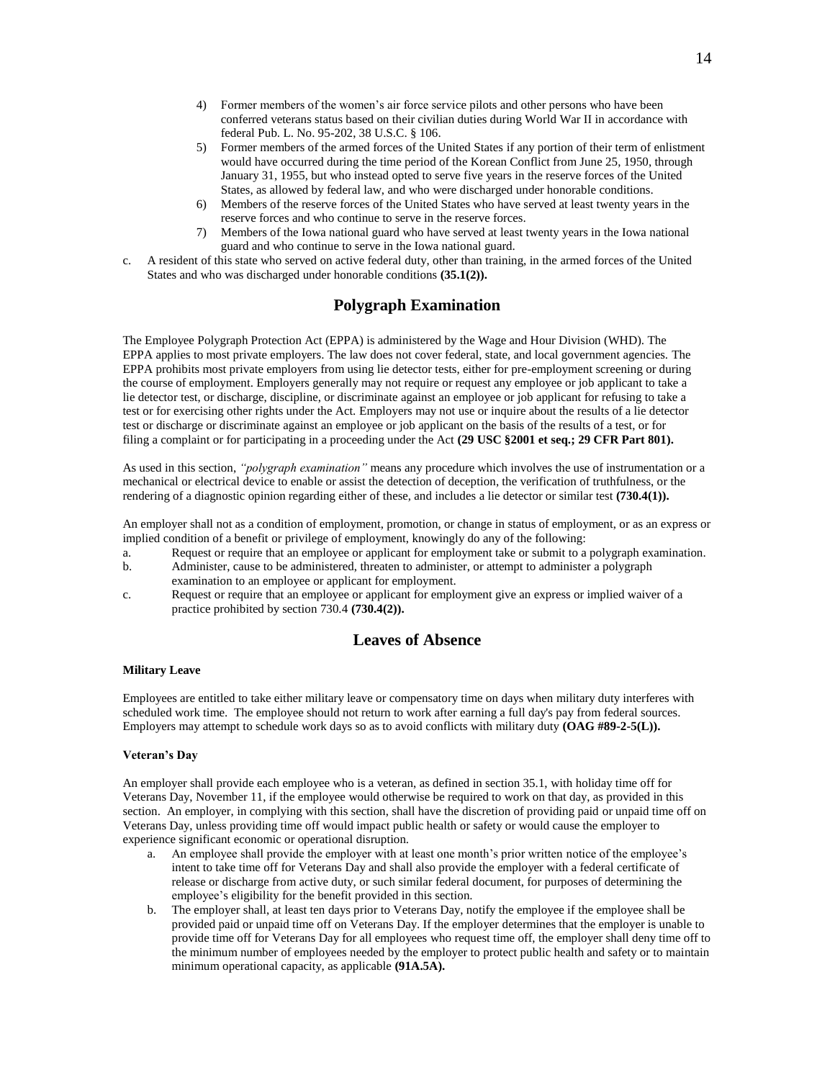- 4) Former members of the women's air force service pilots and other persons who have been conferred veterans status based on their civilian duties during World War II in accordance with federal Pub. L. No. 95-202, 38 U.S.C. § 106.
- 5) Former members of the armed forces of the United States if any portion of their term of enlistment would have occurred during the time period of the Korean Conflict from June 25, 1950, through January 31, 1955, but who instead opted to serve five years in the reserve forces of the United States, as allowed by federal law, and who were discharged under honorable conditions.
- 6) Members of the reserve forces of the United States who have served at least twenty years in the reserve forces and who continue to serve in the reserve forces.
- 7) Members of the Iowa national guard who have served at least twenty years in the Iowa national guard and who continue to serve in the Iowa national guard.
- c. A resident of this state who served on active federal duty, other than training, in the armed forces of the United States and who was discharged under honorable conditions **(35.1(2)).**

# **Polygraph Examination**

The Employee Polygraph Protection Act (EPPA) is administered by the Wage and Hour Division (WHD). The EPPA applies to most private employers. The law does not cover federal, state, and local government agencies. The EPPA prohibits most private employers from using lie detector tests, either for pre-employment screening or during the course of employment. Employers generally may not require or request any employee or job applicant to take a lie detector test, or discharge, discipline, or discriminate against an employee or job applicant for refusing to take a test or for exercising other rights under the Act. Employers may not use or inquire about the results of a lie detector test or discharge or discriminate against an employee or job applicant on the basis of the results of a test, or for filing a complaint or for participating in a proceeding under the Act **[\(29 USC §2001 et seq.;](http://www.dol.gov/cgi-bin/leave-dol.asp?exiturl=http://www4.law.cornell.edu/uscode/29/2001.html&exitTitle=Cornell_University) [29 CFR Part 801\)](http://www.dol.gov/cgi-bin/leave-dol.asp?exiturl=http://s.dol.gov/8T&exitTitle=www.gpoaccess.gov&fedpage=yes).**

As used in this section, *"polygraph examination"* means any procedure which involves the use of instrumentation or a mechanical or electrical device to enable or assist the detection of deception, the verification of truthfulness, or the rendering of a diagnostic opinion regarding either of these, and includes a lie detector or similar test **(730.4(1)).**

An employer shall not as a condition of employment, promotion, or change in status of employment, or as an express or implied condition of a benefit or privilege of employment, knowingly do any of the following:

- a. Request or require that an employee or applicant for employment take or submit to a polygraph examination.
- b. Administer, cause to be administered, threaten to administer, or attempt to administer a polygraph examination to an employee or applicant for employment.
- c. Request or require that an employee or applicant for employment give an express or implied waiver of a practice prohibited by section 730.4 **(730.4(2)).**

# **Leaves of Absence**

## **Military Leave**

Employees are entitled to take either military leave or compensatory time on days when military duty interferes with scheduled work time. The employee should not return to work after earning a full day's pay from federal sources. Employers may attempt to schedule work days so as to avoid conflicts with military duty **(OAG #89-2-5(L)).**

## **Veteran's Day**

An employer shall provide each employee who is a veteran, as defined in section 35.1, with holiday time off for Veterans Day, November 11, if the employee would otherwise be required to work on that day, as provided in this section. An employer, in complying with this section, shall have the discretion of providing paid or unpaid time off on Veterans Day, unless providing time off would impact public health or safety or would cause the employer to experience significant economic or operational disruption.

- a. An employee shall provide the employer with at least one month's prior written notice of the employee's intent to take time off for Veterans Day and shall also provide the employer with a federal certificate of release or discharge from active duty, or such similar federal document, for purposes of determining the employee's eligibility for the benefit provided in this section.
- b. The employer shall, at least ten days prior to Veterans Day, notify the employee if the employee shall be provided paid or unpaid time off on Veterans Day. If the employer determines that the employer is unable to provide time off for Veterans Day for all employees who request time off, the employer shall deny time off to the minimum number of employees needed by the employer to protect public health and safety or to maintain minimum operational capacity, as applicable **(91A.5A).**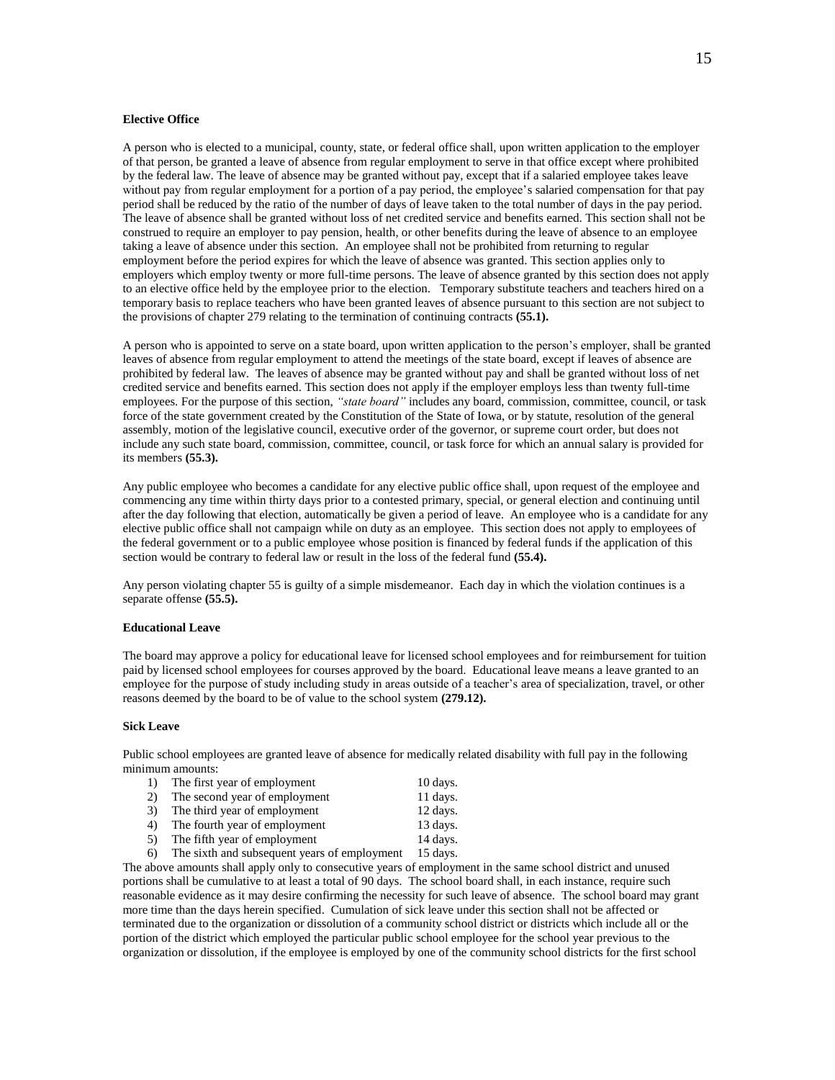## **Elective Office**

A person who is elected to a municipal, county, state, or federal office shall, upon written application to the employer of that person, be granted a leave of absence from regular employment to serve in that office except where prohibited by the federal law. The leave of absence may be granted without pay, except that if a salaried employee takes leave without pay from regular employment for a portion of a pay period, the employee's salaried compensation for that pay period shall be reduced by the ratio of the number of days of leave taken to the total number of days in the pay period. The leave of absence shall be granted without loss of net credited service and benefits earned. This section shall not be construed to require an employer to pay pension, health, or other benefits during the leave of absence to an employee taking a leave of absence under this section. An employee shall not be prohibited from returning to regular employment before the period expires for which the leave of absence was granted. This section applies only to employers which employ twenty or more full-time persons. The leave of absence granted by this section does not apply to an elective office held by the employee prior to the election. Temporary substitute teachers and teachers hired on a temporary basis to replace teachers who have been granted leaves of absence pursuant to this section are not subject to the provisions of chapter 279 relating to the termination of continuing contracts **(55.1).**

A person who is appointed to serve on a state board, upon written application to the person's employer, shall be granted leaves of absence from regular employment to attend the meetings of the state board, except if leaves of absence are prohibited by federal law. The leaves of absence may be granted without pay and shall be granted without loss of net credited service and benefits earned. This section does not apply if the employer employs less than twenty full-time employees. For the purpose of this section, *"state board"* includes any board, commission, committee, council, or task force of the state government created by the Constitution of the State of Iowa, or by statute, resolution of the general assembly, motion of the legislative council, executive order of the governor, or supreme court order, but does not include any such state board, commission, committee, council, or task force for which an annual salary is provided for its members **(55.3).**

Any public employee who becomes a candidate for any elective public office shall, upon request of the employee and commencing any time within thirty days prior to a contested primary, special, or general election and continuing until after the day following that election, automatically be given a period of leave. An employee who is a candidate for any elective public office shall not campaign while on duty as an employee. This section does not apply to employees of the federal government or to a public employee whose position is financed by federal funds if the application of this section would be contrary to federal law or result in the loss of the federal fund **(55.4).**

Any person violating chapter 55 is guilty of a simple misdemeanor. Each day in which the violation continues is a separate offense **(55.5).**

## **Educational Leave**

The board may approve a policy for educational leave for licensed school employees and for reimbursement for tuition paid by licensed school employees for courses approved by the board. Educational leave means a leave granted to an employee for the purpose of study including study in areas outside of a teacher's area of specialization, travel, or other reasons deemed by the board to be of value to the school system **(279.12).**

#### **Sick Leave**

Public school employees are granted leave of absence for medically related disability with full pay in the following minimum amounts:

| 1) | The first year of employment                 | 10 days.          |
|----|----------------------------------------------|-------------------|
| 2) | The second year of employment                | $11$ days.        |
| 3) | The third year of employment                 | 12 days.          |
| 4) | The fourth year of employment                | 13 days.          |
| 5) | The fifth year of employment                 | 14 days.          |
| 6) | The sixth and subsequent years of employment | $15 \text{ days}$ |

ent years of employment

The above amounts shall apply only to consecutive years of employment in the same school district and unused portions shall be cumulative to at least a total of 90 days. The school board shall, in each instance, require such reasonable evidence as it may desire confirming the necessity for such leave of absence. The school board may grant more time than the days herein specified. Cumulation of sick leave under this section shall not be affected or terminated due to the organization or dissolution of a community school district or districts which include all or the portion of the district which employed the particular public school employee for the school year previous to the organization or dissolution, if the employee is employed by one of the community school districts for the first school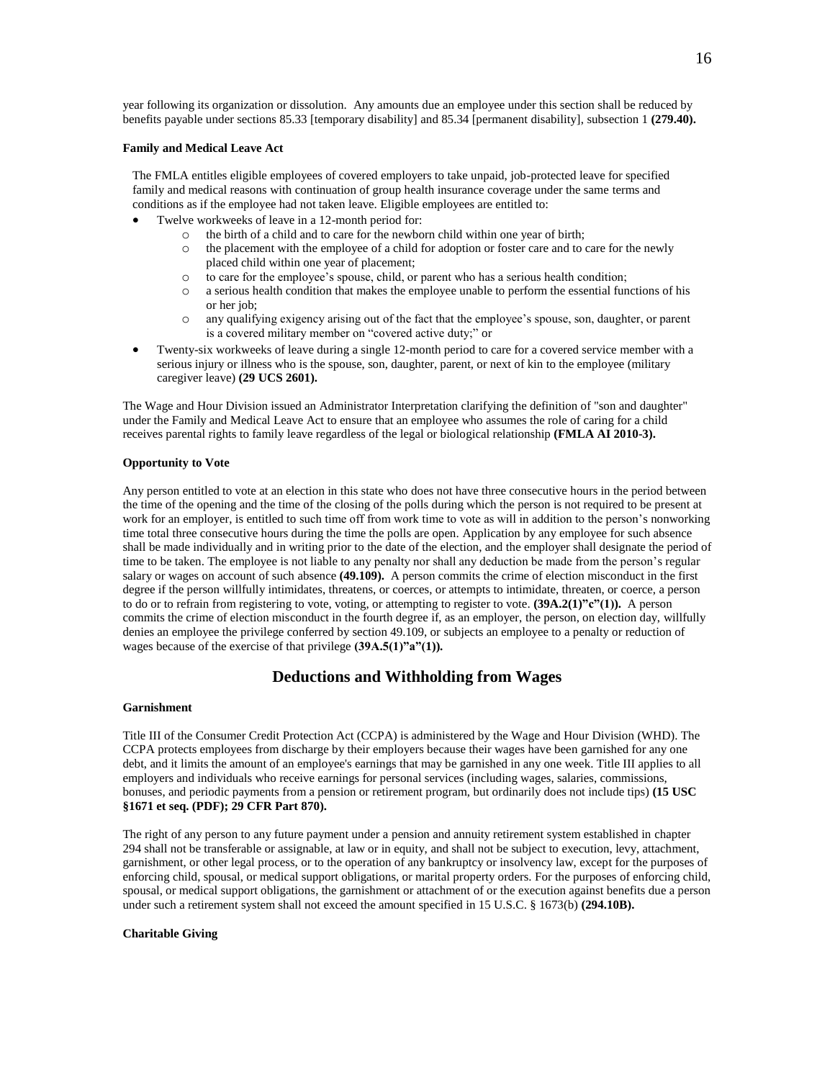year following its organization or dissolution. Any amounts due an employee under this section shall be reduced by benefits payable under sections 85.33 [temporary disability] and 85.34 [permanent disability], subsection 1 **(279.40).**

### **Family and Medical Leave Act**

The FMLA entitles eligible employees of covered employers to take unpaid, job-protected leave for specified family and medical reasons with continuation of group health insurance coverage under the same terms and conditions as if the employee had not taken leave. Eligible employees are entitled to:

- Twelve workweeks of leave in a 12-month period for:
	- o the birth of a child and to care for the newborn child within one year of birth;
	- o the placement with the employee of a child for adoption or foster care and to care for the newly placed child within one year of placement;
	- o to care for the employee's spouse, child, or parent who has a serious health condition;
	- o a serious health condition that makes the employee unable to perform the essential functions of his or her job;
	- o any qualifying exigency arising out of the fact that the employee's spouse, son, daughter, or parent is a covered military member on "covered active duty;" or
- Twenty-six workweeks of leave during a single 12-month period to care for a covered service member with a serious injury or illness who is the spouse, son, daughter, parent, or next of kin to the employee (military caregiver leave) **(29 UCS 2601).**

The Wage and Hour Division issued an Administrator Interpretation clarifying the definition of "son and daughter" under the Family and Medical Leave Act to ensure that an employee who assumes the role of caring for a child receives parental rights to family leave regardless of the legal or biological relationship **[\(FMLA AI 2010-3\)](http://www.dol.gov/WHD/opinion/adminIntrprtn/FMLA/2010/FMLAAI2010_3.htm).**

### **Opportunity to Vote**

Any person entitled to vote at an election in this state who does not have three consecutive hours in the period between the time of the opening and the time of the closing of the polls during which the person is not required to be present at work for an employer, is entitled to such time off from work time to vote as will in addition to the person's nonworking time total three consecutive hours during the time the polls are open. Application by any employee for such absence shall be made individually and in writing prior to the date of the election, and the employer shall designate the period of time to be taken. The employee is not liable to any penalty nor shall any deduction be made from the person's regular salary or wages on account of such absence **(49.109).** A person commits the crime of election misconduct in the first degree if the person willfully intimidates, threatens, or coerces, or attempts to intimidate, threaten, or coerce, a person to do or to refrain from registering to vote, voting, or attempting to register to vote. **(39A.2(1)"c"(1)).** A person commits the crime of election misconduct in the fourth degree if, as an employer, the person, on election day, willfully denies an employee the privilege conferred by section 49.109, or subjects an employee to a penalty or reduction of wages because of the exercise of that privilege **(39A.5(1)"a"(1)).**

## **Deductions and Withholding from Wages**

#### **Garnishment**

Title III of the Consumer Credit Protection Act (CCPA) is administered by the Wage and Hour Division (WHD). The CCPA protects employees from discharge by their employers because their wages have been garnished for any one debt, and it limits the amount of an employee's earnings that may be garnished in any one week. Title III applies to all employers and individuals who receive earnings for personal services (including wages, salaries, commissions, bonuses, and periodic payments from a pension or retirement program, but ordinarily does not include tips) **[\(15 USC](http://www.dol.gov/whd/regs/statutes/garn01.pdf)  [§1671 et seq. \(PDF\);](http://www.dol.gov/whd/regs/statutes/garn01.pdf) [29 CFR Part 870\)](http://www.dol.gov/cgi-bin/leave-dol.asp?exiturl=http://s.dol.gov/8V&exitTitle=www.gpoaccess.gov&fedpage=yes).**

The right of any person to any future payment under a pension and annuity retirement system established in chapter 294 shall not be transferable or assignable, at law or in equity, and shall not be subject to execution, levy, attachment, garnishment, or other legal process, or to the operation of any bankruptcy or insolvency law, except for the purposes of enforcing child, spousal, or medical support obligations, or marital property orders. For the purposes of enforcing child, spousal, or medical support obligations, the garnishment or attachment of or the execution against benefits due a person under such a retirement system shall not exceed the amount specified in 15 U.S.C. § 1673(b) **(294.10B).**

#### **Charitable Giving**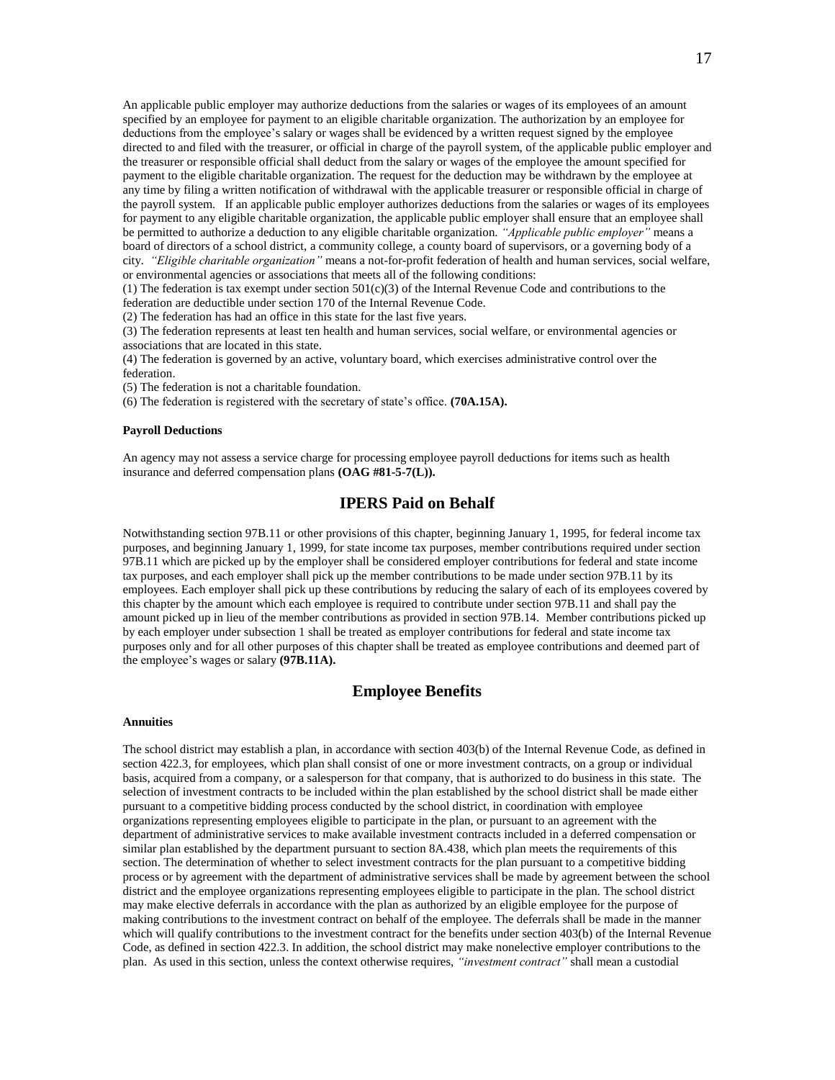An applicable public employer may authorize deductions from the salaries or wages of its employees of an amount specified by an employee for payment to an eligible charitable organization. The authorization by an employee for deductions from the employee's salary or wages shall be evidenced by a written request signed by the employee directed to and filed with the treasurer, or official in charge of the payroll system, of the applicable public employer and the treasurer or responsible official shall deduct from the salary or wages of the employee the amount specified for payment to the eligible charitable organization. The request for the deduction may be withdrawn by the employee at any time by filing a written notification of withdrawal with the applicable treasurer or responsible official in charge of the payroll system. If an applicable public employer authorizes deductions from the salaries or wages of its employees for payment to any eligible charitable organization, the applicable public employer shall ensure that an employee shall be permitted to authorize a deduction to any eligible charitable organization. *"Applicable public employer"* means a board of directors of a school district, a community college, a county board of supervisors, or a governing body of a city. *"Eligible charitable organization"* means a not-for-profit federation of health and human services, social welfare, or environmental agencies or associations that meets all of the following conditions:

(1) The federation is tax exempt under section  $501(c)(3)$  of the Internal Revenue Code and contributions to the federation are deductible under section 170 of the Internal Revenue Code.

(2) The federation has had an office in this state for the last five years.

(3) The federation represents at least ten health and human services, social welfare, or environmental agencies or associations that are located in this state.

(4) The federation is governed by an active, voluntary board, which exercises administrative control over the federation.

(5) The federation is not a charitable foundation.

(6) The federation is registered with the secretary of state's office. **(70A.15A).**

#### **Payroll Deductions**

An agency may not assess a service charge for processing employee payroll deductions for items such as health insurance and deferred compensation plans **(OAG #81-5-7(L)).**

# **IPERS Paid on Behalf**

Notwithstanding section 97B.11 or other provisions of this chapter, beginning January 1, 1995, for federal income tax purposes, and beginning January 1, 1999, for state income tax purposes, member contributions required under section 97B.11 which are picked up by the employer shall be considered employer contributions for federal and state income tax purposes, and each employer shall pick up the member contributions to be made under section 97B.11 by its employees. Each employer shall pick up these contributions by reducing the salary of each of its employees covered by this chapter by the amount which each employee is required to contribute under section 97B.11 and shall pay the amount picked up in lieu of the member contributions as provided in section 97B.14. Member contributions picked up by each employer under subsection 1 shall be treated as employer contributions for federal and state income tax purposes only and for all other purposes of this chapter shall be treated as employee contributions and deemed part of the employee's wages or salary **(97B.11A).**

# **Employee Benefits**

#### **Annuities**

The school district may establish a plan, in accordance with section 403(b) of the Internal Revenue Code, as defined in section 422.3, for employees, which plan shall consist of one or more investment contracts, on a group or individual basis, acquired from a company, or a salesperson for that company, that is authorized to do business in this state. The selection of investment contracts to be included within the plan established by the school district shall be made either pursuant to a competitive bidding process conducted by the school district, in coordination with employee organizations representing employees eligible to participate in the plan, or pursuant to an agreement with the department of administrative services to make available investment contracts included in a deferred compensation or similar plan established by the department pursuant to section 8A.438, which plan meets the requirements of this section. The determination of whether to select investment contracts for the plan pursuant to a competitive bidding process or by agreement with the department of administrative services shall be made by agreement between the school district and the employee organizations representing employees eligible to participate in the plan. The school district may make elective deferrals in accordance with the plan as authorized by an eligible employee for the purpose of making contributions to the investment contract on behalf of the employee. The deferrals shall be made in the manner which will qualify contributions to the investment contract for the benefits under section 403(b) of the Internal Revenue Code, as defined in section 422.3. In addition, the school district may make nonelective employer contributions to the plan. As used in this section, unless the context otherwise requires, *"investment contract"* shall mean a custodial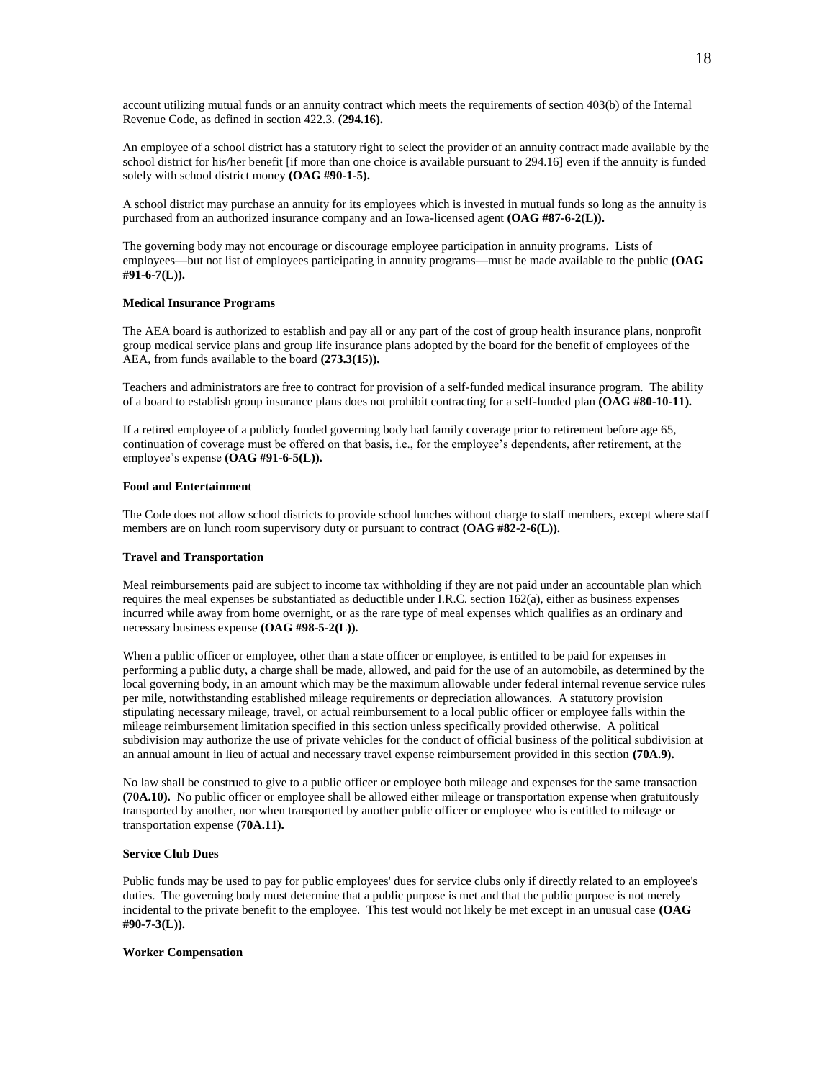account utilizing mutual funds or an annuity contract which meets the requirements of section 403(b) of the Internal Revenue Code, as defined in section 422.3. **(294.16).**

An employee of a school district has a statutory right to select the provider of an annuity contract made available by the school district for his/her benefit [if more than one choice is available pursuant to 294.16] even if the annuity is funded solely with school district money **(OAG #90-1-5).**

A school district may purchase an annuity for its employees which is invested in mutual funds so long as the annuity is purchased from an authorized insurance company and an Iowa-licensed agent **(OAG #87-6-2(L)).**

The governing body may not encourage or discourage employee participation in annuity programs. Lists of employees—but not list of employees participating in annuity programs—must be made available to the public **(OAG #91-6-7(L)).**

### **Medical Insurance Programs**

The AEA board is authorized to establish and pay all or any part of the cost of group health insurance plans, nonprofit group medical service plans and group life insurance plans adopted by the board for the benefit of employees of the AEA, from funds available to the board **(273.3(15)).**

Teachers and administrators are free to contract for provision of a self-funded medical insurance program. The ability of a board to establish group insurance plans does not prohibit contracting for a self-funded plan **(OAG #80-10-11).**

If a retired employee of a publicly funded governing body had family coverage prior to retirement before age 65, continuation of coverage must be offered on that basis, i.e., for the employee's dependents, after retirement, at the employee's expense **(OAG #91-6-5(L)).**

### **Food and Entertainment**

The Code does not allow school districts to provide school lunches without charge to staff members, except where staff members are on lunch room supervisory duty or pursuant to contract **(OAG #82-2-6(L)).** 

#### **Travel and Transportation**

Meal reimbursements paid are subject to income tax withholding if they are not paid under an accountable plan which requires the meal expenses be substantiated as deductible under I.R.C. section 162(a), either as business expenses incurred while away from home overnight, or as the rare type of meal expenses which qualifies as an ordinary and necessary business expense **(OAG #98-5-2(L)).**

When a public officer or employee, other than a state officer or employee, is entitled to be paid for expenses in performing a public duty, a charge shall be made, allowed, and paid for the use of an automobile, as determined by the local governing body, in an amount which may be the maximum allowable under federal internal revenue service rules per mile, notwithstanding established mileage requirements or depreciation allowances. A statutory provision stipulating necessary mileage, travel, or actual reimbursement to a local public officer or employee falls within the mileage reimbursement limitation specified in this section unless specifically provided otherwise. A political subdivision may authorize the use of private vehicles for the conduct of official business of the political subdivision at an annual amount in lieu of actual and necessary travel expense reimbursement provided in this section **(70A.9).**

No law shall be construed to give to a public officer or employee both mileage and expenses for the same transaction **(70A.10).** No public officer or employee shall be allowed either mileage or transportation expense when gratuitously transported by another, nor when transported by another public officer or employee who is entitled to mileage or transportation expense **(70A.11).**

### **Service Club Dues**

Public funds may be used to pay for public employees' dues for service clubs only if directly related to an employee's duties. The governing body must determine that a public purpose is met and that the public purpose is not merely incidental to the private benefit to the employee. This test would not likely be met except in an unusual case **(OAG #90-7-3(L)).**

#### **Worker Compensation**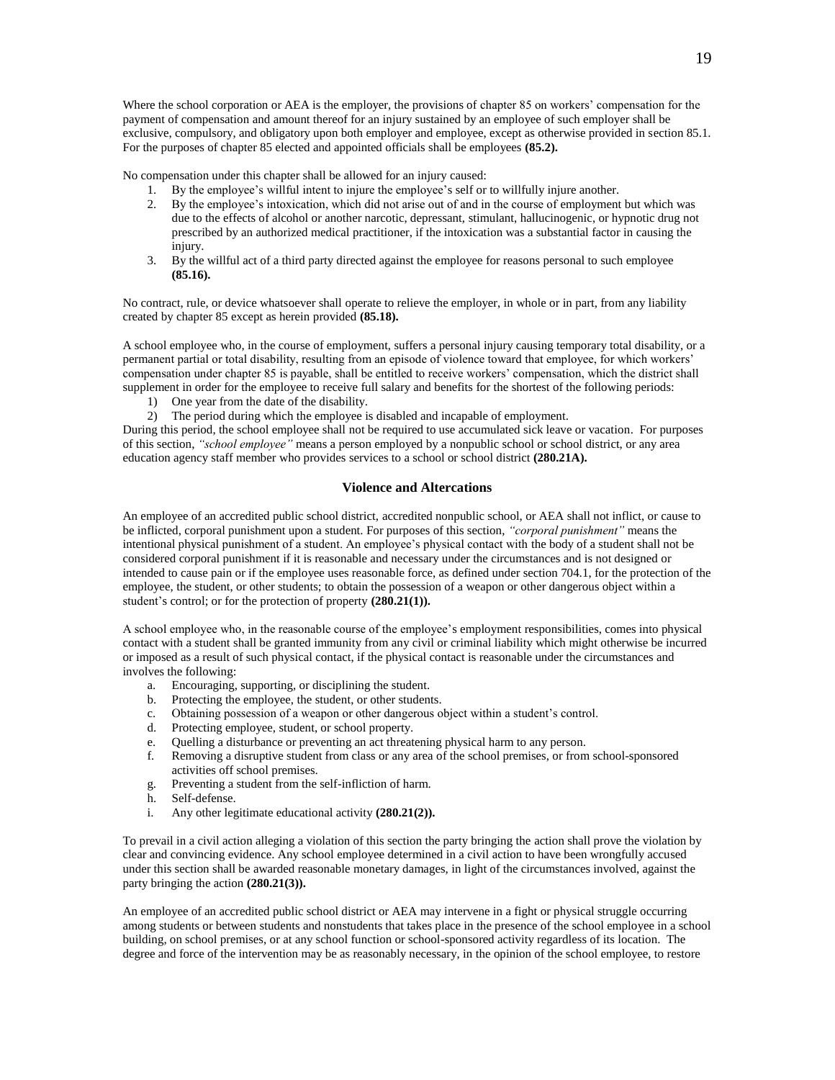Where the school corporation or AEA is the employer, the provisions of chapter 85 on workers' compensation for the payment of compensation and amount thereof for an injury sustained by an employee of such employer shall be exclusive, compulsory, and obligatory upon both employer and employee, except as otherwise provided in section 85.1. For the purposes of chapter 85 elected and appointed officials shall be employees **(85.2).**

No compensation under this chapter shall be allowed for an injury caused:

- 1. By the employee's willful intent to injure the employee's self or to willfully injure another.
- 2. By the employee's intoxication, which did not arise out of and in the course of employment but which was due to the effects of alcohol or another narcotic, depressant, stimulant, hallucinogenic, or hypnotic drug not prescribed by an authorized medical practitioner, if the intoxication was a substantial factor in causing the injury.
- 3. By the willful act of a third party directed against the employee for reasons personal to such employee **(85.16).**

No contract, rule, or device whatsoever shall operate to relieve the employer, in whole or in part, from any liability created by chapter 85 except as herein provided **(85.18).**

A school employee who, in the course of employment, suffers a personal injury causing temporary total disability, or a permanent partial or total disability, resulting from an episode of violence toward that employee, for which workers' compensation under chapter 85 is payable, shall be entitled to receive workers' compensation, which the district shall supplement in order for the employee to receive full salary and benefits for the shortest of the following periods:

- 1) One year from the date of the disability.
- 2) The period during which the employee is disabled and incapable of employment.

During this period, the school employee shall not be required to use accumulated sick leave or vacation. For purposes of this section, *"school employee"* means a person employed by a nonpublic school or school district, or any area education agency staff member who provides services to a school or school district **(280.21A).**

## **Violence and Altercations**

An employee of an accredited public school district, accredited nonpublic school, or AEA shall not inflict, or cause to be inflicted, corporal punishment upon a student. For purposes of this section, *"corporal punishment"* means the intentional physical punishment of a student. An employee's physical contact with the body of a student shall not be considered corporal punishment if it is reasonable and necessary under the circumstances and is not designed or intended to cause pain or if the employee uses reasonable force, as defined under section 704.1, for the protection of the employee, the student, or other students; to obtain the possession of a weapon or other dangerous object within a student's control; or for the protection of property **(280.21(1)).**

A school employee who, in the reasonable course of the employee's employment responsibilities, comes into physical contact with a student shall be granted immunity from any civil or criminal liability which might otherwise be incurred or imposed as a result of such physical contact, if the physical contact is reasonable under the circumstances and involves the following:

- a. Encouraging, supporting, or disciplining the student.
- b. Protecting the employee, the student, or other students.
- c. Obtaining possession of a weapon or other dangerous object within a student's control.
- 
- d. Protecting employee, student, or school property.<br>
e. Quelling a disturbance or preventing an act threat Quelling a disturbance or preventing an act threatening physical harm to any person.
- f. Removing a disruptive student from class or any area of the school premises, or from school-sponsored activities off school premises.
- g. Preventing a student from the self-infliction of harm.
- Self-defense.
- i. Any other legitimate educational activity **(280.21(2)).**

To prevail in a civil action alleging a violation of this section the party bringing the action shall prove the violation by clear and convincing evidence. Any school employee determined in a civil action to have been wrongfully accused under this section shall be awarded reasonable monetary damages, in light of the circumstances involved, against the party bringing the action **(280.21(3)).**

An employee of an accredited public school district or AEA may intervene in a fight or physical struggle occurring among students or between students and nonstudents that takes place in the presence of the school employee in a school building, on school premises, or at any school function or school-sponsored activity regardless of its location. The degree and force of the intervention may be as reasonably necessary, in the opinion of the school employee, to restore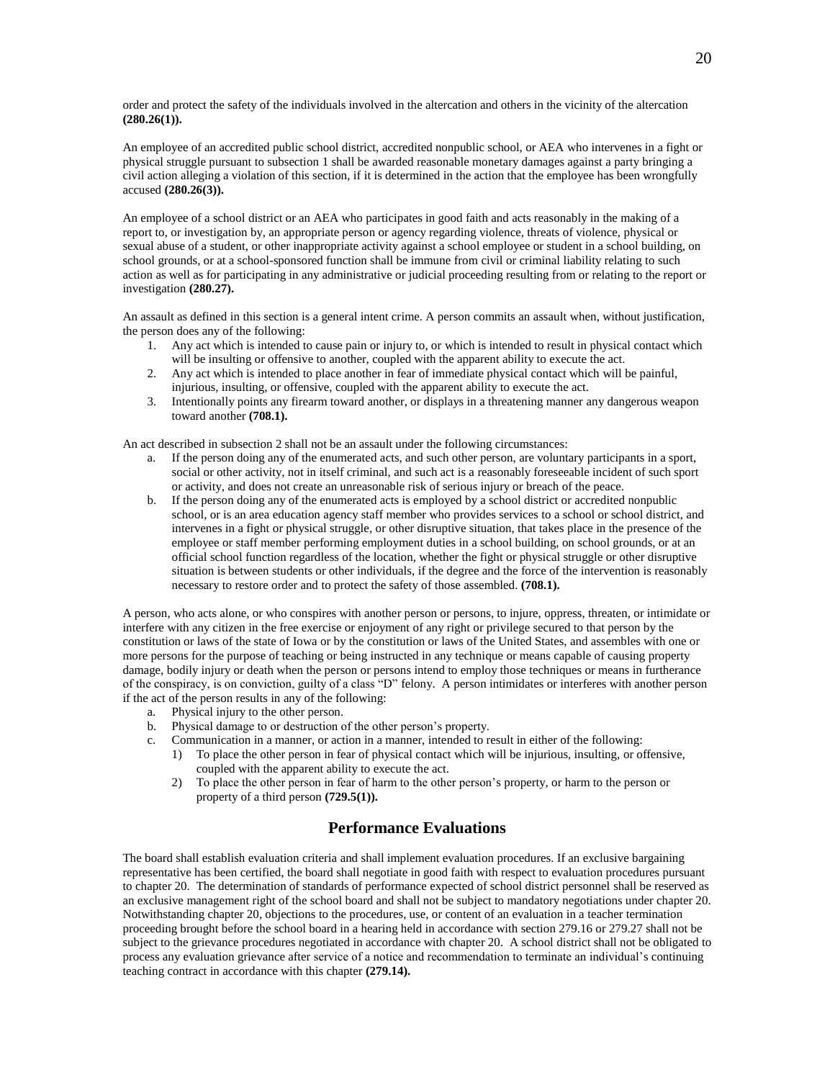order and protect the safety of the individuals involved in the altercation and others in the vicinity of the altercation **(280.26(1)).**

An employee of an accredited public school district, accredited nonpublic school, or AEA who intervenes in a fight or physical struggle pursuant to subsection 1 shall be awarded reasonable monetary damages against a party bringing a civil action alleging a violation of this section, if it is determined in the action that the employee has been wrongfully accused **(280.26(3)).**

An employee of a school district or an AEA who participates in good faith and acts reasonably in the making of a report to, or investigation by, an appropriate person or agency regarding violence, threats of violence, physical or sexual abuse of a student, or other inappropriate activity against a school employee or student in a school building, on school grounds, or at a school-sponsored function shall be immune from civil or criminal liability relating to such action as well as for participating in any administrative or judicial proceeding resulting from or relating to the report or investigation **(280.27).**

An assault as defined in this section is a general intent crime. A person commits an assault when, without justification, the person does any of the following:

- 1. Any act which is intended to cause pain or injury to, or which is intended to result in physical contact which will be insulting or offensive to another, coupled with the apparent ability to execute the act.
- 2. Any act which is intended to place another in fear of immediate physical contact which will be painful, injurious, insulting, or offensive, coupled with the apparent ability to execute the act.
- 3. Intentionally points any firearm toward another, or displays in a threatening manner any dangerous weapon toward another **(708.1).**

An act described in subsection 2 shall not be an assault under the following circumstances:

- a. If the person doing any of the enumerated acts, and such other person, are voluntary participants in a sport, social or other activity, not in itself criminal, and such act is a reasonably foreseeable incident of such sport or activity, and does not create an unreasonable risk of serious injury or breach of the peace.
- b. If the person doing any of the enumerated acts is employed by a school district or accredited nonpublic school, or is an area education agency staff member who provides services to a school or school district, and intervenes in a fight or physical struggle, or other disruptive situation, that takes place in the presence of the employee or staff member performing employment duties in a school building, on school grounds, or at an official school function regardless of the location, whether the fight or physical struggle or other disruptive situation is between students or other individuals, if the degree and the force of the intervention is reasonably necessary to restore order and to protect the safety of those assembled. **(708.1).**

A person, who acts alone, or who conspires with another person or persons, to injure, oppress, threaten, or intimidate or interfere with any citizen in the free exercise or enjoyment of any right or privilege secured to that person by the constitution or laws of the state of Iowa or by the constitution or laws of the United States, and assembles with one or more persons for the purpose of teaching or being instructed in any technique or means capable of causing property damage, bodily injury or death when the person or persons intend to employ those techniques or means in furtherance of the conspiracy, is on conviction, guilty of a class "D" felony. A person intimidates or interferes with another person if the act of the person results in any of the following:

- a. Physical injury to the other person.
- b. Physical damage to or destruction of the other person's property.
- c. Communication in a manner, or action in a manner, intended to result in either of the following:
	- 1) To place the other person in fear of physical contact which will be injurious, insulting, or offensive, coupled with the apparent ability to execute the act.
	- 2) To place the other person in fear of harm to the other person's property, or harm to the person or property of a third person **(729.5(1)).**

# **Performance Evaluations**

The board shall establish evaluation criteria and shall implement evaluation procedures. If an exclusive bargaining representative has been certified, the board shall negotiate in good faith with respect to evaluation procedures pursuant to chapter 20. The determination of standards of performance expected of school district personnel shall be reserved as an exclusive management right of the school board and shall not be subject to mandatory negotiations under chapter 20. Notwithstanding chapter 20, objections to the procedures, use, or content of an evaluation in a teacher termination proceeding brought before the school board in a hearing held in accordance with section 279.16 or 279.27 shall not be subject to the grievance procedures negotiated in accordance with chapter 20. A school district shall not be obligated to process any evaluation grievance after service of a notice and recommendation to terminate an individual's continuing teaching contract in accordance with this chapter **(279.14).**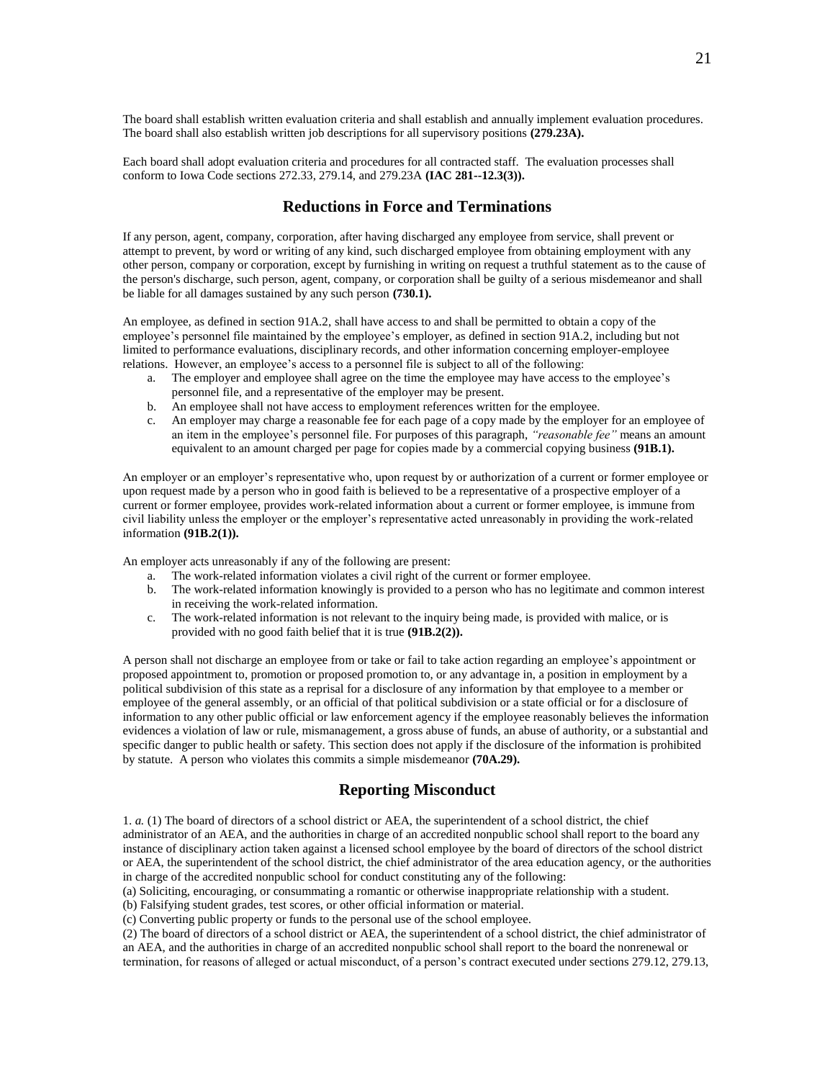The board shall establish written evaluation criteria and shall establish and annually implement evaluation procedures. The board shall also establish written job descriptions for all supervisory positions **(279.23A).**

Each board shall adopt evaluation criteria and procedures for all contracted staff. The evaluation processes shall conform to Iowa Code sections 272.33, 279.14, and 279.23A **(IAC 281--12.3(3)).**

# **Reductions in Force and Terminations**

If any person, agent, company, corporation, after having discharged any employee from service, shall prevent or attempt to prevent, by word or writing of any kind, such discharged employee from obtaining employment with any other person, company or corporation, except by furnishing in writing on request a truthful statement as to the cause of the person's discharge, such person, agent, company, or corporation shall be guilty of a serious misdemeanor and shall be liable for all damages sustained by any such person **(730.1).**

An employee, as defined in section 91A.2, shall have access to and shall be permitted to obtain a copy of the employee's personnel file maintained by the employee's employer, as defined in section 91A.2, including but not limited to performance evaluations, disciplinary records, and other information concerning employer-employee relations. However, an employee's access to a personnel file is subject to all of the following:

- a. The employer and employee shall agree on the time the employee may have access to the employee's personnel file, and a representative of the employer may be present.
- b. An employee shall not have access to employment references written for the employee.
- c. An employer may charge a reasonable fee for each page of a copy made by the employer for an employee of an item in the employee's personnel file. For purposes of this paragraph, *"reasonable fee"* means an amount equivalent to an amount charged per page for copies made by a commercial copying business **(91B.1).**

An employer or an employer's representative who, upon request by or authorization of a current or former employee or upon request made by a person who in good faith is believed to be a representative of a prospective employer of a current or former employee, provides work-related information about a current or former employee, is immune from civil liability unless the employer or the employer's representative acted unreasonably in providing the work-related information **(91B.2(1)).**

An employer acts unreasonably if any of the following are present:

- a. The work-related information violates a civil right of the current or former employee.
- b. The work-related information knowingly is provided to a person who has no legitimate and common interest in receiving the work-related information.
- c. The work-related information is not relevant to the inquiry being made, is provided with malice, or is provided with no good faith belief that it is true **(91B.2(2)).**

A person shall not discharge an employee from or take or fail to take action regarding an employee's appointment or proposed appointment to, promotion or proposed promotion to, or any advantage in, a position in employment by a political subdivision of this state as a reprisal for a disclosure of any information by that employee to a member or employee of the general assembly, or an official of that political subdivision or a state official or for a disclosure of information to any other public official or law enforcement agency if the employee reasonably believes the information evidences a violation of law or rule, mismanagement, a gross abuse of funds, an abuse of authority, or a substantial and specific danger to public health or safety. This section does not apply if the disclosure of the information is prohibited by statute. A person who violates this commits a simple misdemeanor **(70A.29).**

# **Reporting Misconduct**

1. *a.* (1) The board of directors of a school district or AEA, the superintendent of a school district, the chief administrator of an AEA, and the authorities in charge of an accredited nonpublic school shall report to the board any instance of disciplinary action taken against a licensed school employee by the board of directors of the school district or AEA, the superintendent of the school district, the chief administrator of the area education agency, or the authorities in charge of the accredited nonpublic school for conduct constituting any of the following:

(a) Soliciting, encouraging, or consummating a romantic or otherwise inappropriate relationship with a student.

(b) Falsifying student grades, test scores, or other official information or material.

(c) Converting public property or funds to the personal use of the school employee.

(2) The board of directors of a school district or AEA, the superintendent of a school district, the chief administrator of an AEA, and the authorities in charge of an accredited nonpublic school shall report to the board the nonrenewal or termination, for reasons of alleged or actual misconduct, of a person's contract executed under sections 279.12, 279.13,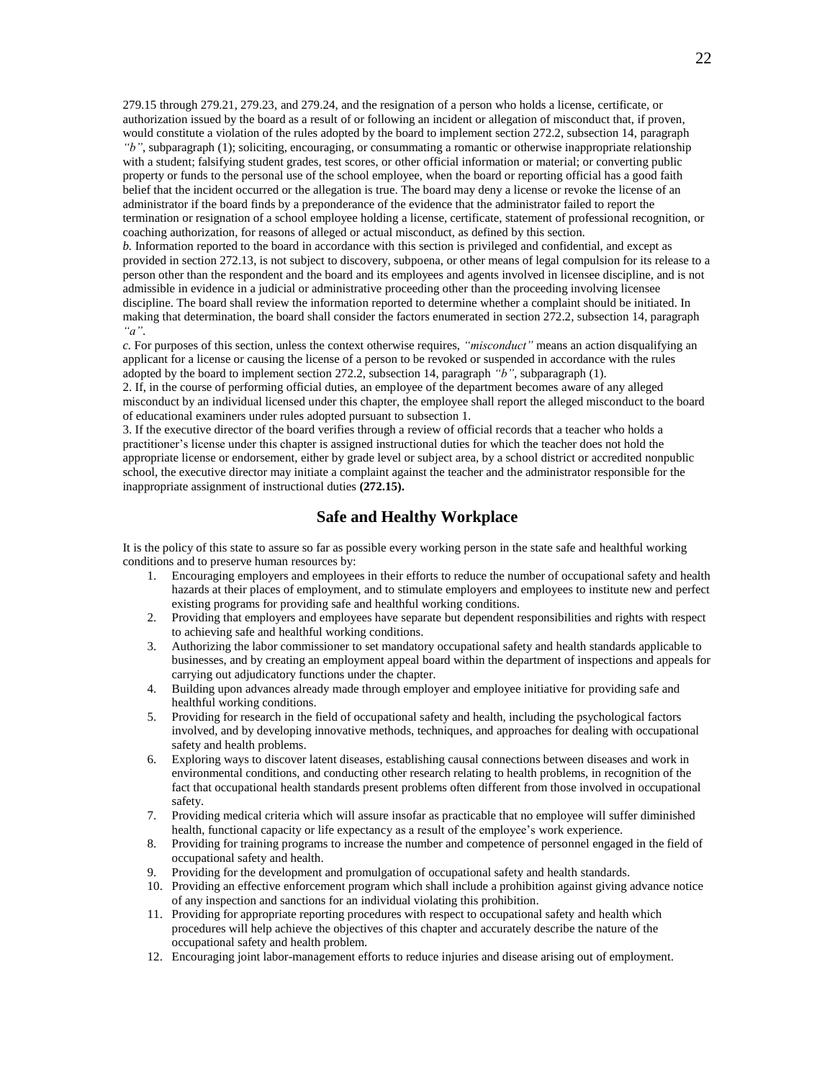279.15 through 279.21, 279.23, and 279.24, and the resignation of a person who holds a license, certificate, or authorization issued by the board as a result of or following an incident or allegation of misconduct that, if proven, would constitute a violation of the rules adopted by the board to implement section 272.2, subsection 14, paragraph *"b"*, subparagraph (1); soliciting, encouraging, or consummating a romantic or otherwise inappropriate relationship with a student; falsifying student grades, test scores, or other official information or material; or converting public property or funds to the personal use of the school employee, when the board or reporting official has a good faith belief that the incident occurred or the allegation is true. The board may deny a license or revoke the license of an administrator if the board finds by a preponderance of the evidence that the administrator failed to report the termination or resignation of a school employee holding a license, certificate, statement of professional recognition, or coaching authorization, for reasons of alleged or actual misconduct, as defined by this section.

*b.* Information reported to the board in accordance with this section is privileged and confidential, and except as provided in section 272.13, is not subject to discovery, subpoena, or other means of legal compulsion for its release to a person other than the respondent and the board and its employees and agents involved in licensee discipline, and is not admissible in evidence in a judicial or administrative proceeding other than the proceeding involving licensee discipline. The board shall review the information reported to determine whether a complaint should be initiated. In making that determination, the board shall consider the factors enumerated in section 272.2, subsection 14, paragraph *"a"*.

*c.* For purposes of this section, unless the context otherwise requires, *"misconduct"* means an action disqualifying an applicant for a license or causing the license of a person to be revoked or suspended in accordance with the rules adopted by the board to implement section 272.2, subsection 14, paragraph *"b"*, subparagraph (1).

2. If, in the course of performing official duties, an employee of the department becomes aware of any alleged misconduct by an individual licensed under this chapter, the employee shall report the alleged misconduct to the board of educational examiners under rules adopted pursuant to subsection 1.

3. If the executive director of the board verifies through a review of official records that a teacher who holds a practitioner's license under this chapter is assigned instructional duties for which the teacher does not hold the appropriate license or endorsement, either by grade level or subject area, by a school district or accredited nonpublic school, the executive director may initiate a complaint against the teacher and the administrator responsible for the inappropriate assignment of instructional duties **(272.15).**

# **Safe and Healthy Workplace**

It is the policy of this state to assure so far as possible every working person in the state safe and healthful working conditions and to preserve human resources by:

- 1. Encouraging employers and employees in their efforts to reduce the number of occupational safety and health hazards at their places of employment, and to stimulate employers and employees to institute new and perfect existing programs for providing safe and healthful working conditions.
- 2. Providing that employers and employees have separate but dependent responsibilities and rights with respect to achieving safe and healthful working conditions.
- 3. Authorizing the labor commissioner to set mandatory occupational safety and health standards applicable to businesses, and by creating an employment appeal board within the department of inspections and appeals for carrying out adjudicatory functions under the chapter.
- 4. Building upon advances already made through employer and employee initiative for providing safe and healthful working conditions.
- 5. Providing for research in the field of occupational safety and health, including the psychological factors involved, and by developing innovative methods, techniques, and approaches for dealing with occupational safety and health problems.
- 6. Exploring ways to discover latent diseases, establishing causal connections between diseases and work in environmental conditions, and conducting other research relating to health problems, in recognition of the fact that occupational health standards present problems often different from those involved in occupational safety.
- 7. Providing medical criteria which will assure insofar as practicable that no employee will suffer diminished health, functional capacity or life expectancy as a result of the employee's work experience.
- 8. Providing for training programs to increase the number and competence of personnel engaged in the field of occupational safety and health.
- 9. Providing for the development and promulgation of occupational safety and health standards.
- 10. Providing an effective enforcement program which shall include a prohibition against giving advance notice of any inspection and sanctions for an individual violating this prohibition.
- 11. Providing for appropriate reporting procedures with respect to occupational safety and health which procedures will help achieve the objectives of this chapter and accurately describe the nature of the occupational safety and health problem.
- 12. Encouraging joint labor-management efforts to reduce injuries and disease arising out of employment.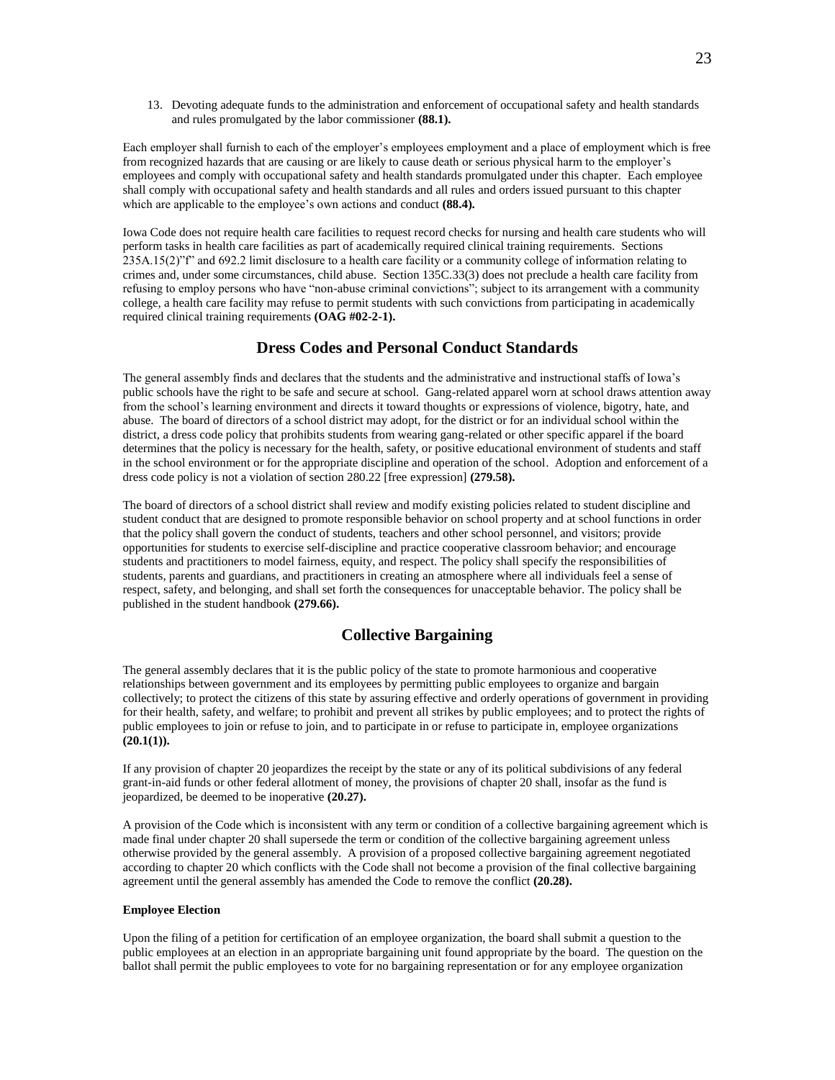13. Devoting adequate funds to the administration and enforcement of occupational safety and health standards and rules promulgated by the labor commissioner **(88.1).**

Each employer shall furnish to each of the employer's employees employment and a place of employment which is free from recognized hazards that are causing or are likely to cause death or serious physical harm to the employer's employees and comply with occupational safety and health standards promulgated under this chapter. Each employee shall comply with occupational safety and health standards and all rules and orders issued pursuant to this chapter which are applicable to the employee's own actions and conduct **(88.4).**

Iowa Code does not require health care facilities to request record checks for nursing and health care students who will perform tasks in health care facilities as part of academically required clinical training requirements. Sections 235A.15(2)"f" and 692.2 limit disclosure to a health care facility or a community college of information relating to crimes and, under some circumstances, child abuse. Section 135C.33(3) does not preclude a health care facility from refusing to employ persons who have "non-abuse criminal convictions"; subject to its arrangement with a community college, a health care facility may refuse to permit students with such convictions from participating in academically required clinical training requirements **(OAG #02-2-1).**

# **Dress Codes and Personal Conduct Standards**

The general assembly finds and declares that the students and the administrative and instructional staffs of Iowa's public schools have the right to be safe and secure at school. Gang-related apparel worn at school draws attention away from the school's learning environment and directs it toward thoughts or expressions of violence, bigotry, hate, and abuse. The board of directors of a school district may adopt, for the district or for an individual school within the district, a dress code policy that prohibits students from wearing gang-related or other specific apparel if the board determines that the policy is necessary for the health, safety, or positive educational environment of students and staff in the school environment or for the appropriate discipline and operation of the school. Adoption and enforcement of a dress code policy is not a violation of section 280.22 [free expression] **(279.58).**

The board of directors of a school district shall review and modify existing policies related to student discipline and student conduct that are designed to promote responsible behavior on school property and at school functions in order that the policy shall govern the conduct of students, teachers and other school personnel, and visitors; provide opportunities for students to exercise self-discipline and practice cooperative classroom behavior; and encourage students and practitioners to model fairness, equity, and respect. The policy shall specify the responsibilities of students, parents and guardians, and practitioners in creating an atmosphere where all individuals feel a sense of respect, safety, and belonging, and shall set forth the consequences for unacceptable behavior. The policy shall be published in the student handbook **(279.66).**

## **Collective Bargaining**

The general assembly declares that it is the public policy of the state to promote harmonious and cooperative relationships between government and its employees by permitting public employees to organize and bargain collectively; to protect the citizens of this state by assuring effective and orderly operations of government in providing for their health, safety, and welfare; to prohibit and prevent all strikes by public employees; and to protect the rights of public employees to join or refuse to join, and to participate in or refuse to participate in, employee organizations **(20.1(1)).**

If any provision of chapter 20 jeopardizes the receipt by the state or any of its political subdivisions of any federal grant-in-aid funds or other federal allotment of money, the provisions of chapter 20 shall, insofar as the fund is jeopardized, be deemed to be inoperative **(20.27).**

A provision of the Code which is inconsistent with any term or condition of a collective bargaining agreement which is made final under chapter 20 shall supersede the term or condition of the collective bargaining agreement unless otherwise provided by the general assembly. A provision of a proposed collective bargaining agreement negotiated according to chapter 20 which conflicts with the Code shall not become a provision of the final collective bargaining agreement until the general assembly has amended the Code to remove the conflict **(20.28).**

#### **Employee Election**

Upon the filing of a petition for certification of an employee organization, the board shall submit a question to the public employees at an election in an appropriate bargaining unit found appropriate by the board. The question on the ballot shall permit the public employees to vote for no bargaining representation or for any employee organization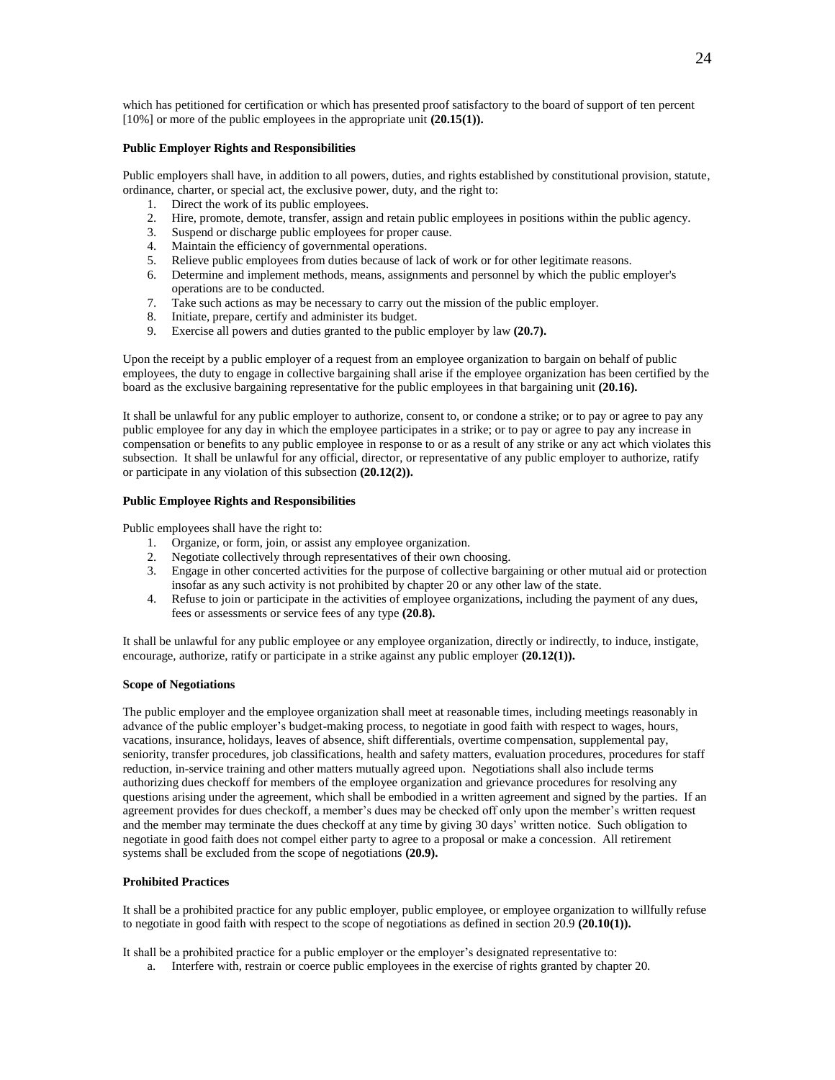which has petitioned for certification or which has presented proof satisfactory to the board of support of ten percent [10%] or more of the public employees in the appropriate unit  $(20.15(1))$ .

### **Public Employer Rights and Responsibilities**

Public employers shall have, in addition to all powers, duties, and rights established by constitutional provision, statute, ordinance, charter, or special act, the exclusive power, duty, and the right to:

- 1. Direct the work of its public employees.
- 2. Hire, promote, demote, transfer, assign and retain public employees in positions within the public agency.
- 3. Suspend or discharge public employees for proper cause.
- 4. Maintain the efficiency of governmental operations.
- 5. Relieve public employees from duties because of lack of work or for other legitimate reasons.
- 6. Determine and implement methods, means, assignments and personnel by which the public employer's operations are to be conducted.
- 7. Take such actions as may be necessary to carry out the mission of the public employer.
- 8. Initiate, prepare, certify and administer its budget.
- 9. Exercise all powers and duties granted to the public employer by law **(20.7).**

Upon the receipt by a public employer of a request from an employee organization to bargain on behalf of public employees, the duty to engage in collective bargaining shall arise if the employee organization has been certified by the board as the exclusive bargaining representative for the public employees in that bargaining unit **(20.16).**

It shall be unlawful for any public employer to authorize, consent to, or condone a strike; or to pay or agree to pay any public employee for any day in which the employee participates in a strike; or to pay or agree to pay any increase in compensation or benefits to any public employee in response to or as a result of any strike or any act which violates this subsection. It shall be unlawful for any official, director, or representative of any public employer to authorize, ratify or participate in any violation of this subsection **(20.12(2)).**

## **Public Employee Rights and Responsibilities**

Public employees shall have the right to:

- 1. Organize, or form, join, or assist any employee organization.
- 2. Negotiate collectively through representatives of their own choosing.
- 3. Engage in other concerted activities for the purpose of collective bargaining or other mutual aid or protection insofar as any such activity is not prohibited by chapter 20 or any other law of the state.
- 4. Refuse to join or participate in the activities of employee organizations, including the payment of any dues, fees or assessments or service fees of any type **(20.8).**

It shall be unlawful for any public employee or any employee organization, directly or indirectly, to induce, instigate, encourage, authorize, ratify or participate in a strike against any public employer **(20.12(1)).**

## **Scope of Negotiations**

The public employer and the employee organization shall meet at reasonable times, including meetings reasonably in advance of the public employer's budget-making process, to negotiate in good faith with respect to wages, hours, vacations, insurance, holidays, leaves of absence, shift differentials, overtime compensation, supplemental pay, seniority, transfer procedures, job classifications, health and safety matters, evaluation procedures, procedures for staff reduction, in-service training and other matters mutually agreed upon. Negotiations shall also include terms authorizing dues checkoff for members of the employee organization and grievance procedures for resolving any questions arising under the agreement, which shall be embodied in a written agreement and signed by the parties. If an agreement provides for dues checkoff, a member's dues may be checked off only upon the member's written request and the member may terminate the dues checkoff at any time by giving 30 days' written notice. Such obligation to negotiate in good faith does not compel either party to agree to a proposal or make a concession. All retirement systems shall be excluded from the scope of negotiations **(20.9).**

## **Prohibited Practices**

It shall be a prohibited practice for any public employer, public employee, or employee organization to willfully refuse to negotiate in good faith with respect to the scope of negotiations as defined in section 20.9 **(20.10(1)).**

It shall be a prohibited practice for a public employer or the employer's designated representative to:

a. Interfere with, restrain or coerce public employees in the exercise of rights granted by chapter 20.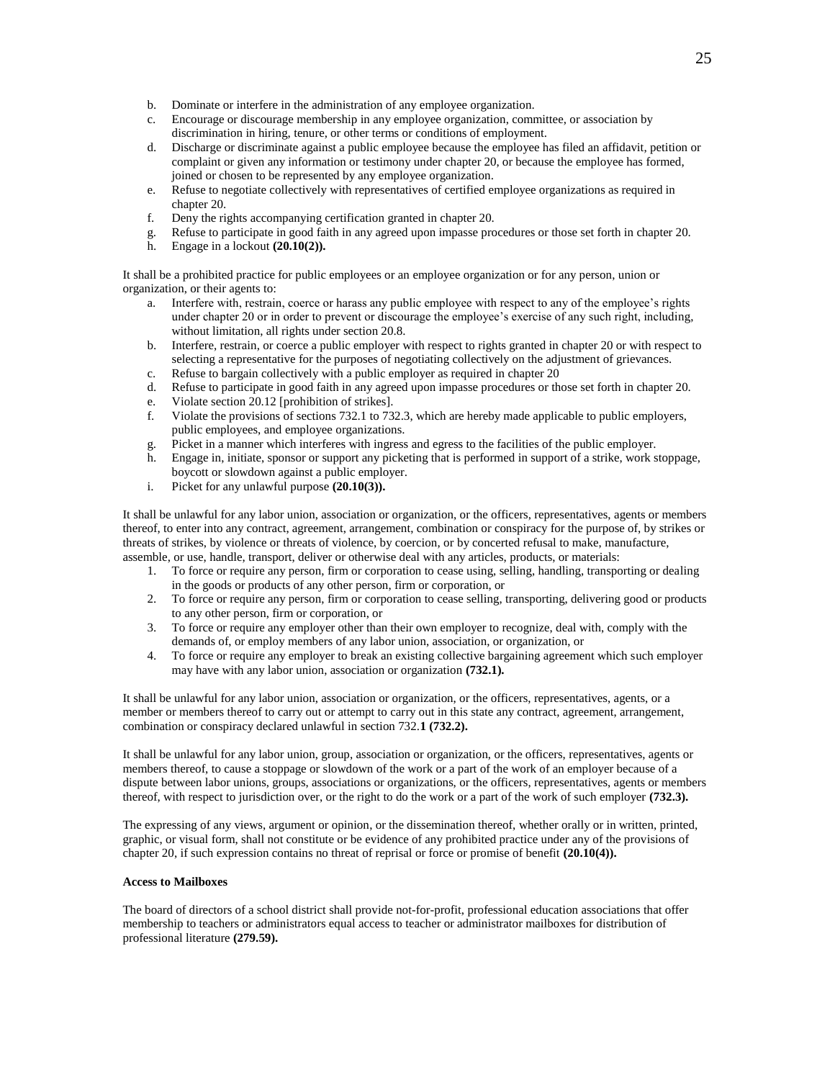- b. Dominate or interfere in the administration of any employee organization.
- c. Encourage or discourage membership in any employee organization, committee, or association by discrimination in hiring, tenure, or other terms or conditions of employment.
- d. Discharge or discriminate against a public employee because the employee has filed an affidavit, petition or complaint or given any information or testimony under chapter 20, or because the employee has formed, joined or chosen to be represented by any employee organization.
- e. Refuse to negotiate collectively with representatives of certified employee organizations as required in chapter 20.
- f. Deny the rights accompanying certification granted in chapter 20.
- g. Refuse to participate in good faith in any agreed upon impasse procedures or those set forth in chapter 20.
- h. Engage in a lockout **(20.10(2)).**

It shall be a prohibited practice for public employees or an employee organization or for any person, union or organization, or their agents to:

- a. Interfere with, restrain, coerce or harass any public employee with respect to any of the employee's rights under chapter 20 or in order to prevent or discourage the employee's exercise of any such right, including, without limitation, all rights under section 20.8.
- b. Interfere, restrain, or coerce a public employer with respect to rights granted in chapter 20 or with respect to selecting a representative for the purposes of negotiating collectively on the adjustment of grievances.
- c. Refuse to bargain collectively with a public employer as required in chapter 20
- d. Refuse to participate in good faith in any agreed upon impasse procedures or those set forth in chapter 20.
- e. Violate section 20.12 [prohibition of strikes].<br>f. Violate the provisions of sections 732.1 to 73
- Violate the provisions of sections 732.1 to 732.3, which are hereby made applicable to public employers, public employees, and employee organizations.
- g. Picket in a manner which interferes with ingress and egress to the facilities of the public employer.<br>
In Engage in, initiate, sponsor or support any picketing that is performed in support of a strike, work so
- h. Engage in, initiate, sponsor or support any picketing that is performed in support of a strike, work stoppage, boycott or slowdown against a public employer.
- i. Picket for any unlawful purpose **(20.10(3)).**

It shall be unlawful for any labor union, association or organization, or the officers, representatives, agents or members thereof, to enter into any contract, agreement, arrangement, combination or conspiracy for the purpose of, by strikes or threats of strikes, by violence or threats of violence, by coercion, or by concerted refusal to make, manufacture, assemble, or use, handle, transport, deliver or otherwise deal with any articles, products, or materials:

- 1. To force or require any person, firm or corporation to cease using, selling, handling, transporting or dealing in the goods or products of any other person, firm or corporation, or
- 2. To force or require any person, firm or corporation to cease selling, transporting, delivering good or products to any other person, firm or corporation, or
- 3. To force or require any employer other than their own employer to recognize, deal with, comply with the demands of, or employ members of any labor union, association, or organization, or
- 4. To force or require any employer to break an existing collective bargaining agreement which such employer may have with any labor union, association or organization **(732.1).**

It shall be unlawful for any labor union, association or organization, or the officers, representatives, agents, or a member or members thereof to carry out or attempt to carry out in this state any contract, agreement, arrangement, combination or conspiracy declared unlawful in section 732.**1 (732.2).**

It shall be unlawful for any labor union, group, association or organization, or the officers, representatives, agents or members thereof, to cause a stoppage or slowdown of the work or a part of the work of an employer because of a dispute between labor unions, groups, associations or organizations, or the officers, representatives, agents or members thereof, with respect to jurisdiction over, or the right to do the work or a part of the work of such employer **(732.3).**

The expressing of any views, argument or opinion, or the dissemination thereof, whether orally or in written, printed, graphic, or visual form, shall not constitute or be evidence of any prohibited practice under any of the provisions of chapter 20, if such expression contains no threat of reprisal or force or promise of benefit **(20.10(4)).**

## **Access to Mailboxes**

The board of directors of a school district shall provide not-for-profit, professional education associations that offer membership to teachers or administrators equal access to teacher or administrator mailboxes for distribution of professional literature **(279.59).**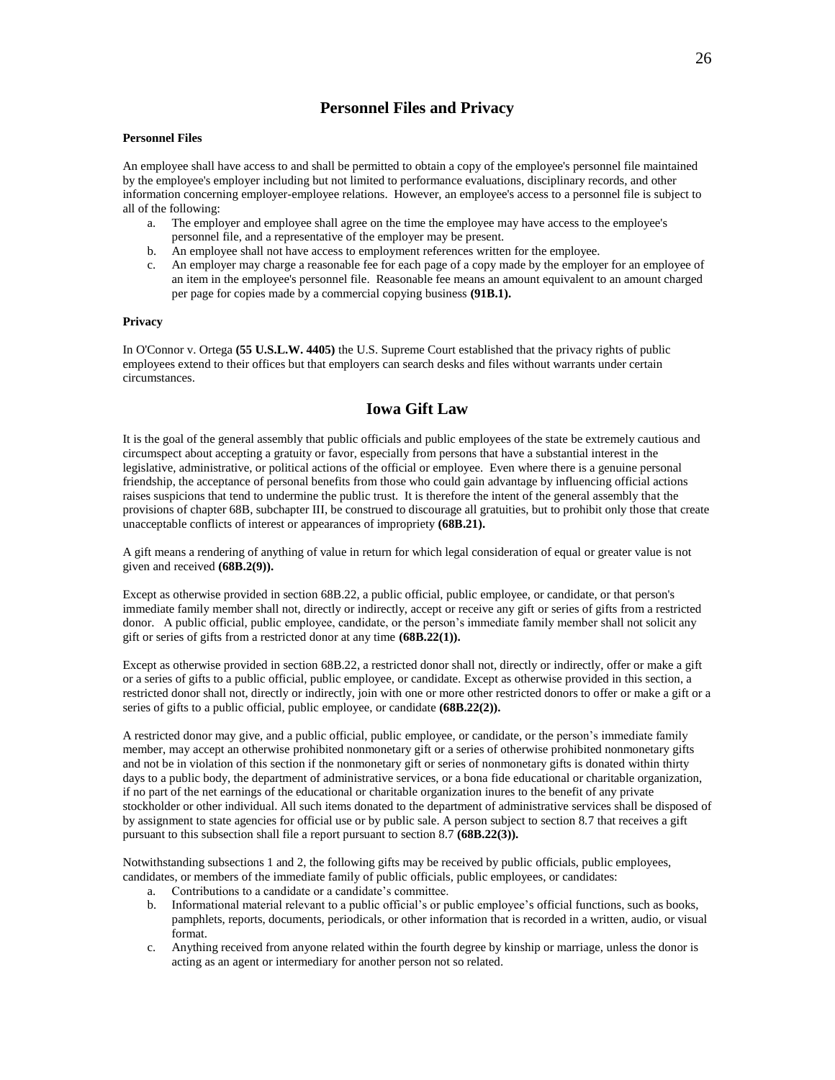# **Personnel Files and Privacy**

## **Personnel Files**

An employee shall have access to and shall be permitted to obtain a copy of the employee's personnel file maintained by the employee's employer including but not limited to performance evaluations, disciplinary records, and other information concerning employer-employee relations. However, an employee's access to a personnel file is subject to all of the following:

- a. The employer and employee shall agree on the time the employee may have access to the employee's personnel file, and a representative of the employer may be present.
- b. An employee shall not have access to employment references written for the employee.
- c. An employer may charge a reasonable fee for each page of a copy made by the employer for an employee of an item in the employee's personnel file. Reasonable fee means an amount equivalent to an amount charged per page for copies made by a commercial copying business **(91B.1).**

### **Privacy**

In O'Connor v. Ortega **(55 U.S.L.W. 4405)** the U.S. Supreme Court established that the privacy rights of public employees extend to their offices but that employers can search desks and files without warrants under certain circumstances.

# **Iowa Gift Law**

It is the goal of the general assembly that public officials and public employees of the state be extremely cautious and circumspect about accepting a gratuity or favor, especially from persons that have a substantial interest in the legislative, administrative, or political actions of the official or employee. Even where there is a genuine personal friendship, the acceptance of personal benefits from those who could gain advantage by influencing official actions raises suspicions that tend to undermine the public trust. It is therefore the intent of the general assembly that the provisions of chapter 68B, subchapter III, be construed to discourage all gratuities, but to prohibit only those that create unacceptable conflicts of interest or appearances of impropriety **(68B.21).**

A gift means a rendering of anything of value in return for which legal consideration of equal or greater value is not given and received **(68B.2(9)).**

Except as otherwise provided in section 68B.22, a public official, public employee, or candidate, or that person's immediate family member shall not, directly or indirectly, accept or receive any gift or series of gifts from a restricted donor. A public official, public employee, candidate, or the person's immediate family member shall not solicit any gift or series of gifts from a restricted donor at any time **(68B.22(1)).**

Except as otherwise provided in section 68B.22, a restricted donor shall not, directly or indirectly, offer or make a gift or a series of gifts to a public official, public employee, or candidate. Except as otherwise provided in this section, a restricted donor shall not, directly or indirectly, join with one or more other restricted donors to offer or make a gift or a series of gifts to a public official, public employee, or candidate **(68B.22(2)).**

A restricted donor may give, and a public official, public employee, or candidate, or the person's immediate family member, may accept an otherwise prohibited nonmonetary gift or a series of otherwise prohibited nonmonetary gifts and not be in violation of this section if the nonmonetary gift or series of nonmonetary gifts is donated within thirty days to a public body, the department of administrative services, or a bona fide educational or charitable organization, if no part of the net earnings of the educational or charitable organization inures to the benefit of any private stockholder or other individual. All such items donated to the department of administrative services shall be disposed of by assignment to state agencies for official use or by public sale. A person subject to section 8.7 that receives a gift pursuant to this subsection shall file a report pursuant to section 8.7 **(68B.22(3)).**

Notwithstanding subsections 1 and 2, the following gifts may be received by public officials, public employees, candidates, or members of the immediate family of public officials, public employees, or candidates:

- a. Contributions to a candidate or a candidate's committee.
- b. Informational material relevant to a public official's or public employee's official functions, such as books, pamphlets, reports, documents, periodicals, or other information that is recorded in a written, audio, or visual format.
- c. Anything received from anyone related within the fourth degree by kinship or marriage, unless the donor is acting as an agent or intermediary for another person not so related.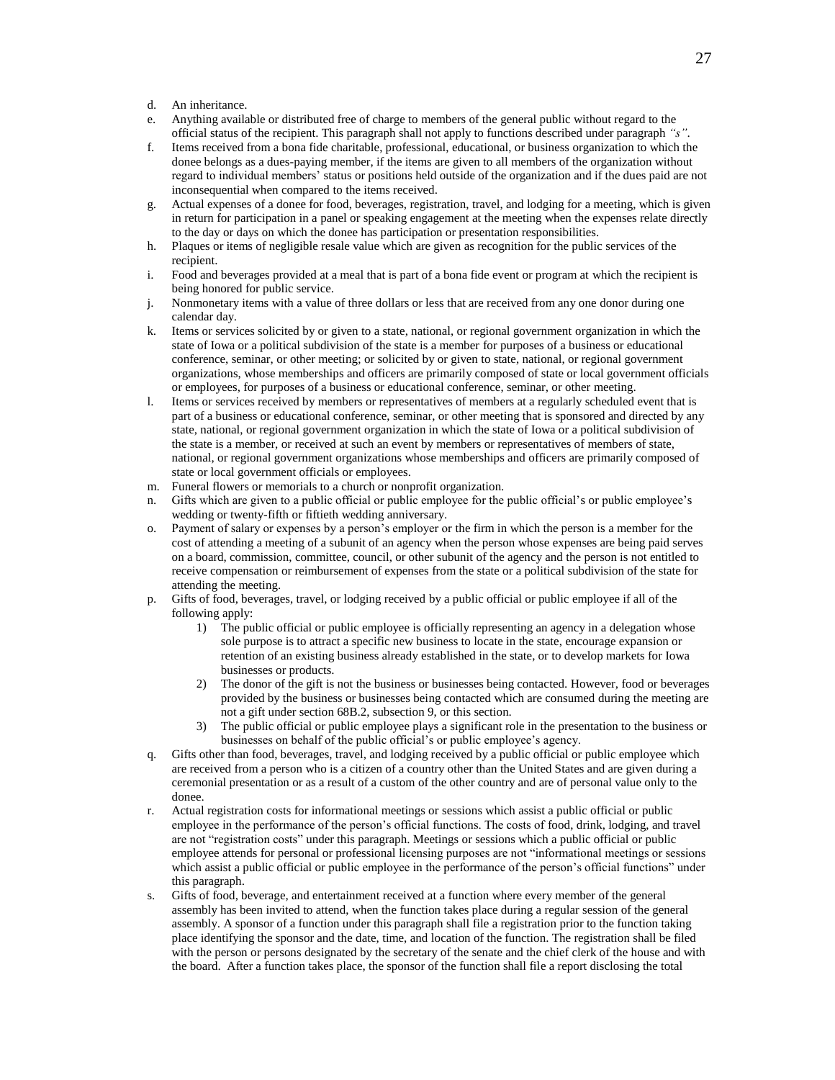- d. An inheritance.
- e. Anything available or distributed free of charge to members of the general public without regard to the official status of the recipient. This paragraph shall not apply to functions described under paragraph *"s"*.
- f. Items received from a bona fide charitable, professional, educational, or business organization to which the donee belongs as a dues-paying member, if the items are given to all members of the organization without regard to individual members' status or positions held outside of the organization and if the dues paid are not inconsequential when compared to the items received.
- g. Actual expenses of a donee for food, beverages, registration, travel, and lodging for a meeting, which is given in return for participation in a panel or speaking engagement at the meeting when the expenses relate directly to the day or days on which the donee has participation or presentation responsibilities.
- h. Plaques or items of negligible resale value which are given as recognition for the public services of the recipient.
- i. Food and beverages provided at a meal that is part of a bona fide event or program at which the recipient is being honored for public service.
- j. Nonmonetary items with a value of three dollars or less that are received from any one donor during one calendar day.
- k. Items or services solicited by or given to a state, national, or regional government organization in which the state of Iowa or a political subdivision of the state is a member for purposes of a business or educational conference, seminar, or other meeting; or solicited by or given to state, national, or regional government organizations, whose memberships and officers are primarily composed of state or local government officials or employees, for purposes of a business or educational conference, seminar, or other meeting.
- l. Items or services received by members or representatives of members at a regularly scheduled event that is part of a business or educational conference, seminar, or other meeting that is sponsored and directed by any state, national, or regional government organization in which the state of Iowa or a political subdivision of the state is a member, or received at such an event by members or representatives of members of state, national, or regional government organizations whose memberships and officers are primarily composed of state or local government officials or employees.
- m. Funeral flowers or memorials to a church or nonprofit organization.
- n. Gifts which are given to a public official or public employee for the public official's or public employee's wedding or twenty-fifth or fiftieth wedding anniversary.
- o. Payment of salary or expenses by a person's employer or the firm in which the person is a member for the cost of attending a meeting of a subunit of an agency when the person whose expenses are being paid serves on a board, commission, committee, council, or other subunit of the agency and the person is not entitled to receive compensation or reimbursement of expenses from the state or a political subdivision of the state for attending the meeting.
- p. Gifts of food, beverages, travel, or lodging received by a public official or public employee if all of the following apply:
	- 1) The public official or public employee is officially representing an agency in a delegation whose sole purpose is to attract a specific new business to locate in the state, encourage expansion or retention of an existing business already established in the state, or to develop markets for Iowa businesses or products.
	- 2) The donor of the gift is not the business or businesses being contacted. However, food or beverages provided by the business or businesses being contacted which are consumed during the meeting are not a gift under section 68B.2, subsection 9, or this section.
	- 3) The public official or public employee plays a significant role in the presentation to the business or businesses on behalf of the public official's or public employee's agency.
- q. Gifts other than food, beverages, travel, and lodging received by a public official or public employee which are received from a person who is a citizen of a country other than the United States and are given during a ceremonial presentation or as a result of a custom of the other country and are of personal value only to the donee.
- r. Actual registration costs for informational meetings or sessions which assist a public official or public employee in the performance of the person's official functions. The costs of food, drink, lodging, and travel are not "registration costs" under this paragraph. Meetings or sessions which a public official or public employee attends for personal or professional licensing purposes are not "informational meetings or sessions which assist a public official or public employee in the performance of the person's official functions" under this paragraph.
- s. Gifts of food, beverage, and entertainment received at a function where every member of the general assembly has been invited to attend, when the function takes place during a regular session of the general assembly. A sponsor of a function under this paragraph shall file a registration prior to the function taking place identifying the sponsor and the date, time, and location of the function. The registration shall be filed with the person or persons designated by the secretary of the senate and the chief clerk of the house and with the board. After a function takes place, the sponsor of the function shall file a report disclosing the total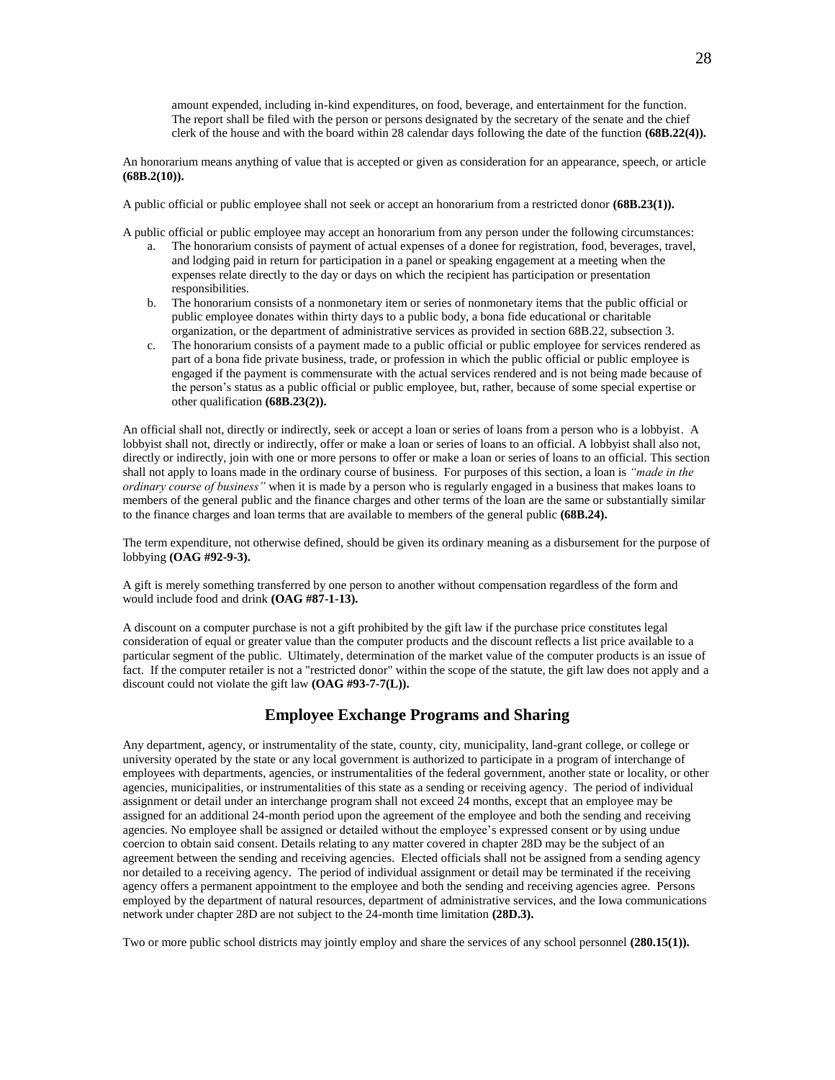amount expended, including in-kind expenditures, on food, beverage, and entertainment for the function. The report shall be filed with the person or persons designated by the secretary of the senate and the chief clerk of the house and with the board within 28 calendar days following the date of the function **(68B.22(4)).**

An honorarium means anything of value that is accepted or given as consideration for an appearance, speech, or article **(68B.2(10)).**

A public official or public employee shall not seek or accept an honorarium from a restricted donor **(68B.23(1)).**

A public official or public employee may accept an honorarium from any person under the following circumstances:

- a. The honorarium consists of payment of actual expenses of a donee for registration, food, beverages, travel, and lodging paid in return for participation in a panel or speaking engagement at a meeting when the expenses relate directly to the day or days on which the recipient has participation or presentation responsibilities.
- b. The honorarium consists of a nonmonetary item or series of nonmonetary items that the public official or public employee donates within thirty days to a public body, a bona fide educational or charitable organization, or the department of administrative services as provided in section 68B.22, subsection 3.
- c. The honorarium consists of a payment made to a public official or public employee for services rendered as part of a bona fide private business, trade, or profession in which the public official or public employee is engaged if the payment is commensurate with the actual services rendered and is not being made because of the person's status as a public official or public employee, but, rather, because of some special expertise or other qualification **(68B.23(2)).**

An official shall not, directly or indirectly, seek or accept a loan or series of loans from a person who is a lobbyist. A lobbyist shall not, directly or indirectly, offer or make a loan or series of loans to an official. A lobbyist shall also not, directly or indirectly, join with one or more persons to offer or make a loan or series of loans to an official. This section shall not apply to loans made in the ordinary course of business. For purposes of this section, a loan is *"made in the ordinary course of business"* when it is made by a person who is regularly engaged in a business that makes loans to members of the general public and the finance charges and other terms of the loan are the same or substantially similar to the finance charges and loan terms that are available to members of the general public **(68B.24).**

The term expenditure, not otherwise defined, should be given its ordinary meaning as a disbursement for the purpose of lobbying **(OAG #92-9-3).**

A gift is merely something transferred by one person to another without compensation regardless of the form and would include food and drink **(OAG #87-1-13).**

A discount on a computer purchase is not a gift prohibited by the gift law if the purchase price constitutes legal consideration of equal or greater value than the computer products and the discount reflects a list price available to a particular segment of the public. Ultimately, determination of the market value of the computer products is an issue of fact. If the computer retailer is not a "restricted donor" within the scope of the statute, the gift law does not apply and a discount could not violate the gift law **(OAG #93-7-7(L)).**

# **Employee Exchange Programs and Sharing**

Any department, agency, or instrumentality of the state, county, city, municipality, land-grant college, or college or university operated by the state or any local government is authorized to participate in a program of interchange of employees with departments, agencies, or instrumentalities of the federal government, another state or locality, or other agencies, municipalities, or instrumentalities of this state as a sending or receiving agency. The period of individual assignment or detail under an interchange program shall not exceed 24 months, except that an employee may be assigned for an additional 24-month period upon the agreement of the employee and both the sending and receiving agencies. No employee shall be assigned or detailed without the employee's expressed consent or by using undue coercion to obtain said consent. Details relating to any matter covered in chapter 28D may be the subject of an agreement between the sending and receiving agencies. Elected officials shall not be assigned from a sending agency nor detailed to a receiving agency. The period of individual assignment or detail may be terminated if the receiving agency offers a permanent appointment to the employee and both the sending and receiving agencies agree. Persons employed by the department of natural resources, department of administrative services, and the Iowa communications network under chapter 28D are not subject to the 24-month time limitation **(28D.3).**

Two or more public school districts may jointly employ and share the services of any school personnel **(280.15(1)).**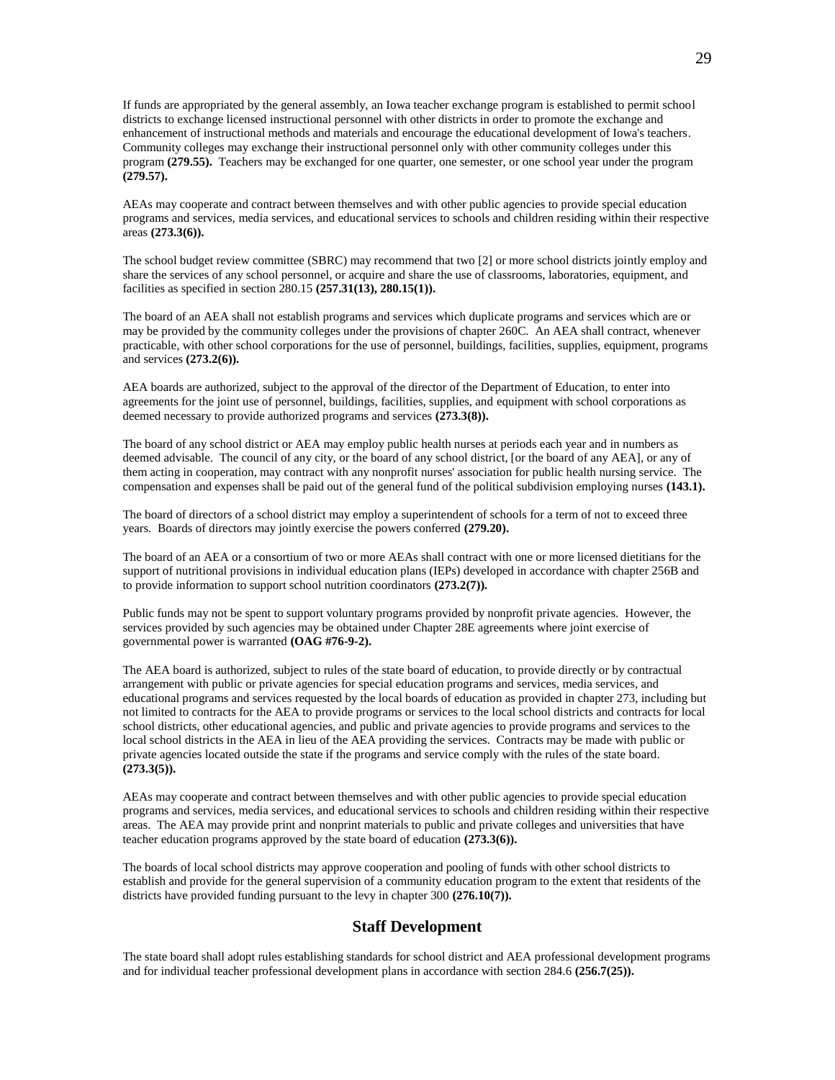If funds are appropriated by the general assembly, an Iowa teacher exchange program is established to permit school districts to exchange licensed instructional personnel with other districts in order to promote the exchange and enhancement of instructional methods and materials and encourage the educational development of Iowa's teachers. Community colleges may exchange their instructional personnel only with other community colleges under this program **(279.55).** Teachers may be exchanged for one quarter, one semester, or one school year under the program **(279.57).**

AEAs may cooperate and contract between themselves and with other public agencies to provide special education programs and services, media services, and educational services to schools and children residing within their respective areas **(273.3(6)).**

The school budget review committee (SBRC) may recommend that two [2] or more school districts jointly employ and share the services of any school personnel, or acquire and share the use of classrooms, laboratories, equipment, and facilities as specified in section 280.15 **(257.31(13), 280.15(1)).**

The board of an AEA shall not establish programs and services which duplicate programs and services which are or may be provided by the community colleges under the provisions of chapter 260C. An AEA shall contract, whenever practicable, with other school corporations for the use of personnel, buildings, facilities, supplies, equipment, programs and services **(273.2(6)).**

AEA boards are authorized, subject to the approval of the director of the Department of Education, to enter into agreements for the joint use of personnel, buildings, facilities, supplies, and equipment with school corporations as deemed necessary to provide authorized programs and services **(273.3(8)).**

The board of any school district or AEA may employ public health nurses at periods each year and in numbers as deemed advisable. The council of any city, or the board of any school district, [or the board of any AEA], or any of them acting in cooperation, may contract with any nonprofit nurses' association for public health nursing service. The compensation and expenses shall be paid out of the general fund of the political subdivision employing nurses **(143.1).**

The board of directors of a school district may employ a superintendent of schools for a term of not to exceed three years. Boards of directors may jointly exercise the powers conferred **(279.20).**

The board of an AEA or a consortium of two or more AEAs shall contract with one or more licensed dietitians for the support of nutritional provisions in individual education plans (IEPs) developed in accordance with chapter 256B and to provide information to support school nutrition coordinators **(273.2(7)).**

Public funds may not be spent to support voluntary programs provided by nonprofit private agencies. However, the services provided by such agencies may be obtained under Chapter 28E agreements where joint exercise of governmental power is warranted **(OAG #76-9-2).**

The AEA board is authorized, subject to rules of the state board of education, to provide directly or by contractual arrangement with public or private agencies for special education programs and services, media services, and educational programs and services requested by the local boards of education as provided in chapter 273, including but not limited to contracts for the AEA to provide programs or services to the local school districts and contracts for local school districts, other educational agencies, and public and private agencies to provide programs and services to the local school districts in the AEA in lieu of the AEA providing the services. Contracts may be made with public or private agencies located outside the state if the programs and service comply with the rules of the state board. **(273.3(5)).**

AEAs may cooperate and contract between themselves and with other public agencies to provide special education programs and services, media services, and educational services to schools and children residing within their respective areas. The AEA may provide print and nonprint materials to public and private colleges and universities that have teacher education programs approved by the state board of education **(273.3(6)).**

The boards of local school districts may approve cooperation and pooling of funds with other school districts to establish and provide for the general supervision of a community education program to the extent that residents of the districts have provided funding pursuant to the levy in chapter 300 **(276.10(7)).**

# **Staff Development**

The state board shall adopt rules establishing standards for school district and AEA professional development programs and for individual teacher professional development plans in accordance with section 284.6 **(256.7(25)).**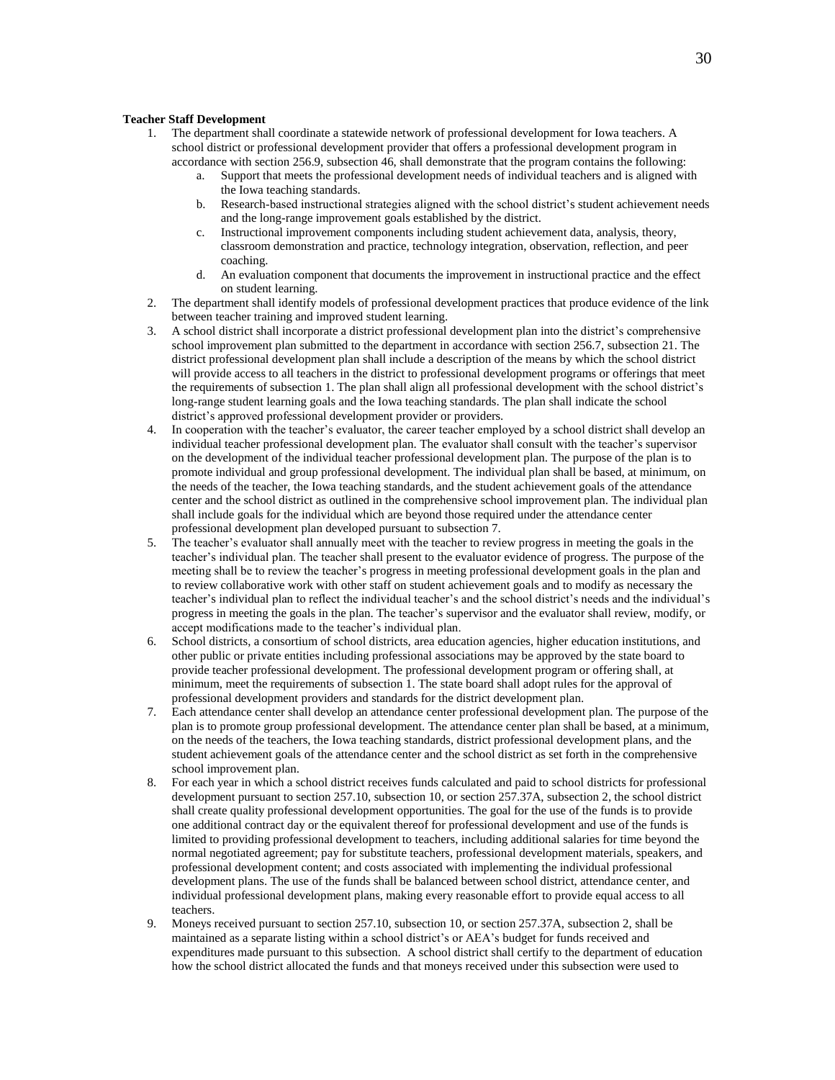## **Teacher Staff Development**

- 1. The department shall coordinate a statewide network of professional development for Iowa teachers. A school district or professional development provider that offers a professional development program in accordance with section 256.9, subsection 46, shall demonstrate that the program contains the following:
	- a. Support that meets the professional development needs of individual teachers and is aligned with the Iowa teaching standards.
	- b. Research-based instructional strategies aligned with the school district's student achievement needs and the long-range improvement goals established by the district.
	- c. Instructional improvement components including student achievement data, analysis, theory, classroom demonstration and practice, technology integration, observation, reflection, and peer coaching.
	- d. An evaluation component that documents the improvement in instructional practice and the effect on student learning.
- 2. The department shall identify models of professional development practices that produce evidence of the link between teacher training and improved student learning.
- 3. A school district shall incorporate a district professional development plan into the district's comprehensive school improvement plan submitted to the department in accordance with section 256.7, subsection 21. The district professional development plan shall include a description of the means by which the school district will provide access to all teachers in the district to professional development programs or offerings that meet the requirements of subsection 1. The plan shall align all professional development with the school district's long-range student learning goals and the Iowa teaching standards. The plan shall indicate the school district's approved professional development provider or providers.
- 4. In cooperation with the teacher's evaluator, the career teacher employed by a school district shall develop an individual teacher professional development plan. The evaluator shall consult with the teacher's supervisor on the development of the individual teacher professional development plan. The purpose of the plan is to promote individual and group professional development. The individual plan shall be based, at minimum, on the needs of the teacher, the Iowa teaching standards, and the student achievement goals of the attendance center and the school district as outlined in the comprehensive school improvement plan. The individual plan shall include goals for the individual which are beyond those required under the attendance center professional development plan developed pursuant to subsection 7.
- 5. The teacher's evaluator shall annually meet with the teacher to review progress in meeting the goals in the teacher's individual plan. The teacher shall present to the evaluator evidence of progress. The purpose of the meeting shall be to review the teacher's progress in meeting professional development goals in the plan and to review collaborative work with other staff on student achievement goals and to modify as necessary the teacher's individual plan to reflect the individual teacher's and the school district's needs and the individual's progress in meeting the goals in the plan. The teacher's supervisor and the evaluator shall review, modify, or accept modifications made to the teacher's individual plan.
- 6. School districts, a consortium of school districts, area education agencies, higher education institutions, and other public or private entities including professional associations may be approved by the state board to provide teacher professional development. The professional development program or offering shall, at minimum, meet the requirements of subsection 1. The state board shall adopt rules for the approval of professional development providers and standards for the district development plan.
- 7. Each attendance center shall develop an attendance center professional development plan. The purpose of the plan is to promote group professional development. The attendance center plan shall be based, at a minimum, on the needs of the teachers, the Iowa teaching standards, district professional development plans, and the student achievement goals of the attendance center and the school district as set forth in the comprehensive school improvement plan.
- 8. For each year in which a school district receives funds calculated and paid to school districts for professional development pursuant to section 257.10, subsection 10, or section 257.37A, subsection 2, the school district shall create quality professional development opportunities. The goal for the use of the funds is to provide one additional contract day or the equivalent thereof for professional development and use of the funds is limited to providing professional development to teachers, including additional salaries for time beyond the normal negotiated agreement; pay for substitute teachers, professional development materials, speakers, and professional development content; and costs associated with implementing the individual professional development plans. The use of the funds shall be balanced between school district, attendance center, and individual professional development plans, making every reasonable effort to provide equal access to all teachers.
- 9. Moneys received pursuant to section 257.10, subsection 10, or section 257.37A, subsection 2, shall be maintained as a separate listing within a school district's or AEA's budget for funds received and expenditures made pursuant to this subsection. A school district shall certify to the department of education how the school district allocated the funds and that moneys received under this subsection were used to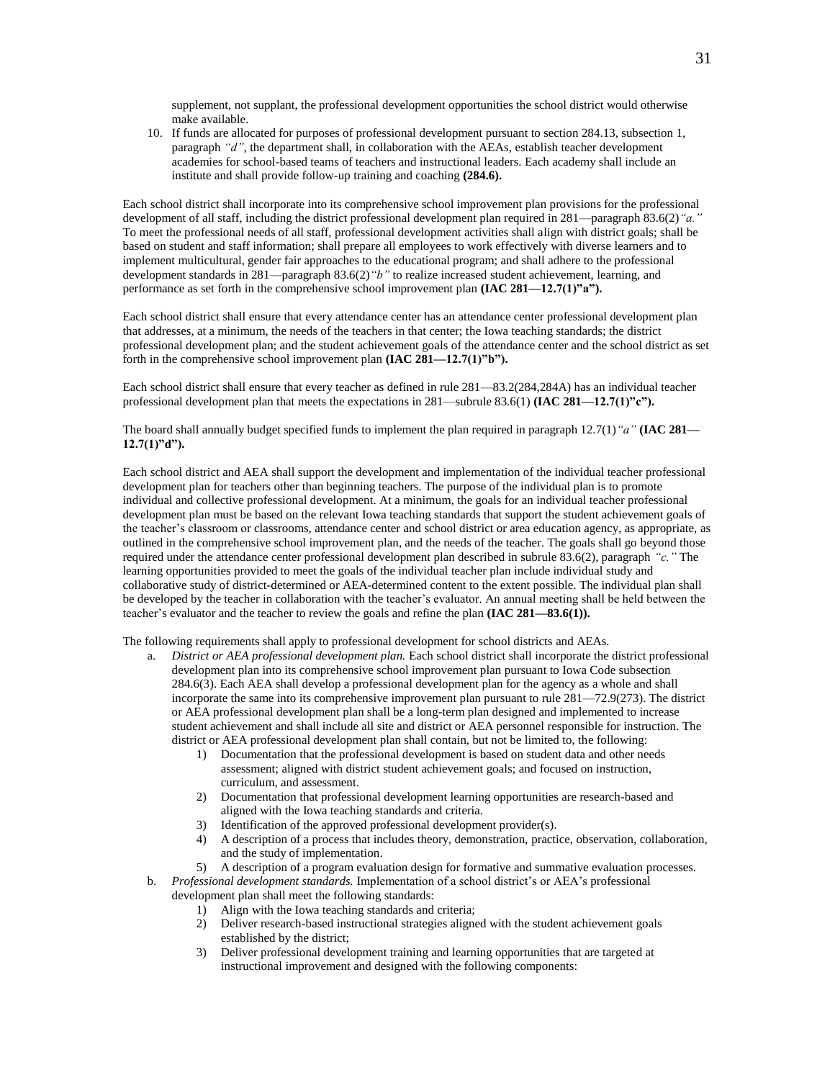supplement, not supplant, the professional development opportunities the school district would otherwise make available.

10. If funds are allocated for purposes of professional development pursuant to section 284.13, subsection 1, paragraph *"d"*, the department shall, in collaboration with the AEAs, establish teacher development academies for school-based teams of teachers and instructional leaders. Each academy shall include an institute and shall provide follow-up training and coaching **(284.6).**

Each school district shall incorporate into its comprehensive school improvement plan provisions for the professional development of all staff, including the district professional development plan required in 281—paragraph 83.6(2)*"a."*  To meet the professional needs of all staff, professional development activities shall align with district goals; shall be based on student and staff information; shall prepare all employees to work effectively with diverse learners and to implement multicultural, gender fair approaches to the educational program; and shall adhere to the professional development standards in 281—paragraph 83.6(2)*"b"* to realize increased student achievement, learning, and performance as set forth in the comprehensive school improvement plan **(IAC 281—12.7(1)"a").**

Each school district shall ensure that every attendance center has an attendance center professional development plan that addresses, at a minimum, the needs of the teachers in that center; the Iowa teaching standards; the district professional development plan; and the student achievement goals of the attendance center and the school district as set forth in the comprehensive school improvement plan **(IAC 281—12.7(1)"b").**

Each school district shall ensure that every teacher as defined in rule 281—83.2(284,284A) has an individual teacher professional development plan that meets the expectations in 281—subrule 83.6(1) **(IAC 281—12.7(1)"c").**

The board shall annually budget specified funds to implement the plan required in paragraph 12.7(1)*"a"* **(IAC 281— 12.7(1)"d").**

Each school district and AEA shall support the development and implementation of the individual teacher professional development plan for teachers other than beginning teachers. The purpose of the individual plan is to promote individual and collective professional development. At a minimum, the goals for an individual teacher professional development plan must be based on the relevant Iowa teaching standards that support the student achievement goals of the teacher's classroom or classrooms, attendance center and school district or area education agency, as appropriate, as outlined in the comprehensive school improvement plan, and the needs of the teacher. The goals shall go beyond those required under the attendance center professional development plan described in subrule 83.6(2), paragraph *"c."* The learning opportunities provided to meet the goals of the individual teacher plan include individual study and collaborative study of district-determined or AEA-determined content to the extent possible. The individual plan shall be developed by the teacher in collaboration with the teacher's evaluator. An annual meeting shall be held between the teacher's evaluator and the teacher to review the goals and refine the plan **(IAC 281—83.6(1)).**

The following requirements shall apply to professional development for school districts and AEAs.

- a. *District or AEA professional development plan.* Each school district shall incorporate the district professional development plan into its comprehensive school improvement plan pursuant to Iowa Code subsection 284.6(3). Each AEA shall develop a professional development plan for the agency as a whole and shall incorporate the same into its comprehensive improvement plan pursuant to rule 281—72.9(273). The district or AEA professional development plan shall be a long-term plan designed and implemented to increase student achievement and shall include all site and district or AEA personnel responsible for instruction. The district or AEA professional development plan shall contain, but not be limited to, the following:
	- 1) Documentation that the professional development is based on student data and other needs assessment; aligned with district student achievement goals; and focused on instruction, curriculum, and assessment.
	- 2) Documentation that professional development learning opportunities are research-based and aligned with the Iowa teaching standards and criteria.
	- 3) Identification of the approved professional development provider(s).
	- 4) A description of a process that includes theory, demonstration, practice, observation, collaboration, and the study of implementation.
	- 5) A description of a program evaluation design for formative and summative evaluation processes.
- b. *Professional development standards.* Implementation of a school district's or AEA's professional development plan shall meet the following standards:
	- 1) Align with the Iowa teaching standards and criteria;
	- 2) Deliver research-based instructional strategies aligned with the student achievement goals established by the district;
	- 3) Deliver professional development training and learning opportunities that are targeted at instructional improvement and designed with the following components: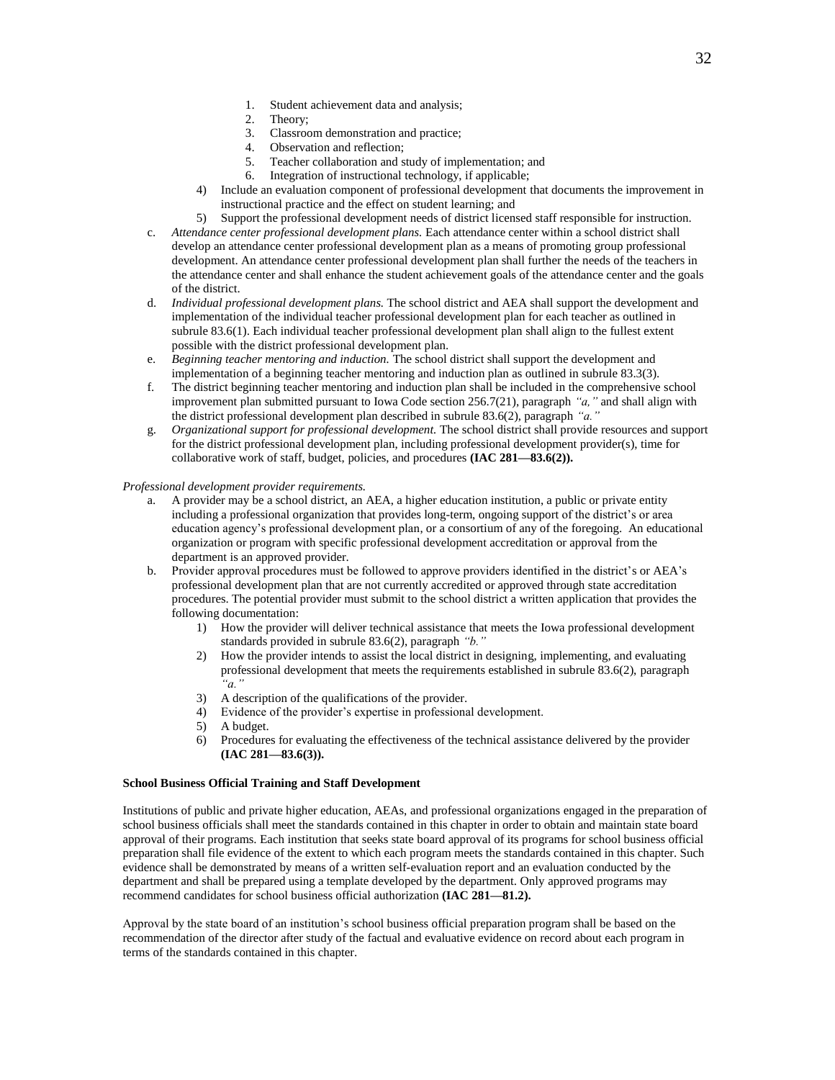- 1. Student achievement data and analysis;
- 2. Theory;
- 3. Classroom demonstration and practice;
- 4. Observation and reflection;
- 5. Teacher collaboration and study of implementation; and
- 6. Integration of instructional technology, if applicable;
- 4) Include an evaluation component of professional development that documents the improvement in instructional practice and the effect on student learning; and
- 5) Support the professional development needs of district licensed staff responsible for instruction.
- c. *Attendance center professional development plans.* Each attendance center within a school district shall develop an attendance center professional development plan as a means of promoting group professional development. An attendance center professional development plan shall further the needs of the teachers in the attendance center and shall enhance the student achievement goals of the attendance center and the goals of the district.
- d. *Individual professional development plans.* The school district and AEA shall support the development and implementation of the individual teacher professional development plan for each teacher as outlined in subrule 83.6(1). Each individual teacher professional development plan shall align to the fullest extent possible with the district professional development plan.
- e. *Beginning teacher mentoring and induction.* The school district shall support the development and implementation of a beginning teacher mentoring and induction plan as outlined in subrule 83.3(3).
- f. The district beginning teacher mentoring and induction plan shall be included in the comprehensive school improvement plan submitted pursuant to Iowa Code section 256.7(21), paragraph *"a,"* and shall align with the district professional development plan described in subrule 83.6(2), paragraph *"a."*
- g. *Organizational support for professional development.* The school district shall provide resources and support for the district professional development plan, including professional development provider(s), time for collaborative work of staff, budget, policies, and procedures **(IAC 281—83.6(2)).**

## *Professional development provider requirements.*

- a. A provider may be a school district, an AEA, a higher education institution, a public or private entity including a professional organization that provides long-term, ongoing support of the district's or area education agency's professional development plan, or a consortium of any of the foregoing. An educational organization or program with specific professional development accreditation or approval from the department is an approved provider.
- b. Provider approval procedures must be followed to approve providers identified in the district's or AEA's professional development plan that are not currently accredited or approved through state accreditation procedures. The potential provider must submit to the school district a written application that provides the following documentation:
	- 1) How the provider will deliver technical assistance that meets the Iowa professional development standards provided in subrule 83.6(2), paragraph *"b."*
	- 2) How the provider intends to assist the local district in designing, implementing, and evaluating professional development that meets the requirements established in subrule 83.6(2), paragraph *"a."*
	- 3) A description of the qualifications of the provider.
	- 4) Evidence of the provider's expertise in professional development.
	- 5) A budget.
	- 6) Procedures for evaluating the effectiveness of the technical assistance delivered by the provider **(IAC 281—83.6(3)).**

#### **School Business Official Training and Staff Development**

Institutions of public and private higher education, AEAs, and professional organizations engaged in the preparation of school business officials shall meet the standards contained in this chapter in order to obtain and maintain state board approval of their programs. Each institution that seeks state board approval of its programs for school business official preparation shall file evidence of the extent to which each program meets the standards contained in this chapter. Such evidence shall be demonstrated by means of a written self-evaluation report and an evaluation conducted by the department and shall be prepared using a template developed by the department. Only approved programs may recommend candidates for school business official authorization **(IAC 281—81.2).**

Approval by the state board of an institution's school business official preparation program shall be based on the recommendation of the director after study of the factual and evaluative evidence on record about each program in terms of the standards contained in this chapter.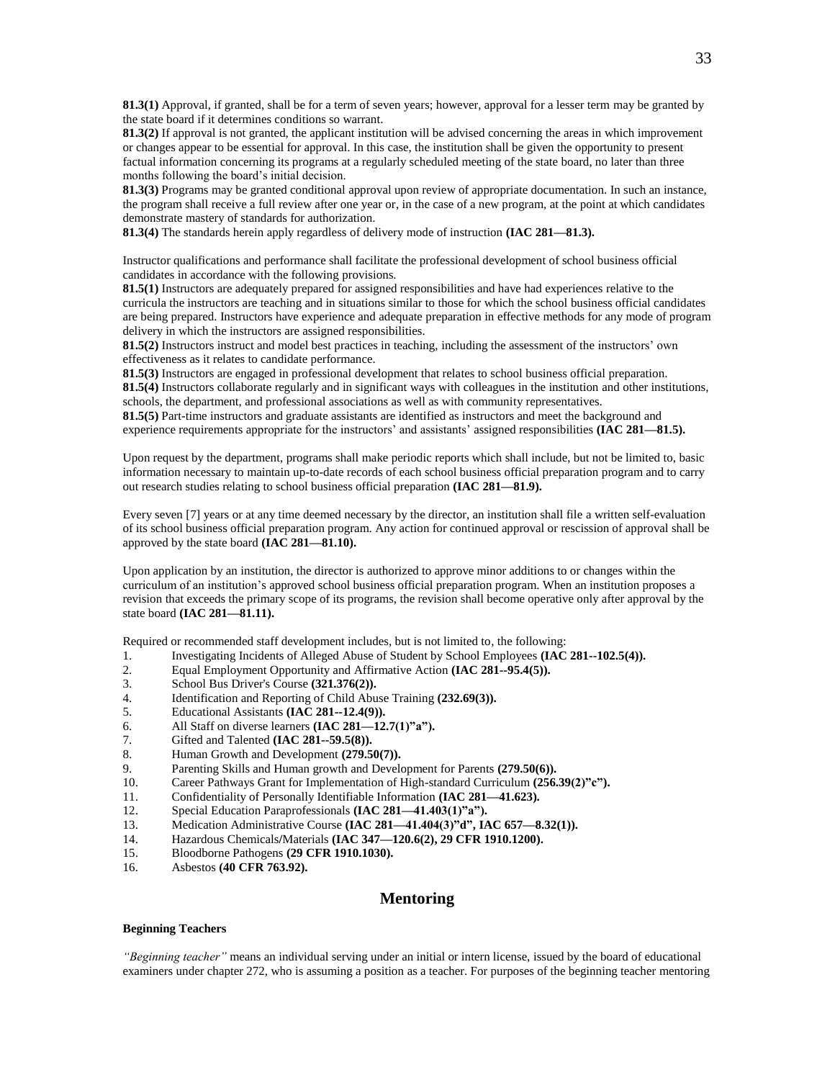**81.3(1)** Approval, if granted, shall be for a term of seven years; however, approval for a lesser term may be granted by the state board if it determines conditions so warrant.

**81.3(2)** If approval is not granted, the applicant institution will be advised concerning the areas in which improvement or changes appear to be essential for approval. In this case, the institution shall be given the opportunity to present factual information concerning its programs at a regularly scheduled meeting of the state board, no later than three months following the board's initial decision.

**81.3(3)** Programs may be granted conditional approval upon review of appropriate documentation. In such an instance, the program shall receive a full review after one year or, in the case of a new program, at the point at which candidates demonstrate mastery of standards for authorization.

**81.3(4)** The standards herein apply regardless of delivery mode of instruction **(IAC 281—81.3).**

Instructor qualifications and performance shall facilitate the professional development of school business official candidates in accordance with the following provisions.

**81.5(1)** Instructors are adequately prepared for assigned responsibilities and have had experiences relative to the curricula the instructors are teaching and in situations similar to those for which the school business official candidates are being prepared. Instructors have experience and adequate preparation in effective methods for any mode of program delivery in which the instructors are assigned responsibilities.

**81.5(2)** Instructors instruct and model best practices in teaching, including the assessment of the instructors' own effectiveness as it relates to candidate performance.

**81.5(3)** Instructors are engaged in professional development that relates to school business official preparation. **81.5(4)** Instructors collaborate regularly and in significant ways with colleagues in the institution and other institutions, schools, the department, and professional associations as well as with community representatives.

**81.5(5)** Part-time instructors and graduate assistants are identified as instructors and meet the background and experience requirements appropriate for the instructors' and assistants' assigned responsibilities **(IAC 281—81.5).**

Upon request by the department, programs shall make periodic reports which shall include, but not be limited to, basic information necessary to maintain up-to-date records of each school business official preparation program and to carry out research studies relating to school business official preparation **(IAC 281—81.9).**

Every seven [7] years or at any time deemed necessary by the director, an institution shall file a written self-evaluation of its school business official preparation program. Any action for continued approval or rescission of approval shall be approved by the state board **(IAC 281—81.10).**

Upon application by an institution, the director is authorized to approve minor additions to or changes within the curriculum of an institution's approved school business official preparation program. When an institution proposes a revision that exceeds the primary scope of its programs, the revision shall become operative only after approval by the state board **(IAC 281—81.11).**

Required or recommended staff development includes, but is not limited to, the following:

- 1. Investigating Incidents of Alleged Abuse of Student by School Employees **(IAC 281--102.5(4)).**
- 2. Equal Employment Opportunity and Affirmative Action **(IAC 281--95.4(5)).**
- 3. School Bus Driver's Course **(321.376(2)).**
- 4. Identification and Reporting of Child Abuse Training **(232.69(3)).**
- 5. Educational Assistants **(IAC 281--12.4(9)).**
- 6. All Staff on diverse learners **(IAC 281—12.7(1)"a").**
- 7. Gifted and Talented **(IAC 281--59.5(8)).**
- 8. Human Growth and Development **(279.50(7)).**
- Parenting Skills and Human growth and Development for Parents (279.50(6)).
- 10. Career Pathways Grant for Implementation of High-standard Curriculum **(256.39(2)"c").**
- 11. Confidentiality of Personally Identifiable Information **(IAC 281—41.623).**
- 12. Special Education Paraprofessionals **(IAC 281—41.403(1)"a").**
- 13. Medication Administrative Course **(IAC 281—41.404(3)"d", IAC 657—8.32(1)).**
- 14. Hazardous Chemicals**/**Materials **(IAC 347—120.6(2), 29 CFR 1910.1200).**
- 15. Bloodborne Pathogens **(29 CFR 1910.1030).**
- 16. Asbestos **(40 CFR 763.92).**

## **Mentoring**

### **Beginning Teachers**

*"Beginning teacher"* means an individual serving under an initial or intern license, issued by the board of educational examiners under chapter 272, who is assuming a position as a teacher. For purposes of the beginning teacher mentoring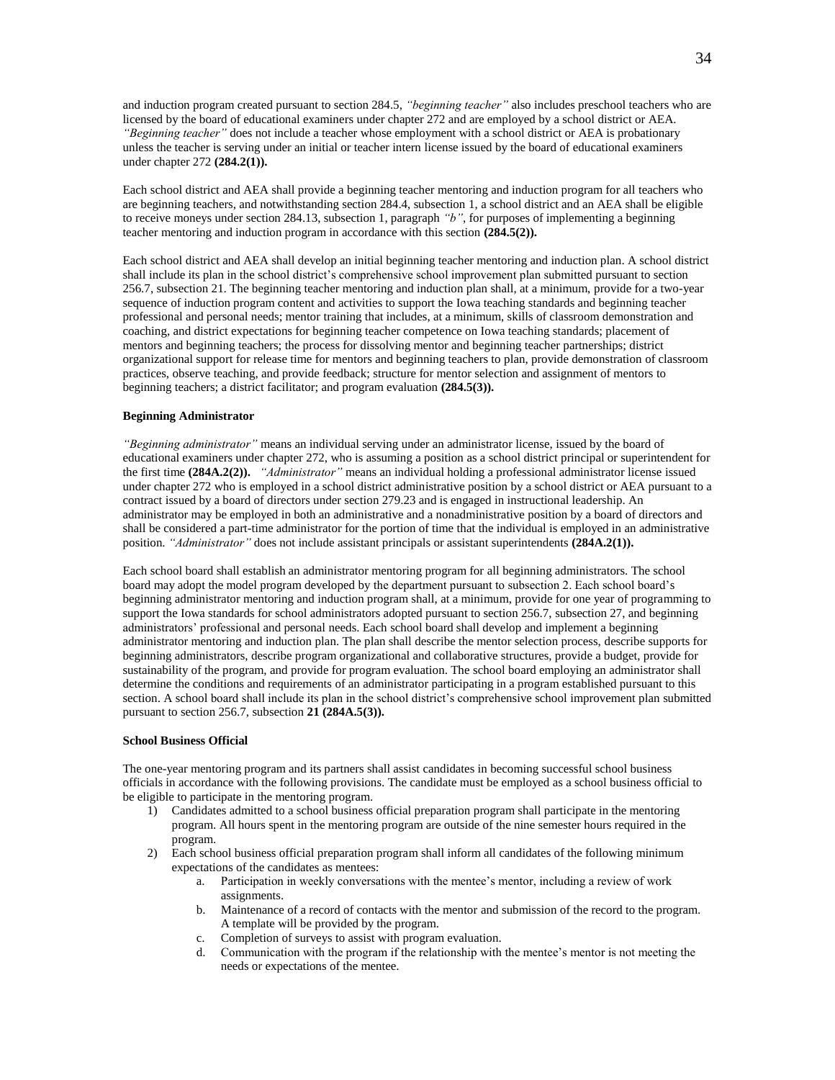and induction program created pursuant to section 284.5, *"beginning teacher"* also includes preschool teachers who are licensed by the board of educational examiners under chapter 272 and are employed by a school district or AEA. *"Beginning teacher"* does not include a teacher whose employment with a school district or AEA is probationary unless the teacher is serving under an initial or teacher intern license issued by the board of educational examiners under chapter 272 **(284.2(1)).**

Each school district and AEA shall provide a beginning teacher mentoring and induction program for all teachers who are beginning teachers, and notwithstanding section 284.4, subsection 1, a school district and an AEA shall be eligible to receive moneys under section 284.13, subsection 1, paragraph *"b"*, for purposes of implementing a beginning teacher mentoring and induction program in accordance with this section **(284.5(2)).**

Each school district and AEA shall develop an initial beginning teacher mentoring and induction plan. A school district shall include its plan in the school district's comprehensive school improvement plan submitted pursuant to section 256.7, subsection 21. The beginning teacher mentoring and induction plan shall, at a minimum, provide for a two-year sequence of induction program content and activities to support the Iowa teaching standards and beginning teacher professional and personal needs; mentor training that includes, at a minimum, skills of classroom demonstration and coaching, and district expectations for beginning teacher competence on Iowa teaching standards; placement of mentors and beginning teachers; the process for dissolving mentor and beginning teacher partnerships; district organizational support for release time for mentors and beginning teachers to plan, provide demonstration of classroom practices, observe teaching, and provide feedback; structure for mentor selection and assignment of mentors to beginning teachers; a district facilitator; and program evaluation **(284.5(3)).**

#### **Beginning Administrator**

*"Beginning administrator"* means an individual serving under an administrator license, issued by the board of educational examiners under chapter 272, who is assuming a position as a school district principal or superintendent for the first time **(284A.2(2)).** *"Administrator"* means an individual holding a professional administrator license issued under chapter 272 who is employed in a school district administrative position by a school district or AEA pursuant to a contract issued by a board of directors under section 279.23 and is engaged in instructional leadership. An administrator may be employed in both an administrative and a nonadministrative position by a board of directors and shall be considered a part-time administrator for the portion of time that the individual is employed in an administrative position. *"Administrator"* does not include assistant principals or assistant superintendents **(284A.2(1)).**

Each school board shall establish an administrator mentoring program for all beginning administrators. The school board may adopt the model program developed by the department pursuant to subsection 2. Each school board's beginning administrator mentoring and induction program shall, at a minimum, provide for one year of programming to support the Iowa standards for school administrators adopted pursuant to section 256.7, subsection 27, and beginning administrators' professional and personal needs. Each school board shall develop and implement a beginning administrator mentoring and induction plan. The plan shall describe the mentor selection process, describe supports for beginning administrators, describe program organizational and collaborative structures, provide a budget, provide for sustainability of the program, and provide for program evaluation. The school board employing an administrator shall determine the conditions and requirements of an administrator participating in a program established pursuant to this section. A school board shall include its plan in the school district's comprehensive school improvement plan submitted pursuant to section 256.7, subsection **21 (284A.5(3)).**

### **School Business Official**

The one-year mentoring program and its partners shall assist candidates in becoming successful school business officials in accordance with the following provisions. The candidate must be employed as a school business official to be eligible to participate in the mentoring program.

- 1) Candidates admitted to a school business official preparation program shall participate in the mentoring program. All hours spent in the mentoring program are outside of the nine semester hours required in the program.
- 2) Each school business official preparation program shall inform all candidates of the following minimum expectations of the candidates as mentees:
	- a. Participation in weekly conversations with the mentee's mentor, including a review of work assignments.
	- b. Maintenance of a record of contacts with the mentor and submission of the record to the program. A template will be provided by the program.
	- c. Completion of surveys to assist with program evaluation.
	- d. Communication with the program if the relationship with the mentee's mentor is not meeting the needs or expectations of the mentee.